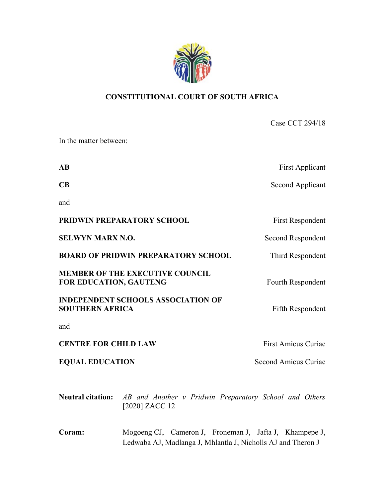

# CONSTITUTIONAL COURT OF SOUTH AFRICA

Case CCT 294/18 In the matter between: AB First Applicant CB Second Applicant and **PRIDWIN PREPARATORY SCHOOL** First Respondent SELWYN MARX N.O. Second Respondent BOARD OF PRIDWIN PREPARATORY SCHOOL Third Respondent MEMBER OF THE EXECUTIVE COUNCIL FOR EDUCATION, GAUTENG FOR EDUCATION, GAUTENG INDEPENDENT SCHOOLS ASSOCIATION OF SOUTHERN AFRICA Fifth Respondent and **CENTRE FOR CHILD LAW First Amicus Curiae** EQUAL EDUCATION Second Amicus Curiae

Neutral citation: AB and Another v Pridwin Preparatory School and Others [2020] ZACC 12

Coram: Mogoeng CJ, Cameron J, Froneman J, Jafta J, Khampepe J, Ledwaba AJ, Madlanga J, Mhlantla J, Nicholls AJ and Theron J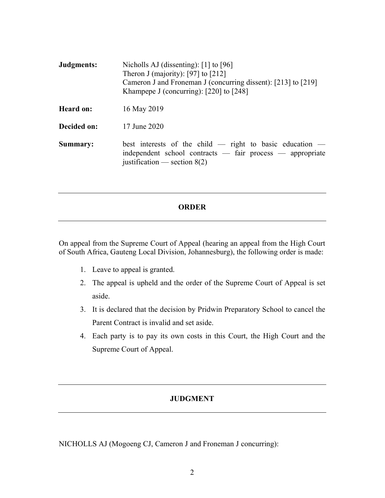| Judgments:       | Nicholls AJ (dissenting): $[1]$ to $[96]$<br>Theron J (majority): [97] to $[212]$<br>Cameron J and Froneman J (concurring dissent): [213] to [219]<br>Khampepe J (concurring): [220] to [248] |
|------------------|-----------------------------------------------------------------------------------------------------------------------------------------------------------------------------------------------|
| <b>Heard on:</b> | 16 May 2019                                                                                                                                                                                   |
| Decided on:      | 17 June 2020                                                                                                                                                                                  |
| Summary:         | best interests of the child $-$ right to basic education $-$<br>independent school contracts — fair process — appropriate<br>justification — section $8(2)$                                   |

## ORDER

On appeal from the Supreme Court of Appeal (hearing an appeal from the High Court of South Africa, Gauteng Local Division, Johannesburg), the following order is made:

- 1. Leave to appeal is granted.
- 2. The appeal is upheld and the order of the Supreme Court of Appeal is set aside.
- 3. It is declared that the decision by Pridwin Preparatory School to cancel the Parent Contract is invalid and set aside.
- 4. Each party is to pay its own costs in this Court, the High Court and the Supreme Court of Appeal.

# **JUDGMENT**

NICHOLLS AJ (Mogoeng CJ, Cameron J and Froneman J concurring):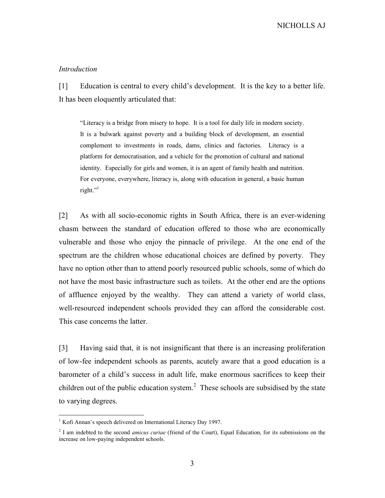### Introduction

[1] Education is central to every child's development. It is the key to a better life. It has been eloquently articulated that:

"Literacy is a bridge from misery to hope. It is a tool for daily life in modern society. It is a bulwark against poverty and a building block of development, an essential complement to investments in roads, dams, clinics and factories. Literacy is a platform for democratisation, and a vehicle for the promotion of cultural and national identity. Especially for girls and women, it is an agent of family health and nutrition. For everyone, everywhere, literacy is, along with education in general, a basic human right."

[2] As with all socio-economic rights in South Africa, there is an ever-widening chasm between the standard of education offered to those who are economically vulnerable and those who enjoy the pinnacle of privilege. At the one end of the spectrum are the children whose educational choices are defined by poverty. They have no option other than to attend poorly resourced public schools, some of which do not have the most basic infrastructure such as toilets. At the other end are the options of affluence enjoyed by the wealthy. They can attend a variety of world class, well-resourced independent schools provided they can afford the considerable cost. This case concerns the latter.

[3] Having said that, it is not insignificant that there is an increasing proliferation of low-fee independent schools as parents, acutely aware that a good education is a barometer of a child's success in adult life, make enormous sacrifices to keep their children out of the public education system.<sup>2</sup> These schools are subsidised by the state to varying degrees.

<sup>&</sup>lt;sup>1</sup> Kofi Annan's speech delivered on International Literacy Day 1997.

 $2^{2}$  I am indebted to the second *amicus curiae* (friend of the Court), Equal Education, for its submissions on the increase on low-paying independent schools.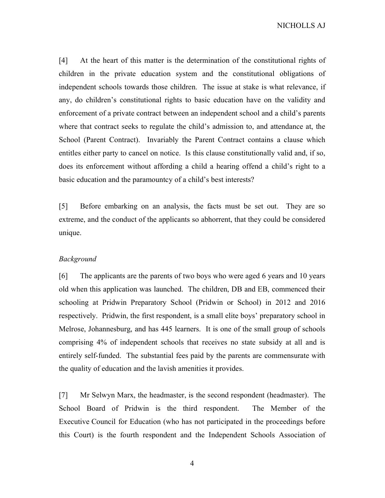[4] At the heart of this matter is the determination of the constitutional rights of children in the private education system and the constitutional obligations of independent schools towards those children. The issue at stake is what relevance, if any, do children's constitutional rights to basic education have on the validity and enforcement of a private contract between an independent school and a child's parents where that contract seeks to regulate the child's admission to, and attendance at, the School (Parent Contract). Invariably the Parent Contract contains a clause which entitles either party to cancel on notice. Is this clause constitutionally valid and, if so, does its enforcement without affording a child a hearing offend a child's right to a basic education and the paramountcy of a child's best interests?

[5] Before embarking on an analysis, the facts must be set out. They are so extreme, and the conduct of the applicants so abhorrent, that they could be considered unique.

#### Background

[6] The applicants are the parents of two boys who were aged 6 years and 10 years old when this application was launched. The children, DB and EB, commenced their schooling at Pridwin Preparatory School (Pridwin or School) in 2012 and 2016 respectively. Pridwin, the first respondent, is a small elite boys' preparatory school in Melrose, Johannesburg, and has 445 learners. It is one of the small group of schools comprising 4% of independent schools that receives no state subsidy at all and is entirely self-funded. The substantial fees paid by the parents are commensurate with the quality of education and the lavish amenities it provides.

[7] Mr Selwyn Marx, the headmaster, is the second respondent (headmaster). The School Board of Pridwin is the third respondent. The Member of the Executive Council for Education (who has not participated in the proceedings before this Court) is the fourth respondent and the Independent Schools Association of

4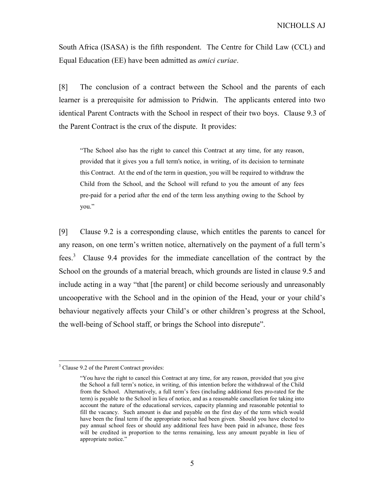South Africa (ISASA) is the fifth respondent. The Centre for Child Law (CCL) and Equal Education (EE) have been admitted as amici curiae.

[8] The conclusion of a contract between the School and the parents of each learner is a prerequisite for admission to Pridwin. The applicants entered into two identical Parent Contracts with the School in respect of their two boys. Clause 9.3 of the Parent Contract is the crux of the dispute. It provides:

"The School also has the right to cancel this Contract at any time, for any reason, provided that it gives you a full term's notice, in writing, of its decision to terminate this Contract. At the end of the term in question, you will be required to withdraw the Child from the School, and the School will refund to you the amount of any fees pre-paid for a period after the end of the term less anything owing to the School by you."

[9] Clause 9.2 is a corresponding clause, which entitles the parents to cancel for any reason, on one term's written notice, alternatively on the payment of a full term's fees.<sup>3</sup> Clause 9.4 provides for the immediate cancellation of the contract by the School on the grounds of a material breach, which grounds are listed in clause 9.5 and include acting in a way "that [the parent] or child become seriously and unreasonably uncooperative with the School and in the opinion of the Head, your or your child's behaviour negatively affects your Child's or other children's progress at the School, the well-being of School staff, or brings the School into disrepute".

<sup>&</sup>lt;sup>3</sup> Clause 9.2 of the Parent Contract provides:

<sup>&</sup>quot;You have the right to cancel this Contract at any time, for any reason, provided that you give the School a full term's notice, in writing, of this intention before the withdrawal of the Child from the School. Alternatively, a full term's fees (including additional fees pro-rated for the term) is payable to the School in lieu of notice, and as a reasonable cancellation fee taking into account the nature of the educational services, capacity planning and reasonable potential to fill the vacancy. Such amount is due and payable on the first day of the term which would have been the final term if the appropriate notice had been given. Should you have elected to pay annual school fees or should any additional fees have been paid in advance, those fees will be credited in proportion to the terms remaining, less any amount payable in lieu of appropriate notice."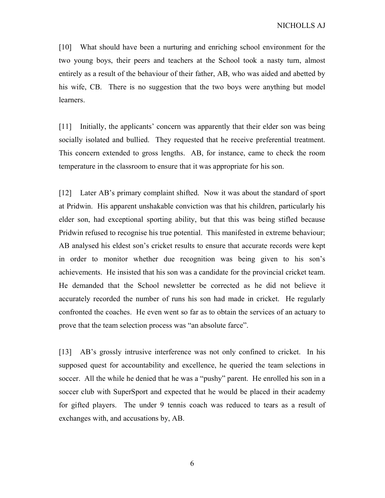[10] What should have been a nurturing and enriching school environment for the two young boys, their peers and teachers at the School took a nasty turn, almost entirely as a result of the behaviour of their father, AB, who was aided and abetted by his wife, CB. There is no suggestion that the two boys were anything but model learners.

[11] Initially, the applicants' concern was apparently that their elder son was being socially isolated and bullied. They requested that he receive preferential treatment. This concern extended to gross lengths. AB, for instance, came to check the room temperature in the classroom to ensure that it was appropriate for his son.

[12] Later AB's primary complaint shifted. Now it was about the standard of sport at Pridwin. His apparent unshakable conviction was that his children, particularly his elder son, had exceptional sporting ability, but that this was being stifled because Pridwin refused to recognise his true potential. This manifested in extreme behaviour; AB analysed his eldest son's cricket results to ensure that accurate records were kept in order to monitor whether due recognition was being given to his son's achievements. He insisted that his son was a candidate for the provincial cricket team. He demanded that the School newsletter be corrected as he did not believe it accurately recorded the number of runs his son had made in cricket. He regularly confronted the coaches. He even went so far as to obtain the services of an actuary to prove that the team selection process was "an absolute farce".

[13] AB's grossly intrusive interference was not only confined to cricket. In his supposed quest for accountability and excellence, he queried the team selections in soccer. All the while he denied that he was a "pushy" parent. He enrolled his son in a soccer club with SuperSport and expected that he would be placed in their academy for gifted players. The under 9 tennis coach was reduced to tears as a result of exchanges with, and accusations by, AB.

6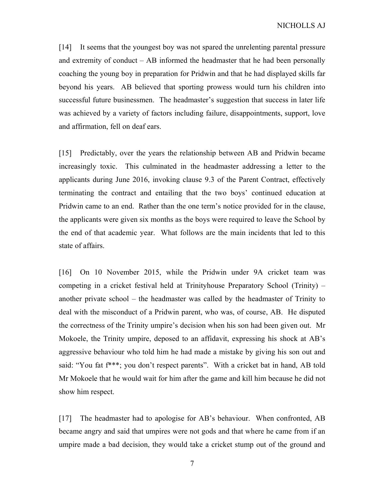[14] It seems that the youngest boy was not spared the unrelenting parental pressure and extremity of conduct – AB informed the headmaster that he had been personally coaching the young boy in preparation for Pridwin and that he had displayed skills far beyond his years. AB believed that sporting prowess would turn his children into successful future businessmen. The headmaster's suggestion that success in later life was achieved by a variety of factors including failure, disappointments, support, love and affirmation, fell on deaf ears.

[15] Predictably, over the years the relationship between AB and Pridwin became increasingly toxic. This culminated in the headmaster addressing a letter to the applicants during June 2016, invoking clause 9.3 of the Parent Contract, effectively terminating the contract and entailing that the two boys' continued education at Pridwin came to an end. Rather than the one term's notice provided for in the clause, the applicants were given six months as the boys were required to leave the School by the end of that academic year. What follows are the main incidents that led to this state of affairs.

[16] On 10 November 2015, while the Pridwin under 9A cricket team was competing in a cricket festival held at Trinityhouse Preparatory School (Trinity) – another private school – the headmaster was called by the headmaster of Trinity to deal with the misconduct of a Pridwin parent, who was, of course, AB. He disputed the correctness of the Trinity umpire's decision when his son had been given out. Mr Mokoele, the Trinity umpire, deposed to an affidavit, expressing his shock at AB's aggressive behaviour who told him he had made a mistake by giving his son out and said: "You fat f<sup>\*\*\*</sup>; you don't respect parents". With a cricket bat in hand, AB told Mr Mokoele that he would wait for him after the game and kill him because he did not show him respect.

[17] The headmaster had to apologise for AB's behaviour. When confronted, AB became angry and said that umpires were not gods and that where he came from if an umpire made a bad decision, they would take a cricket stump out of the ground and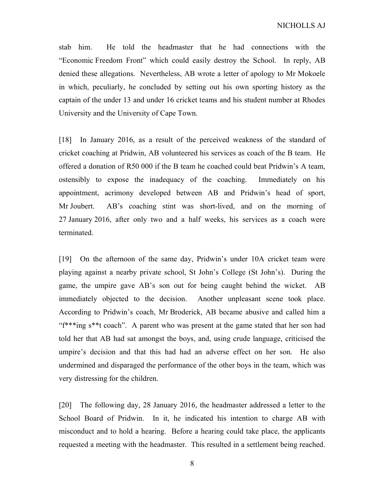stab him. He told the headmaster that he had connections with the "Economic Freedom Front" which could easily destroy the School. In reply, AB denied these allegations. Nevertheless, AB wrote a letter of apology to Mr Mokoele in which, peculiarly, he concluded by setting out his own sporting history as the captain of the under 13 and under 16 cricket teams and his student number at Rhodes University and the University of Cape Town.

[18] In January 2016, as a result of the perceived weakness of the standard of cricket coaching at Pridwin, AB volunteered his services as coach of the B team. He offered a donation of R50 000 if the B team he coached could beat Pridwin's A team, ostensibly to expose the inadequacy of the coaching. Immediately on his appointment, acrimony developed between AB and Pridwin's head of sport, Mr Joubert. AB's coaching stint was short-lived, and on the morning of 27 January 2016, after only two and a half weeks, his services as a coach were terminated.

[19] On the afternoon of the same day, Pridwin's under 10A cricket team were playing against a nearby private school, St John's College (St John's). During the game, the umpire gave AB's son out for being caught behind the wicket. AB immediately objected to the decision. Another unpleasant scene took place. According to Pridwin's coach, Mr Broderick, AB became abusive and called him a "f\*\*\*ing s\*\*t coach". A parent who was present at the game stated that her son had told her that AB had sat amongst the boys, and, using crude language, criticised the umpire's decision and that this had had an adverse effect on her son. He also undermined and disparaged the performance of the other boys in the team, which was very distressing for the children.

[20] The following day, 28 January 2016, the headmaster addressed a letter to the School Board of Pridwin. In it, he indicated his intention to charge AB with misconduct and to hold a hearing. Before a hearing could take place, the applicants requested a meeting with the headmaster. This resulted in a settlement being reached.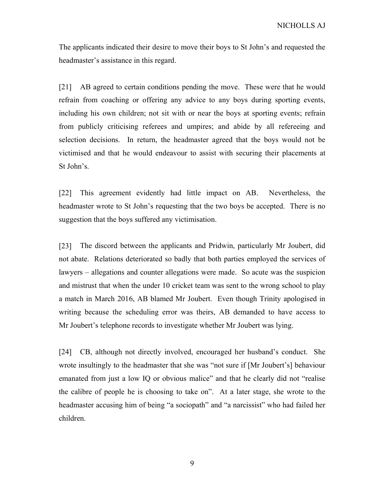The applicants indicated their desire to move their boys to St John's and requested the headmaster's assistance in this regard.

[21] AB agreed to certain conditions pending the move. These were that he would refrain from coaching or offering any advice to any boys during sporting events, including his own children; not sit with or near the boys at sporting events; refrain from publicly criticising referees and umpires; and abide by all refereeing and selection decisions. In return, the headmaster agreed that the boys would not be victimised and that he would endeavour to assist with securing their placements at St John's.

[22] This agreement evidently had little impact on AB. Nevertheless, the headmaster wrote to St John's requesting that the two boys be accepted. There is no suggestion that the boys suffered any victimisation.

[23] The discord between the applicants and Pridwin, particularly Mr Joubert, did not abate. Relations deteriorated so badly that both parties employed the services of lawyers – allegations and counter allegations were made. So acute was the suspicion and mistrust that when the under 10 cricket team was sent to the wrong school to play a match in March 2016, AB blamed Mr Joubert. Even though Trinity apologised in writing because the scheduling error was theirs, AB demanded to have access to Mr Joubert's telephone records to investigate whether Mr Joubert was lying.

[24] CB, although not directly involved, encouraged her husband's conduct. She wrote insultingly to the headmaster that she was "not sure if [Mr Joubert's] behaviour emanated from just a low IQ or obvious malice" and that he clearly did not "realise the calibre of people he is choosing to take on". At a later stage, she wrote to the headmaster accusing him of being "a sociopath" and "a narcissist" who had failed her children.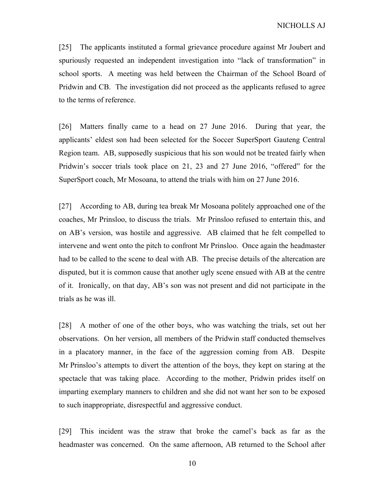[25] The applicants instituted a formal grievance procedure against Mr Joubert and spuriously requested an independent investigation into "lack of transformation" in school sports. A meeting was held between the Chairman of the School Board of Pridwin and CB. The investigation did not proceed as the applicants refused to agree to the terms of reference.

[26] Matters finally came to a head on 27 June 2016. During that year, the applicants' eldest son had been selected for the Soccer SuperSport Gauteng Central Region team. AB, supposedly suspicious that his son would not be treated fairly when Pridwin's soccer trials took place on 21, 23 and 27 June 2016, "offered" for the SuperSport coach, Mr Mosoana, to attend the trials with him on 27 June 2016.

[27] According to AB, during tea break Mr Mosoana politely approached one of the coaches, Mr Prinsloo, to discuss the trials. Mr Prinsloo refused to entertain this, and on AB's version, was hostile and aggressive. AB claimed that he felt compelled to intervene and went onto the pitch to confront Mr Prinsloo. Once again the headmaster had to be called to the scene to deal with AB. The precise details of the altercation are disputed, but it is common cause that another ugly scene ensued with AB at the centre of it. Ironically, on that day, AB's son was not present and did not participate in the trials as he was ill.

[28] A mother of one of the other boys, who was watching the trials, set out her observations. On her version, all members of the Pridwin staff conducted themselves in a placatory manner, in the face of the aggression coming from AB. Despite Mr Prinsloo's attempts to divert the attention of the boys, they kept on staring at the spectacle that was taking place. According to the mother, Pridwin prides itself on imparting exemplary manners to children and she did not want her son to be exposed to such inappropriate, disrespectful and aggressive conduct.

[29] This incident was the straw that broke the camel's back as far as the headmaster was concerned. On the same afternoon, AB returned to the School after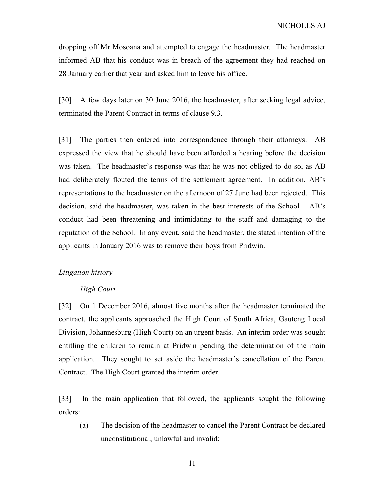dropping off Mr Mosoana and attempted to engage the headmaster. The headmaster informed AB that his conduct was in breach of the agreement they had reached on 28 January earlier that year and asked him to leave his office.

[30] A few days later on 30 June 2016, the headmaster, after seeking legal advice, terminated the Parent Contract in terms of clause 9.3.

[31] The parties then entered into correspondence through their attorneys. AB expressed the view that he should have been afforded a hearing before the decision was taken. The headmaster's response was that he was not obliged to do so, as AB had deliberately flouted the terms of the settlement agreement. In addition, AB's representations to the headmaster on the afternoon of 27 June had been rejected. This decision, said the headmaster, was taken in the best interests of the School – AB's conduct had been threatening and intimidating to the staff and damaging to the reputation of the School. In any event, said the headmaster, the stated intention of the applicants in January 2016 was to remove their boys from Pridwin.

#### Litigation history

#### High Court

[32] On 1 December 2016, almost five months after the headmaster terminated the contract, the applicants approached the High Court of South Africa, Gauteng Local Division, Johannesburg (High Court) on an urgent basis. An interim order was sought entitling the children to remain at Pridwin pending the determination of the main application. They sought to set aside the headmaster's cancellation of the Parent Contract. The High Court granted the interim order.

[33] In the main application that followed, the applicants sought the following orders:

(a) The decision of the headmaster to cancel the Parent Contract be declared unconstitutional, unlawful and invalid;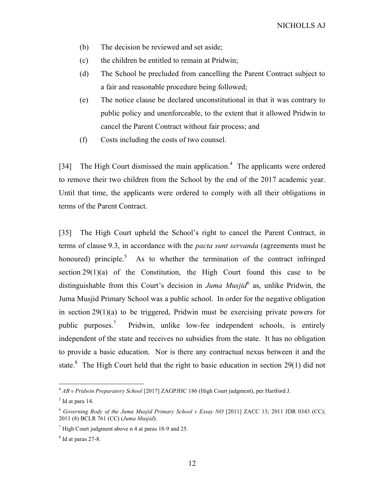- (b) The decision be reviewed and set aside;
- (c) the children be entitled to remain at Pridwin;
- (d) The School be precluded from cancelling the Parent Contract subject to a fair and reasonable procedure being followed;
- (e) The notice clause be declared unconstitutional in that it was contrary to public policy and unenforceable, to the extent that it allowed Pridwin to cancel the Parent Contract without fair process; and
- (f) Costs including the costs of two counsel.

[34] The High Court dismissed the main application.<sup>4</sup> The applicants were ordered to remove their two children from the School by the end of the 2017 academic year. Until that time, the applicants were ordered to comply with all their obligations in terms of the Parent Contract.

[35] The High Court upheld the School's right to cancel the Parent Contract, in terms of clause 9.3, in accordance with the *pacta sunt servanda* (agreements must be honoured) principle.<sup>5</sup> As to whether the termination of the contract infringed section  $29(1)(a)$  of the Constitution, the High Court found this case to be distinguishable from this Court's decision in *Juma Musjid*<sup>6</sup> as, unlike Pridwin, the Juma Musjid Primary School was a public school. In order for the negative obligation in section 29(1)(a) to be triggered, Pridwin must be exercising private powers for public purposes.<sup>7</sup> Pridwin, unlike low-fee independent schools, is entirely independent of the state and receives no subsidies from the state. It has no obligation to provide a basic education. Nor is there any contractual nexus between it and the state.<sup>8</sup> The High Court held that the right to basic education in section 29(1) did not

 $^{4}$  AB v Pridwin Preparatory School [2017] ZAGPJHC 186 (High Court judgment), per Hartford J.

 $<sup>5</sup>$  Id at para 14.</sup>

 $6$  Governing Body of the Juma Musjid Primary School v Essay NO [2011] ZACC 13; 2011 JDR 0343 (CC); 2011 (8) BCLR 761 (CC) (Juma Musjid).

 $7$  High Court judgment above n 4 at paras 18-9 and 25.

<sup>8</sup> Id at paras 27-8.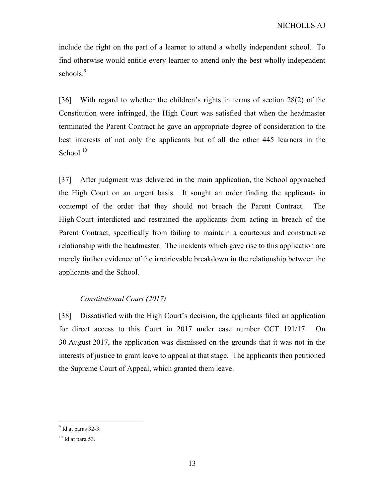include the right on the part of a learner to attend a wholly independent school. To find otherwise would entitle every learner to attend only the best wholly independent schools.<sup>9</sup>

[36] With regard to whether the children's rights in terms of section 28(2) of the Constitution were infringed, the High Court was satisfied that when the headmaster terminated the Parent Contract he gave an appropriate degree of consideration to the best interests of not only the applicants but of all the other 445 learners in the School. $10$ 

[37] After judgment was delivered in the main application, the School approached the High Court on an urgent basis. It sought an order finding the applicants in contempt of the order that they should not breach the Parent Contract. The High Court interdicted and restrained the applicants from acting in breach of the Parent Contract, specifically from failing to maintain a courteous and constructive relationship with the headmaster. The incidents which gave rise to this application are merely further evidence of the irretrievable breakdown in the relationship between the applicants and the School.

## Constitutional Court (2017)

[38] Dissatisfied with the High Court's decision, the applicants filed an application for direct access to this Court in 2017 under case number CCT 191/17. On 30 August 2017, the application was dismissed on the grounds that it was not in the interests of justice to grant leave to appeal at that stage. The applicants then petitioned the Supreme Court of Appeal, which granted them leave.

 $9$  Id at paras 32-3.

 $10$  Id at para 53.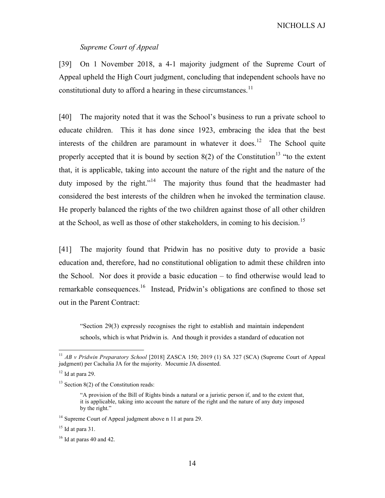### Supreme Court of Appeal

[39] On 1 November 2018, a 4-1 majority judgment of the Supreme Court of Appeal upheld the High Court judgment, concluding that independent schools have no constitutional duty to afford a hearing in these circumstances.<sup>11</sup>

[40] The majority noted that it was the School's business to run a private school to educate children. This it has done since 1923, embracing the idea that the best interests of the children are paramount in whatever it does.<sup>12</sup> The School quite properly accepted that it is bound by section  $8(2)$  of the Constitution<sup>13</sup> "to the extent that, it is applicable, taking into account the nature of the right and the nature of the duty imposed by the right."<sup>14</sup> The majority thus found that the headmaster had considered the best interests of the children when he invoked the termination clause. He properly balanced the rights of the two children against those of all other children at the School, as well as those of other stakeholders, in coming to his decision.<sup>15</sup>

[41] The majority found that Pridwin has no positive duty to provide a basic education and, therefore, had no constitutional obligation to admit these children into the School. Nor does it provide a basic education – to find otherwise would lead to remarkable consequences.<sup>16</sup> Instead, Pridwin's obligations are confined to those set out in the Parent Contract:

"Section 29(3) expressly recognises the right to establish and maintain independent schools, which is what Pridwin is. And though it provides a standard of education not

<sup>&</sup>lt;sup>11</sup> AB v Pridwin Preparatory School [2018] ZASCA 150; 2019 (1) SA 327 (SCA) (Supreme Court of Appeal judgment) per Cachalia JA for the majority. Mocumie JA dissented.

 $12$  Id at para 29.

 $13$  Section 8(2) of the Constitution reads:

<sup>&</sup>quot;A provision of the Bill of Rights binds a natural or a juristic person if, and to the extent that, it is applicable, taking into account the nature of the right and the nature of any duty imposed by the right."

<sup>&</sup>lt;sup>14</sup> Supreme Court of Appeal judgment above n 11 at para 29.

 $15$  Id at para 31.

 $16$  Id at paras 40 and 42.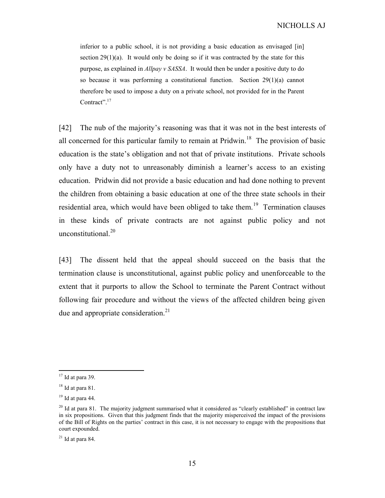inferior to a public school, it is not providing a basic education as envisaged [in] section  $29(1)(a)$ . It would only be doing so if it was contracted by the state for this purpose, as explained in Allpay v SASSA. It would then be under a positive duty to do so because it was performing a constitutional function. Section 29(1)(a) cannot therefore be used to impose a duty on a private school, not provided for in the Parent Contract".<sup>17</sup>

[42] The nub of the majority's reasoning was that it was not in the best interests of all concerned for this particular family to remain at Pridwin.<sup>18</sup> The provision of basic education is the state's obligation and not that of private institutions. Private schools only have a duty not to unreasonably diminish a learner's access to an existing education. Pridwin did not provide a basic education and had done nothing to prevent the children from obtaining a basic education at one of the three state schools in their residential area, which would have been obliged to take them.<sup>19</sup> Termination clauses in these kinds of private contracts are not against public policy and not unconstitutional.<sup>20</sup>

[43] The dissent held that the appeal should succeed on the basis that the termination clause is unconstitutional, against public policy and unenforceable to the extent that it purports to allow the School to terminate the Parent Contract without following fair procedure and without the views of the affected children being given due and appropriate consideration. $21$ 

 $17$  Id at para 39.

<sup>18</sup> Id at para 81.

 $19$  Id at para 44.

 $^{20}$  Id at para 81. The majority judgment summarised what it considered as "clearly established" in contract law in six propositions. Given that this judgment finds that the majority misperceived the impact of the provisions of the Bill of Rights on the parties' contract in this case, it is not necessary to engage with the propositions that court expounded.

 $21$  Id at para 84.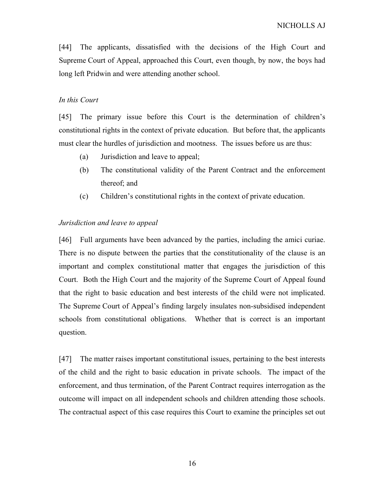[44] The applicants, dissatisfied with the decisions of the High Court and Supreme Court of Appeal, approached this Court, even though, by now, the boys had long left Pridwin and were attending another school.

### In this Court

[45] The primary issue before this Court is the determination of children's constitutional rights in the context of private education. But before that, the applicants must clear the hurdles of jurisdiction and mootness. The issues before us are thus:

- (a) Jurisdiction and leave to appeal;
- (b) The constitutional validity of the Parent Contract and the enforcement thereof; and
- (c) Children's constitutional rights in the context of private education.

### Jurisdiction and leave to appeal

[46] Full arguments have been advanced by the parties, including the amici curiae. There is no dispute between the parties that the constitutionality of the clause is an important and complex constitutional matter that engages the jurisdiction of this Court. Both the High Court and the majority of the Supreme Court of Appeal found that the right to basic education and best interests of the child were not implicated. The Supreme Court of Appeal's finding largely insulates non-subsidised independent schools from constitutional obligations. Whether that is correct is an important question.

[47] The matter raises important constitutional issues, pertaining to the best interests of the child and the right to basic education in private schools. The impact of the enforcement, and thus termination, of the Parent Contract requires interrogation as the outcome will impact on all independent schools and children attending those schools. The contractual aspect of this case requires this Court to examine the principles set out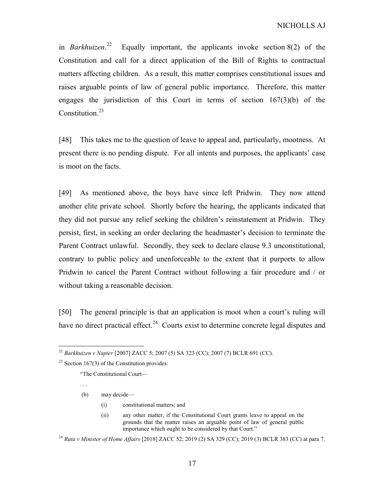in *Barkhuizen*.<sup>22</sup> Equally important, the applicants invoke section  $8(2)$  of the Constitution and call for a direct application of the Bill of Rights to contractual matters affecting children. As a result, this matter comprises constitutional issues and raises arguable points of law of general public importance. Therefore, this matter engages the jurisdiction of this Court in terms of section  $167(3)(b)$  of the Constitution.<sup>23</sup>

[48] This takes me to the question of leave to appeal and, particularly, mootness. At present there is no pending dispute. For all intents and purposes, the applicants' case is moot on the facts.

[49] As mentioned above, the boys have since left Pridwin. They now attend another elite private school. Shortly before the hearing, the applicants indicated that they did not pursue any relief seeking the children's reinstatement at Pridwin. They persist, first, in seeking an order declaring the headmaster's decision to terminate the Parent Contract unlawful. Secondly, they seek to declare clause 9.3 unconstitutional, contrary to public policy and unenforceable to the extent that it purports to allow Pridwin to cancel the Parent Contract without following a fair procedure and / or without taking a reasonable decision.

[50] The general principle is that an application is moot when a court's ruling will have no direct practical effect.<sup>24</sup> Courts exist to determine concrete legal disputes and

"The Constitutional Court—

. . .

-

(b) may decide—

- (i) constitutional matters; and
- (ii) any other matter, if the Constitutional Court grants leave to appeal on the grounds that the matter raises an arguable point of law of general public importance which ought to be considered by that Court."

<sup>24</sup> Ruta v Minister of Home Affairs [2018] ZACC 52; 2019 (2) SA 329 (CC); 2019 (3) BCLR 383 (CC) at para 7.

<sup>&</sup>lt;sup>22</sup> Barkhuizen v Napier [2007] ZACC 5; 2007 (5) SA 323 (CC); 2007 (7) BCLR 691 (CC).

<sup>&</sup>lt;sup>23</sup> Section 167(3) of the Constitution provides: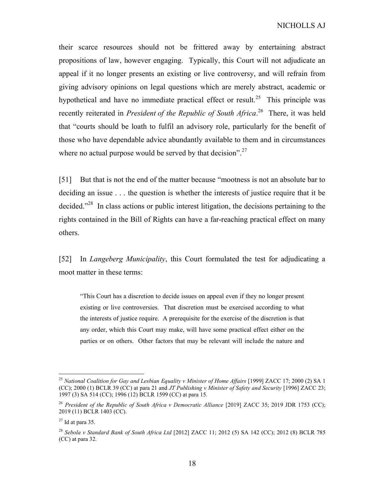their scarce resources should not be frittered away by entertaining abstract propositions of law, however engaging. Typically, this Court will not adjudicate an appeal if it no longer presents an existing or live controversy, and will refrain from giving advisory opinions on legal questions which are merely abstract, academic or hypothetical and have no immediate practical effect or result.<sup>25</sup> This principle was recently reiterated in *President of the Republic of South Africa*.<sup>26</sup> There, it was held that "courts should be loath to fulfil an advisory role, particularly for the benefit of those who have dependable advice abundantly available to them and in circumstances where no actual purpose would be served by that decision".<sup>27</sup>

[51] But that is not the end of the matter because "mootness is not an absolute bar to deciding an issue . . . the question is whether the interests of justice require that it be decided."<sup>28</sup> In class actions or public interest litigation, the decisions pertaining to the rights contained in the Bill of Rights can have a far-reaching practical effect on many others.

[52] In Langeberg Municipality, this Court formulated the test for adjudicating a moot matter in these terms:

"This Court has a discretion to decide issues on appeal even if they no longer present existing or live controversies. That discretion must be exercised according to what the interests of justice require. A prerequisite for the exercise of the discretion is that any order, which this Court may make, will have some practical effect either on the parties or on others. Other factors that may be relevant will include the nature and

<sup>&</sup>lt;sup>25</sup> National Coalition for Gay and Lesbian Equality v Minister of Home Affairs [1999] ZACC 17; 2000 (2) SA 1 (CC); 2000 (1) BCLR 39 (CC) at para 21 and JT Publishing v Minister of Safety and Security [1996] ZACC 23; 1997 (3) SA 514 (CC); 1996 (12) BCLR 1599 (CC) at para 15.

<sup>&</sup>lt;sup>26</sup> President of the Republic of South Africa v Democratic Alliance [2019] ZACC 35; 2019 JDR 1753 (CC); 2019 (11) BCLR 1403 (CC).

 $27$  Id at para 35.

<sup>&</sup>lt;sup>28</sup> Sebola v Standard Bank of South Africa Ltd [2012] ZACC 11; 2012 (5) SA 142 (CC); 2012 (8) BCLR 785 (CC) at para 32.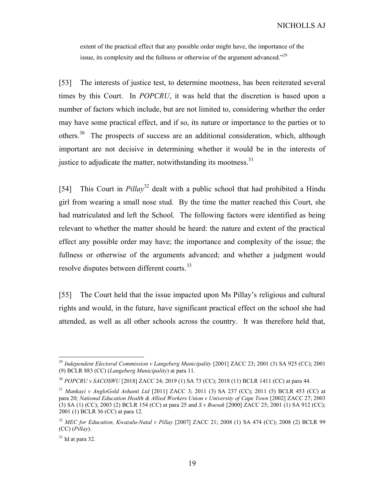extent of the practical effect that any possible order might have, the importance of the issue, its complexity and the fullness or otherwise of the argument advanced."<sup>29</sup>

[53] The interests of justice test, to determine mootness, has been reiterated several times by this Court. In POPCRU, it was held that the discretion is based upon a number of factors which include, but are not limited to, considering whether the order may have some practical effect, and if so, its nature or importance to the parties or to others.<sup>30</sup> The prospects of success are an additional consideration, which, although important are not decisive in determining whether it would be in the interests of justice to adjudicate the matter, notwithstanding its mootness.<sup>31</sup>

[54] This Court in  $Pillay<sup>32</sup>$  dealt with a public school that had prohibited a Hindu girl from wearing a small nose stud. By the time the matter reached this Court, she had matriculated and left the School. The following factors were identified as being relevant to whether the matter should be heard: the nature and extent of the practical effect any possible order may have; the importance and complexity of the issue; the fullness or otherwise of the arguments advanced; and whether a judgment would resolve disputes between different courts.<sup>33</sup>

[55] The Court held that the issue impacted upon Ms Pillay's religious and cultural rights and would, in the future, have significant practical effect on the school she had attended, as well as all other schools across the country. It was therefore held that,

<sup>&</sup>lt;sup>29</sup> Independent Electoral Commission v Langeberg Municipality [2001] ZACC 23; 2001 (3) SA 925 (CC); 2001 (9) BCLR 883 (CC) (Langeberg Municipality) at para 11.

<sup>30</sup> POPCRU v SACOSWU [2018] ZACC 24; 2019 (1) SA 73 (CC); 2018 (11) BCLR 1411 (CC) at para 44.

<sup>31</sup> Mankayi v AngloGold Ashanti Ltd [2011] ZACC 3; 2011 (3) SA 237 (CC); 2011 (5) BCLR 453 (CC) at para 20; National Education Health & Allied Workers Union v University of Cape Town [2002] ZACC 27; 2003 (3) SA (1) (CC); 2003 (2) BCLR 154 (CC) at para 25 and S v Boesak [2000] ZACC 25; 2001 (1) SA 912 (CC); 2001 (1) BCLR 36 (CC) at para 12.

<sup>&</sup>lt;sup>32</sup> MEC for Education, Kwazulu-Natal v Pillay [2007] ZACC 21; 2008 (1) SA 474 (CC); 2008 (2) BCLR 99 (CC) (Pillay).

 $33$  Id at para 32.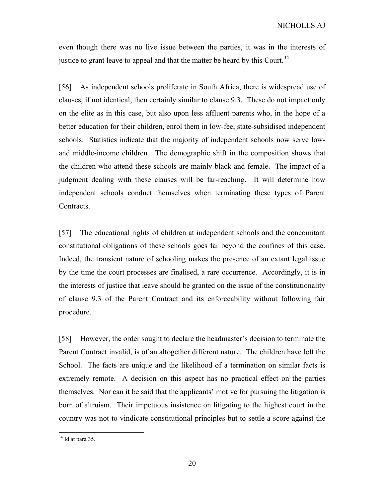even though there was no live issue between the parties, it was in the interests of justice to grant leave to appeal and that the matter be heard by this Court.<sup>34</sup>

[56] As independent schools proliferate in South Africa, there is widespread use of clauses, if not identical, then certainly similar to clause 9.3. These do not impact only on the elite as in this case, but also upon less affluent parents who, in the hope of a better education for their children, enrol them in low-fee, state-subsidised independent schools. Statistics indicate that the majority of independent schools now serve lowand middle-income children. The demographic shift in the composition shows that the children who attend these schools are mainly black and female. The impact of a judgment dealing with these clauses will be far-reaching. It will determine how independent schools conduct themselves when terminating these types of Parent Contracts.

[57] The educational rights of children at independent schools and the concomitant constitutional obligations of these schools goes far beyond the confines of this case. Indeed, the transient nature of schooling makes the presence of an extant legal issue by the time the court processes are finalised, a rare occurrence. Accordingly, it is in the interests of justice that leave should be granted on the issue of the constitutionality of clause 9.3 of the Parent Contract and its enforceability without following fair procedure.

[58] However, the order sought to declare the headmaster's decision to terminate the Parent Contract invalid, is of an altogether different nature. The children have left the School. The facts are unique and the likelihood of a termination on similar facts is extremely remote. A decision on this aspect has no practical effect on the parties themselves. Nor can it be said that the applicants' motive for pursuing the litigation is born of altruism. Their impetuous insistence on litigating to the highest court in the country was not to vindicate constitutional principles but to settle a score against the

 $34$  Id at para 35.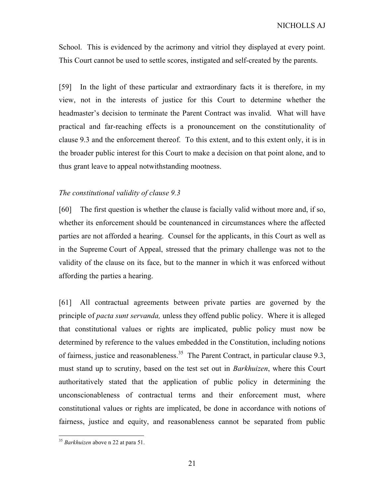School. This is evidenced by the acrimony and vitriol they displayed at every point. This Court cannot be used to settle scores, instigated and self-created by the parents.

[59] In the light of these particular and extraordinary facts it is therefore, in my view, not in the interests of justice for this Court to determine whether the headmaster's decision to terminate the Parent Contract was invalid. What will have practical and far-reaching effects is a pronouncement on the constitutionality of clause 9.3 and the enforcement thereof. To this extent, and to this extent only, it is in the broader public interest for this Court to make a decision on that point alone, and to thus grant leave to appeal notwithstanding mootness.

### The constitutional validity of clause 9.3

[60] The first question is whether the clause is facially valid without more and, if so, whether its enforcement should be countenanced in circumstances where the affected parties are not afforded a hearing. Counsel for the applicants, in this Court as well as in the Supreme Court of Appeal, stressed that the primary challenge was not to the validity of the clause on its face, but to the manner in which it was enforced without affording the parties a hearing.

[61] All contractual agreements between private parties are governed by the principle of pacta sunt servanda, unless they offend public policy. Where it is alleged that constitutional values or rights are implicated, public policy must now be determined by reference to the values embedded in the Constitution, including notions of fairness, justice and reasonableness.<sup>35</sup> The Parent Contract, in particular clause 9.3, must stand up to scrutiny, based on the test set out in Barkhuizen, where this Court authoritatively stated that the application of public policy in determining the unconscionableness of contractual terms and their enforcement must, where constitutional values or rights are implicated, be done in accordance with notions of fairness, justice and equity, and reasonableness cannot be separated from public

<sup>&</sup>lt;sup>35</sup> Barkhuizen above n 22 at para 51.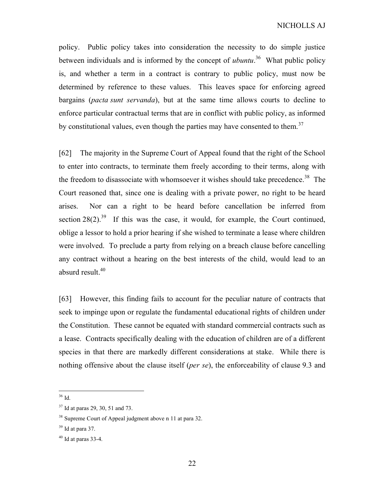policy. Public policy takes into consideration the necessity to do simple justice between individuals and is informed by the concept of *ubuntu*.<sup>36</sup> What public policy is, and whether a term in a contract is contrary to public policy, must now be determined by reference to these values. This leaves space for enforcing agreed bargains (pacta sunt servanda), but at the same time allows courts to decline to enforce particular contractual terms that are in conflict with public policy, as informed by constitutional values, even though the parties may have consented to them.<sup>37</sup>

[62] The majority in the Supreme Court of Appeal found that the right of the School to enter into contracts, to terminate them freely according to their terms, along with the freedom to disassociate with whomsoever it wishes should take precedence.<sup>38</sup> The Court reasoned that, since one is dealing with a private power, no right to be heard arises. Nor can a right to be heard before cancellation be inferred from section  $28(2)$ <sup>39</sup> If this was the case, it would, for example, the Court continued, oblige a lessor to hold a prior hearing if she wished to terminate a lease where children were involved. To preclude a party from relying on a breach clause before cancelling any contract without a hearing on the best interests of the child, would lead to an absurd result. $40$ 

[63] However, this finding fails to account for the peculiar nature of contracts that seek to impinge upon or regulate the fundamental educational rights of children under the Constitution. These cannot be equated with standard commercial contracts such as a lease. Contracts specifically dealing with the education of children are of a different species in that there are markedly different considerations at stake. While there is nothing offensive about the clause itself (per se), the enforceability of clause 9.3 and

 $36$  Id.

<sup>37</sup> Id at paras 29, 30, 51 and 73.

<sup>38</sup> Supreme Court of Appeal judgment above n 11 at para 32.

 $39$  Id at para 37.

 $40$  Id at paras 33-4.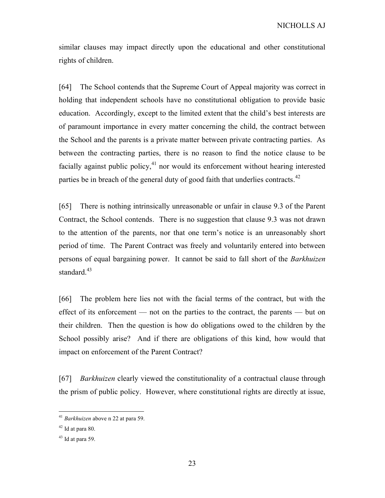similar clauses may impact directly upon the educational and other constitutional rights of children.

[64] The School contends that the Supreme Court of Appeal majority was correct in holding that independent schools have no constitutional obligation to provide basic education. Accordingly, except to the limited extent that the child's best interests are of paramount importance in every matter concerning the child, the contract between the School and the parents is a private matter between private contracting parties. As between the contracting parties, there is no reason to find the notice clause to be facially against public policy, $^{41}$  nor would its enforcement without hearing interested parties be in breach of the general duty of good faith that underlies contracts. $42$ 

[65] There is nothing intrinsically unreasonable or unfair in clause 9.3 of the Parent Contract, the School contends. There is no suggestion that clause 9.3 was not drawn to the attention of the parents, nor that one term's notice is an unreasonably short period of time. The Parent Contract was freely and voluntarily entered into between persons of equal bargaining power. It cannot be said to fall short of the Barkhuizen standard.<sup>43</sup>

[66] The problem here lies not with the facial terms of the contract, but with the effect of its enforcement — not on the parties to the contract, the parents — but on their children. Then the question is how do obligations owed to the children by the School possibly arise? And if there are obligations of this kind, how would that impact on enforcement of the Parent Contract?

[67] *Barkhuizen* clearly viewed the constitutionality of a contractual clause through the prism of public policy. However, where constitutional rights are directly at issue,

 $41$  *Barkhuizen* above n 22 at para 59.

 $42$  Id at para 80.

 $43$  Id at para 59.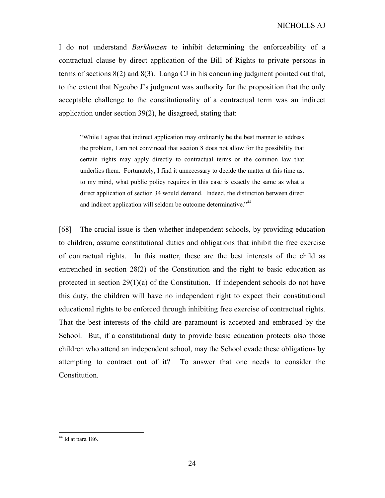I do not understand Barkhuizen to inhibit determining the enforceability of a contractual clause by direct application of the Bill of Rights to private persons in terms of sections 8(2) and 8(3). Langa CJ in his concurring judgment pointed out that, to the extent that Ngcobo J's judgment was authority for the proposition that the only acceptable challenge to the constitutionality of a contractual term was an indirect application under section 39(2), he disagreed, stating that:

"While I agree that indirect application may ordinarily be the best manner to address the problem, I am not convinced that section 8 does not allow for the possibility that certain rights may apply directly to contractual terms or the common law that underlies them. Fortunately, I find it unnecessary to decide the matter at this time as, to my mind, what public policy requires in this case is exactly the same as what a direct application of section 34 would demand. Indeed, the distinction between direct and indirect application will seldom be outcome determinative."<sup>44</sup>

[68] The crucial issue is then whether independent schools, by providing education to children, assume constitutional duties and obligations that inhibit the free exercise of contractual rights. In this matter, these are the best interests of the child as entrenched in section 28(2) of the Constitution and the right to basic education as protected in section 29(1)(a) of the Constitution. If independent schools do not have this duty, the children will have no independent right to expect their constitutional educational rights to be enforced through inhibiting free exercise of contractual rights. That the best interests of the child are paramount is accepted and embraced by the School. But, if a constitutional duty to provide basic education protects also those children who attend an independent school, may the School evade these obligations by attempting to contract out of it? To answer that one needs to consider the Constitution.

 $44$  Id at para 186.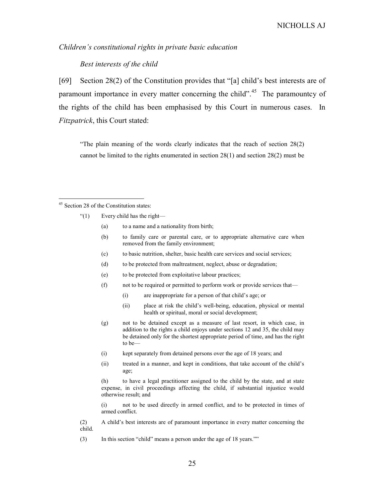Children's constitutional rights in private basic education

Best interests of the child

[69] Section 28(2) of the Constitution provides that "[a] child's best interests are of paramount importance in every matter concerning the child".<sup>45</sup> The paramountcy of the rights of the child has been emphasised by this Court in numerous cases. In Fitzpatrick, this Court stated:

"The plain meaning of the words clearly indicates that the reach of section 28(2) cannot be limited to the rights enumerated in section 28(1) and section 28(2) must be

-

- "(1) Every child has the right—
	- (a) to a name and a nationality from birth;
	- (b) to family care or parental care, or to appropriate alternative care when removed from the family environment;
	- (c) to basic nutrition, shelter, basic health care services and social services;
	- (d) to be protected from maltreatment, neglect, abuse or degradation;
	- (e) to be protected from exploitative labour practices;
	- (f) not to be required or permitted to perform work or provide services that—
		- (i) are inappropriate for a person of that child's age; or
		- (ii) place at risk the child's well-being, education, physical or mental health or spiritual, moral or social development;
	- (g) not to be detained except as a measure of last resort, in which case, in addition to the rights a child enjoys under sections 12 and 35, the child may be detained only for the shortest appropriate period of time, and has the right to be—
	- (i) kept separately from detained persons over the age of 18 years; and
	- (ii) treated in a manner, and kept in conditions, that take account of the child's age;

(h) to have a legal practitioner assigned to the child by the state, and at state expense, in civil proceedings affecting the child, if substantial injustice would otherwise result; and

(i) not to be used directly in armed conflict, and to be protected in times of armed conflict.

(2) A child's best interests are of paramount importance in every matter concerning the child.

(3) In this section "child" means a person under the age of 18 years.""

<sup>&</sup>lt;sup>45</sup> Section 28 of the Constitution states: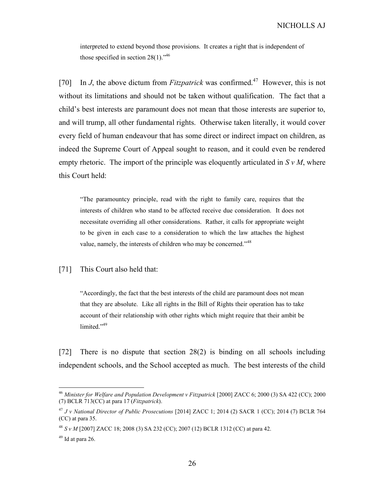interpreted to extend beyond those provisions. It creates a right that is independent of those specified in section  $28(1)$ ."<sup>46</sup>

[70] In J, the above dictum from *Fitzpatrick* was confirmed.<sup>47</sup> However, this is not without its limitations and should not be taken without qualification. The fact that a child's best interests are paramount does not mean that those interests are superior to, and will trump, all other fundamental rights. Otherwise taken literally, it would cover every field of human endeavour that has some direct or indirect impact on children, as indeed the Supreme Court of Appeal sought to reason, and it could even be rendered empty rhetoric. The import of the principle was eloquently articulated in  $S v M$ , where this Court held:

"The paramountcy principle, read with the right to family care, requires that the interests of children who stand to be affected receive due consideration. It does not necessitate overriding all other considerations. Rather, it calls for appropriate weight to be given in each case to a consideration to which the law attaches the highest value, namely, the interests of children who may be concerned."<sup>48</sup>

[71] This Court also held that:

"Accordingly, the fact that the best interests of the child are paramount does not mean that they are absolute. Like all rights in the Bill of Rights their operation has to take account of their relationship with other rights which might require that their ambit be limited."<sup>49</sup>

[72] There is no dispute that section 28(2) is binding on all schools including independent schools, and the School accepted as much. The best interests of the child

<sup>&</sup>lt;sup>46</sup> Minister for Welfare and Population Development v Fitzpatrick [2000] ZACC 6; 2000 (3) SA 422 (CC); 2000 (7) BCLR 713(CC) at para 17 ( $Fitzpatrick$ ).

<sup>47</sup> J v National Director of Public Prosecutions [2014] ZACC 1; 2014 (2) SACR 1 (CC); 2014 (7) BCLR 764 (CC) at para 35.

<sup>48</sup> S v M [2007] ZACC 18; 2008 (3) SA 232 (CC); 2007 (12) BCLR 1312 (CC) at para 42.

 $49$  Id at para 26.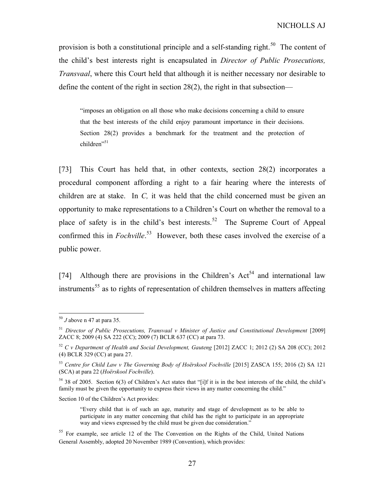provision is both a constitutional principle and a self-standing right.<sup>50</sup> The content of the child's best interests right is encapsulated in Director of Public Prosecutions, Transvaal, where this Court held that although it is neither necessary nor desirable to define the content of the right in section 28(2), the right in that subsection—

"imposes an obligation on all those who make decisions concerning a child to ensure that the best interests of the child enjoy paramount importance in their decisions. Section 28(2) provides a benchmark for the treatment and the protection of  $children$ <sup>51</sup>

[73] This Court has held that, in other contexts, section 28(2) incorporates a procedural component affording a right to a fair hearing where the interests of children are at stake. In  $C$ , it was held that the child concerned must be given an opportunity to make representations to a Children's Court on whether the removal to a place of safety is in the child's best interests.<sup>52</sup> The Supreme Court of Appeal confirmed this in *Fochville*.<sup>53</sup> However, both these cases involved the exercise of a public power.

[74] Although there are provisions in the Children's  $Act<sup>54</sup>$  and international law instruments<sup>55</sup> as to rights of representation of children themselves in matters affecting

-

#### Section 10 of the Children's Act provides:

 $50$  J above n 47 at para 35.

 $51$  Director of Public Prosecutions, Transvaal v Minister of Justice and Constitutional Development [2009] ZACC 8; 2009 (4) SA 222 (CC); 2009 (7) BCLR 637 (CC) at para 73.

 $52$  C v Department of Health and Social Development, Gauteng [2012] ZACC 1; 2012 (2) SA 208 (CC); 2012 (4) BCLR 329 (CC) at para 27.

<sup>53</sup> Centre for Child Law v The Governing Body of Hoërskool Fochville [2015] ZASCA 155; 2016 (2) SA 121 (SCA) at para 22 (Hoërskool Fochville).

<sup>54</sup> 38 of 2005. Section 6(3) of Children's Act states that "[i]f it is in the best interests of the child, the child's family must be given the opportunity to express their views in any matter concerning the child."

<sup>&</sup>quot;Every child that is of such an age, maturity and stage of development as to be able to participate in any matter concerning that child has the right to participate in an appropriate way and views expressed by the child must be given due consideration."

<sup>&</sup>lt;sup>55</sup> For example, see article 12 of the The Convention on the Rights of the Child, United Nations General Assembly, adopted 20 November 1989 (Convention), which provides: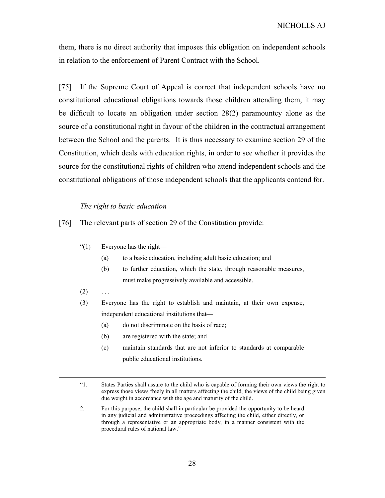them, there is no direct authority that imposes this obligation on independent schools in relation to the enforcement of Parent Contract with the School.

[75] If the Supreme Court of Appeal is correct that independent schools have no constitutional educational obligations towards those children attending them, it may be difficult to locate an obligation under section 28(2) paramountcy alone as the source of a constitutional right in favour of the children in the contractual arrangement between the School and the parents. It is thus necessary to examine section 29 of the Constitution, which deals with education rights, in order to see whether it provides the source for the constitutional rights of children who attend independent schools and the constitutional obligations of those independent schools that the applicants contend for.

#### The right to basic education

[76] The relevant parts of section 29 of the Constitution provide:

- "(1) Everyone has the right—
	- (a) to a basic education, including adult basic education; and
	- (b) to further education, which the state, through reasonable measures, must make progressively available and accessible.
- $(2) \quad \ldots$

 $\overline{a}$ 

- (3) Everyone has the right to establish and maintain, at their own expense, independent educational institutions that—
	- (a) do not discriminate on the basis of race;
	- (b) are registered with the state; and
	- (c) maintain standards that are not inferior to standards at comparable public educational institutions.

<sup>&</sup>quot;1. States Parties shall assure to the child who is capable of forming their own views the right to express those views freely in all matters affecting the child, the views of the child being given due weight in accordance with the age and maturity of the child.

<sup>2.</sup> For this purpose, the child shall in particular be provided the opportunity to be heard in any judicial and administrative proceedings affecting the child, either directly, or through a representative or an appropriate body, in a manner consistent with the procedural rules of national law."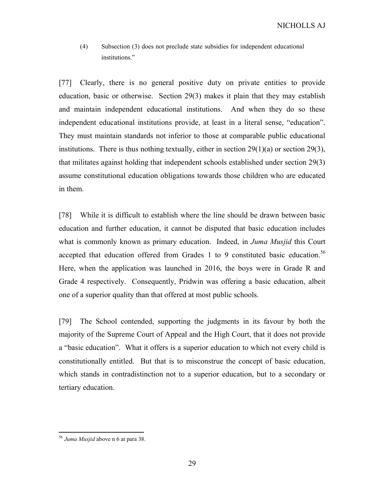(4) Subsection (3) does not preclude state subsidies for independent educational institutions."

[77] Clearly, there is no general positive duty on private entities to provide education, basic or otherwise. Section 29(3) makes it plain that they may establish and maintain independent educational institutions. And when they do so these independent educational institutions provide, at least in a literal sense, "education". They must maintain standards not inferior to those at comparable public educational institutions. There is thus nothing textually, either in section 29(1)(a) or section 29(3), that militates against holding that independent schools established under section 29(3) assume constitutional education obligations towards those children who are educated in them.

[78] While it is difficult to establish where the line should be drawn between basic education and further education, it cannot be disputed that basic education includes what is commonly known as primary education. Indeed, in Juma Musjid this Court accepted that education offered from Grades 1 to 9 constituted basic education.<sup>56</sup> Here, when the application was launched in 2016, the boys were in Grade R and Grade 4 respectively. Consequently, Pridwin was offering a basic education, albeit one of a superior quality than that offered at most public schools.

[79] The School contended, supporting the judgments in its favour by both the majority of the Supreme Court of Appeal and the High Court, that it does not provide a "basic education". What it offers is a superior education to which not every child is constitutionally entitled. But that is to misconstrue the concept of basic education, which stands in contradistinction not to a superior education, but to a secondary or tertiary education.

 $56$  Juma Musjid above n 6 at para 38.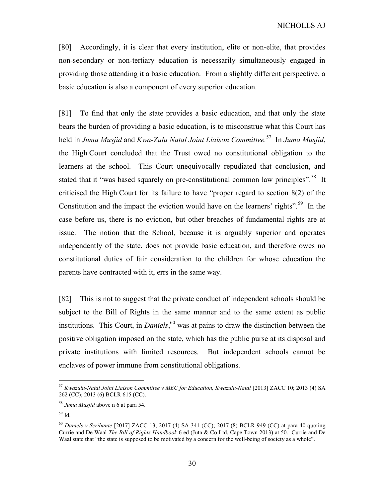[80] Accordingly, it is clear that every institution, elite or non-elite, that provides non-secondary or non-tertiary education is necessarily simultaneously engaged in providing those attending it a basic education. From a slightly different perspective, a basic education is also a component of every superior education.

[81] To find that only the state provides a basic education, and that only the state bears the burden of providing a basic education, is to misconstrue what this Court has held in Juma Musjid and Kwa-Zulu Natal Joint Liaison Committee.<sup>57</sup> In Juma Musjid, the High Court concluded that the Trust owed no constitutional obligation to the learners at the school. This Court unequivocally repudiated that conclusion, and stated that it "was based squarely on pre-constitutional common law principles".<sup>58</sup> It criticised the High Court for its failure to have "proper regard to section 8(2) of the Constitution and the impact the eviction would have on the learners' rights".<sup>59</sup> In the case before us, there is no eviction, but other breaches of fundamental rights are at issue. The notion that the School, because it is arguably superior and operates independently of the state, does not provide basic education, and therefore owes no constitutional duties of fair consideration to the children for whose education the parents have contracted with it, errs in the same way.

[82] This is not to suggest that the private conduct of independent schools should be subject to the Bill of Rights in the same manner and to the same extent as public institutions. This Court, in *Daniels*,  $60$  was at pains to draw the distinction between the positive obligation imposed on the state, which has the public purse at its disposal and private institutions with limited resources. But independent schools cannot be enclaves of power immune from constitutional obligations.

 $^{57}$  Kwazulu-Natal Joint Liaison Committee v MEC for Education, Kwazulu-Natal [2013] ZACC 10; 2013 (4) SA 262 (CC); 2013 (6) BCLR 615 (CC).

 $58$  Juma Musjid above n 6 at para 54.

<sup>59</sup> Id.

 $^{60}$  Daniels v Scribante [2017] ZACC 13; 2017 (4) SA 341 (CC); 2017 (8) BCLR 949 (CC) at para 40 quoting Currie and De Waal The Bill of Rights Handbook 6 ed (Juta & Co Ltd, Cape Town 2013) at 50. Currie and De Waal state that "the state is supposed to be motivated by a concern for the well-being of society as a whole".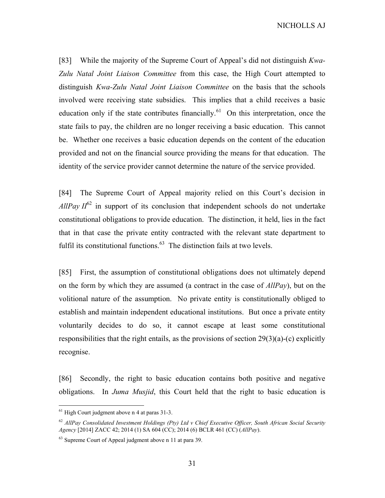[83] While the majority of the Supreme Court of Appeal's did not distinguish Kwa-Zulu Natal Joint Liaison Committee from this case, the High Court attempted to distinguish Kwa-Zulu Natal Joint Liaison Committee on the basis that the schools involved were receiving state subsidies. This implies that a child receives a basic education only if the state contributes financially.<sup>61</sup> On this interpretation, once the state fails to pay, the children are no longer receiving a basic education. This cannot be. Whether one receives a basic education depends on the content of the education provided and not on the financial source providing the means for that education. The identity of the service provider cannot determine the nature of the service provided.

[84] The Supreme Court of Appeal majority relied on this Court's decision in AllPay  $II^{62}$  in support of its conclusion that independent schools do not undertake constitutional obligations to provide education. The distinction, it held, lies in the fact that in that case the private entity contracted with the relevant state department to fulfil its constitutional functions. $63$  The distinction fails at two levels.

[85] First, the assumption of constitutional obligations does not ultimately depend on the form by which they are assumed (a contract in the case of  $AllPay$ ), but on the volitional nature of the assumption. No private entity is constitutionally obliged to establish and maintain independent educational institutions. But once a private entity voluntarily decides to do so, it cannot escape at least some constitutional responsibilities that the right entails, as the provisions of section 29(3)(a)-(c) explicitly recognise.

[86] Secondly, the right to basic education contains both positive and negative obligations. In Juma Musjid, this Court held that the right to basic education is

 $<sup>61</sup>$  High Court judgment above n 4 at paras 31-3.</sup>

 $62$  AllPay Consolidated Investment Holdings (Pty) Ltd v Chief Executive Officer, South African Social Security Agency [2014] ZACC 42; 2014 (1) SA 604 (CC); 2014 (6) BCLR 461 (CC) (AllPay).

 $63$  Supreme Court of Appeal judgment above n 11 at para 39.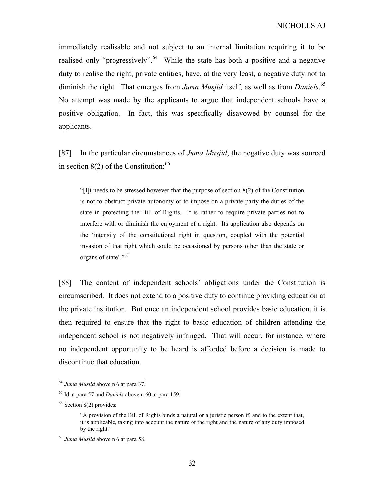immediately realisable and not subject to an internal limitation requiring it to be realised only "progressively".<sup>64</sup> While the state has both a positive and a negative duty to realise the right, private entities, have, at the very least, a negative duty not to diminish the right. That emerges from Juma Musjid itself, as well as from Daniels.<sup>65</sup> No attempt was made by the applicants to argue that independent schools have a positive obligation. In fact, this was specifically disavowed by counsel for the applicants.

[87] In the particular circumstances of *Juma Musjid*, the negative duty was sourced in section  $8(2)$  of the Constitution: <sup>66</sup>

"[I]t needs to be stressed however that the purpose of section 8(2) of the Constitution is not to obstruct private autonomy or to impose on a private party the duties of the state in protecting the Bill of Rights. It is rather to require private parties not to interfere with or diminish the enjoyment of a right. Its application also depends on the 'intensity of the constitutional right in question, coupled with the potential invasion of that right which could be occasioned by persons other than the state or organs of state'."<sup>67</sup>

[88] The content of independent schools' obligations under the Constitution is circumscribed. It does not extend to a positive duty to continue providing education at the private institution. But once an independent school provides basic education, it is then required to ensure that the right to basic education of children attending the independent school is not negatively infringed. That will occur, for instance, where no independent opportunity to be heard is afforded before a decision is made to discontinue that education.

 $64$  Juma Musjid above n 6 at para 37.

 $65$  Id at para 57 and *Daniels* above n 60 at para 159.

 $66$  Section 8(2) provides:

<sup>&</sup>quot;A provision of the Bill of Rights binds a natural or a juristic person if, and to the extent that, it is applicable, taking into account the nature of the right and the nature of any duty imposed by the right."

 $^{67}$  Juma Musjid above n 6 at para 58.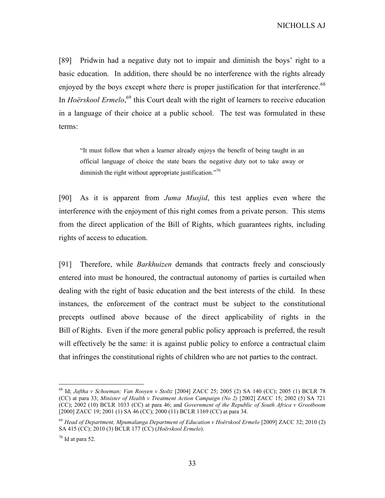[89] Pridwin had a negative duty not to impair and diminish the boys' right to a basic education. In addition, there should be no interference with the rights already enjoyed by the boys except where there is proper justification for that interference.<sup>68</sup> In *Hoërskool Ermelo*,<sup>69</sup> this Court dealt with the right of learners to receive education in a language of their choice at a public school. The test was formulated in these terms:

"It must follow that when a learner already enjoys the benefit of being taught in an official language of choice the state bears the negative duty not to take away or diminish the right without appropriate justification."<sup>70</sup>

[90] As it is apparent from Juma Musjid, this test applies even where the interference with the enjoyment of this right comes from a private person. This stems from the direct application of the Bill of Rights, which guarantees rights, including rights of access to education.

[91] Therefore, while *Barkhuizen* demands that contracts freely and consciously entered into must be honoured, the contractual autonomy of parties is curtailed when dealing with the right of basic education and the best interests of the child. In these instances, the enforcement of the contract must be subject to the constitutional precepts outlined above because of the direct applicability of rights in the Bill of Rights. Even if the more general public policy approach is preferred, the result will effectively be the same: it is against public policy to enforce a contractual claim that infringes the constitutional rights of children who are not parties to the contract.

<sup>68</sup> Id; Jaftha v Schoeman; Van Rooyen v Stoltz [2004] ZACC 25; 2005 (2) SA 140 (CC); 2005 (1) BCLR 78 (CC) at para 33; Minister of Health v Treatment Action Campaign (No 2) [2002] ZACC 15; 2002 (5) SA 721 (CC); 2002 (10) BCLR 1033 (CC) at para 46; and Government of the Republic of South Africa v Grootboom [2000] ZACC 19; 2001 (1) SA 46 (CC); 2000 (11) BCLR 1169 (CC) at para 34.

<sup>69</sup> Head of Department, Mpumalanga Department of Education v Hoërskool Ermelo [2009] ZACC 32; 2010 (2) SA 415 (CC); 2010 (3) BCLR 177 (CC) (Hoërskool Ermelo).

 $70$  Id at para 52.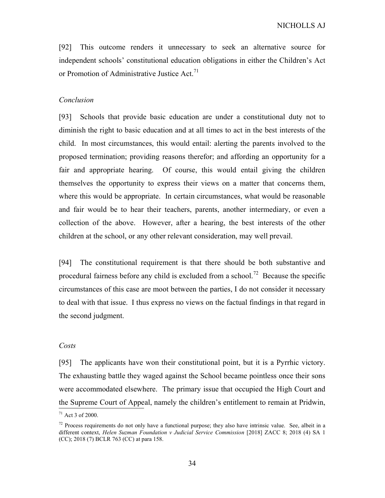[92] This outcome renders it unnecessary to seek an alternative source for independent schools' constitutional education obligations in either the Children's Act or Promotion of Administrative Justice Act.<sup>71</sup>

### Conclusion

[93] Schools that provide basic education are under a constitutional duty not to diminish the right to basic education and at all times to act in the best interests of the child. In most circumstances, this would entail: alerting the parents involved to the proposed termination; providing reasons therefor; and affording an opportunity for a fair and appropriate hearing. Of course, this would entail giving the children themselves the opportunity to express their views on a matter that concerns them, where this would be appropriate. In certain circumstances, what would be reasonable and fair would be to hear their teachers, parents, another intermediary, or even a collection of the above. However, after a hearing, the best interests of the other children at the school, or any other relevant consideration, may well prevail.

[94] The constitutional requirement is that there should be both substantive and procedural fairness before any child is excluded from a school.<sup>72</sup> Because the specific circumstances of this case are moot between the parties, I do not consider it necessary to deal with that issue. I thus express no views on the factual findings in that regard in the second judgment.

#### Costs

 $\frac{1}{1}$ [95] The applicants have won their constitutional point, but it is a Pyrrhic victory. The exhausting battle they waged against the School became pointless once their sons were accommodated elsewhere. The primary issue that occupied the High Court and the Supreme Court of Appeal, namely the children's entitlement to remain at Pridwin,

<sup>71</sup> Act 3 of 2000.

<sup>&</sup>lt;sup>72</sup> Process requirements do not only have a functional purpose; they also have intrinsic value. See, albeit in a different context, Helen Suzman Foundation v Judicial Service Commission [2018] ZACC 8; 2018 (4) SA 1 (CC); 2018 (7) BCLR 763 (CC) at para 158.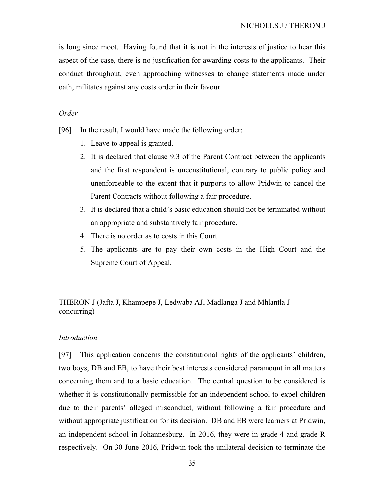is long since moot. Having found that it is not in the interests of justice to hear this aspect of the case, there is no justification for awarding costs to the applicants. Their conduct throughout, even approaching witnesses to change statements made under oath, militates against any costs order in their favour.

#### Order

- [96] In the result, I would have made the following order:
	- 1. Leave to appeal is granted.
	- 2. It is declared that clause 9.3 of the Parent Contract between the applicants and the first respondent is unconstitutional, contrary to public policy and unenforceable to the extent that it purports to allow Pridwin to cancel the Parent Contracts without following a fair procedure.
	- 3. It is declared that a child's basic education should not be terminated without an appropriate and substantively fair procedure.
	- 4. There is no order as to costs in this Court.
	- 5. The applicants are to pay their own costs in the High Court and the Supreme Court of Appeal.

THERON J (Jafta J, Khampepe J, Ledwaba AJ, Madlanga J and Mhlantla J concurring)

#### Introduction

[97] This application concerns the constitutional rights of the applicants' children, two boys, DB and EB, to have their best interests considered paramount in all matters concerning them and to a basic education. The central question to be considered is whether it is constitutionally permissible for an independent school to expel children due to their parents' alleged misconduct, without following a fair procedure and without appropriate justification for its decision. DB and EB were learners at Pridwin, an independent school in Johannesburg. In 2016, they were in grade 4 and grade R respectively. On 30 June 2016, Pridwin took the unilateral decision to terminate the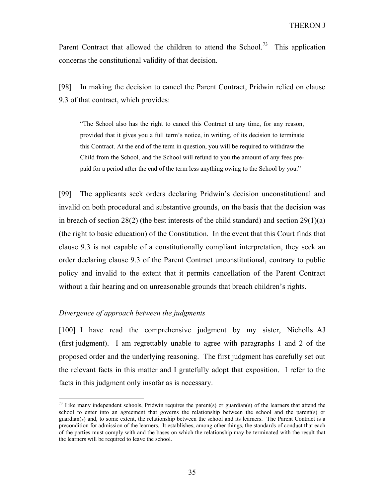Parent Contract that allowed the children to attend the School.<sup>73</sup> This application concerns the constitutional validity of that decision.

[98] In making the decision to cancel the Parent Contract, Pridwin relied on clause 9.3 of that contract, which provides:

"The School also has the right to cancel this Contract at any time, for any reason, provided that it gives you a full term's notice, in writing, of its decision to terminate this Contract. At the end of the term in question, you will be required to withdraw the Child from the School, and the School will refund to you the amount of any fees prepaid for a period after the end of the term less anything owing to the School by you."

[99] The applicants seek orders declaring Pridwin's decision unconstitutional and invalid on both procedural and substantive grounds, on the basis that the decision was in breach of section  $28(2)$  (the best interests of the child standard) and section  $29(1)(a)$ (the right to basic education) of the Constitution. In the event that this Court finds that clause 9.3 is not capable of a constitutionally compliant interpretation, they seek an order declaring clause 9.3 of the Parent Contract unconstitutional, contrary to public policy and invalid to the extent that it permits cancellation of the Parent Contract without a fair hearing and on unreasonable grounds that breach children's rights.

#### Divergence of approach between the judgments

-

[100] I have read the comprehensive judgment by my sister, Nicholls AJ (first judgment). I am regrettably unable to agree with paragraphs 1 and 2 of the proposed order and the underlying reasoning. The first judgment has carefully set out the relevant facts in this matter and I gratefully adopt that exposition. I refer to the facts in this judgment only insofar as is necessary.

 $73$  Like many independent schools, Pridwin requires the parent(s) or guardian(s) of the learners that attend the school to enter into an agreement that governs the relationship between the school and the parent(s) or guardian(s) and, to some extent, the relationship between the school and its learners. The Parent Contract is a precondition for admission of the learners. It establishes, among other things, the standards of conduct that each of the parties must comply with and the bases on which the relationship may be terminated with the result that the learners will be required to leave the school.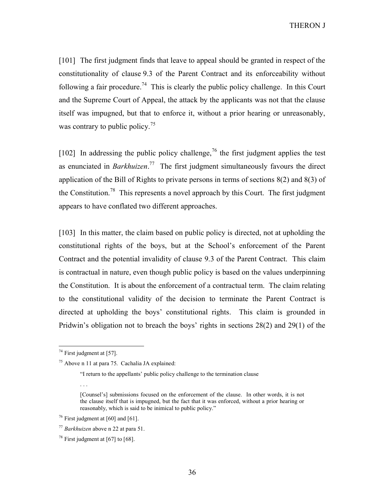[101] The first judgment finds that leave to appeal should be granted in respect of the constitutionality of clause 9.3 of the Parent Contract and its enforceability without following a fair procedure.<sup>74</sup> This is clearly the public policy challenge. In this Court and the Supreme Court of Appeal, the attack by the applicants was not that the clause itself was impugned, but that to enforce it, without a prior hearing or unreasonably, was contrary to public policy.<sup>75</sup>

 $[102]$  In addressing the public policy challenge, <sup>76</sup> the first judgment applies the test as enunciated in *Barkhuizen*.<sup>77</sup> The first judgment simultaneously favours the direct application of the Bill of Rights to private persons in terms of sections 8(2) and 8(3) of the Constitution.<sup>78</sup> This represents a novel approach by this Court. The first judgment appears to have conflated two different approaches.

[103] In this matter, the claim based on public policy is directed, not at upholding the constitutional rights of the boys, but at the School's enforcement of the Parent Contract and the potential invalidity of clause 9.3 of the Parent Contract. This claim is contractual in nature, even though public policy is based on the values underpinning the Constitution. It is about the enforcement of a contractual term. The claim relating to the constitutional validity of the decision to terminate the Parent Contract is directed at upholding the boys' constitutional rights. This claim is grounded in Pridwin's obligation not to breach the boys' rights in sections 28(2) and 29(1) of the

. . .

 $74$  First judgment at [57].

<sup>75</sup> Above n 11 at para 75. Cachalia JA explained:

<sup>&</sup>quot;I return to the appellants' public policy challenge to the termination clause

<sup>[</sup>Counsel's] submissions focused on the enforcement of the clause. In other words, it is not the clause itself that is impugned, but the fact that it was enforced, without a prior hearing or reasonably, which is said to be inimical to public policy."

 $76$  First judgment at [60] and [61].

 $77$  Barkhuizen above n 22 at para 51.

<sup>&</sup>lt;sup>78</sup> First judgment at [67] to [68].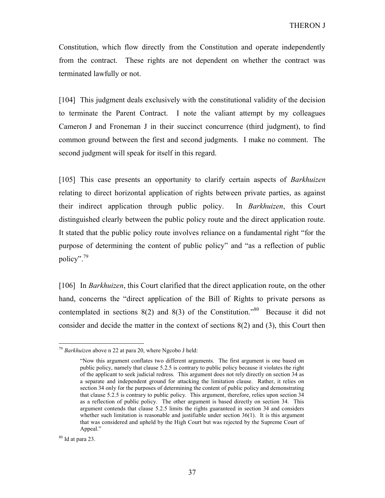Constitution, which flow directly from the Constitution and operate independently from the contract. These rights are not dependent on whether the contract was terminated lawfully or not.

[104] This judgment deals exclusively with the constitutional validity of the decision to terminate the Parent Contract. I note the valiant attempt by my colleagues Cameron J and Froneman J in their succinct concurrence (third judgment), to find common ground between the first and second judgments. I make no comment. The second judgment will speak for itself in this regard.

[105] This case presents an opportunity to clarify certain aspects of Barkhuizen relating to direct horizontal application of rights between private parties, as against their indirect application through public policy. In Barkhuizen, this Court distinguished clearly between the public policy route and the direct application route. It stated that the public policy route involves reliance on a fundamental right "for the purpose of determining the content of public policy" and "as a reflection of public policy".<sup>79</sup>

[106] In *Barkhuizen*, this Court clarified that the direct application route, on the other hand, concerns the "direct application of the Bill of Rights to private persons as contemplated in sections  $8(2)$  and  $8(3)$  of the Constitution.<sup>80</sup> Because it did not consider and decide the matter in the context of sections 8(2) and (3), this Court then

 $80$  Id at para 23.

 $79$  Barkhuizen above n 22 at para 20, where Ngcobo J held:

<sup>&</sup>quot;Now this argument conflates two different arguments. The first argument is one based on public policy, namely that clause 5.2.5 is contrary to public policy because it violates the right of the applicant to seek judicial redress. This argument does not rely directly on section 34 as a separate and independent ground for attacking the limitation clause. Rather, it relies on section 34 only for the purposes of determining the content of public policy and demonstrating that clause 5.2.5 is contrary to public policy. This argument, therefore, relies upon section 34 as a reflection of public policy. The other argument is based directly on section 34. This argument contends that clause 5.2.5 limits the rights guaranteed in section 34 and considers whether such limitation is reasonable and justifiable under section 36(1). It is this argument that was considered and upheld by the High Court but was rejected by the Supreme Court of Appeal."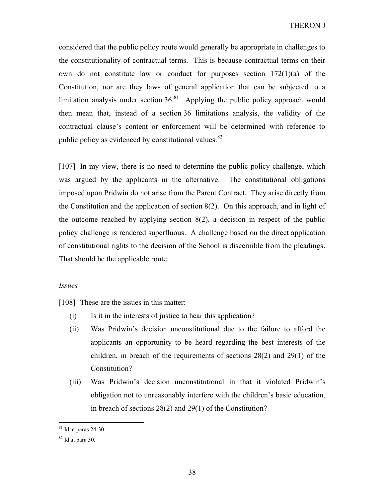considered that the public policy route would generally be appropriate in challenges to the constitutionality of contractual terms. This is because contractual terms on their own do not constitute law or conduct for purposes section 172(1)(a) of the Constitution, nor are they laws of general application that can be subjected to a limitation analysis under section  $36<sup>81</sup>$  Applying the public policy approach would then mean that, instead of a section 36 limitations analysis, the validity of the contractual clause's content or enforcement will be determined with reference to public policy as evidenced by constitutional values. $82$ 

[107] In my view, there is no need to determine the public policy challenge, which was argued by the applicants in the alternative. The constitutional obligations imposed upon Pridwin do not arise from the Parent Contract. They arise directly from the Constitution and the application of section 8(2). On this approach, and in light of the outcome reached by applying section 8(2), a decision in respect of the public policy challenge is rendered superfluous. A challenge based on the direct application of constitutional rights to the decision of the School is discernible from the pleadings. That should be the applicable route.

#### Issues

[108] These are the issues in this matter:

- (i) Is it in the interests of justice to hear this application?
- (ii) Was Pridwin's decision unconstitutional due to the failure to afford the applicants an opportunity to be heard regarding the best interests of the children, in breach of the requirements of sections 28(2) and 29(1) of the Constitution?
- (iii) Was Pridwin's decision unconstitutional in that it violated Pridwin's obligation not to unreasonably interfere with the children's basic education, in breach of sections 28(2) and 29(1) of the Constitution?

 $81$  Id at paras 24-30.

 $82$  Id at para 30.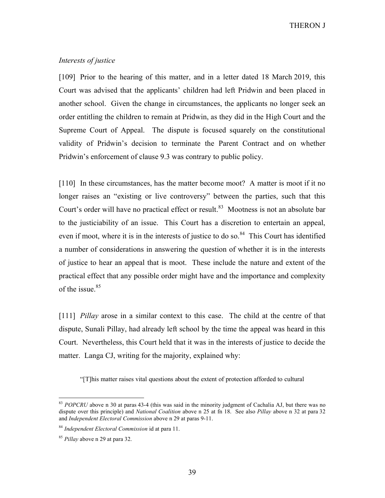# Interests of justice

[109] Prior to the hearing of this matter, and in a letter dated 18 March 2019, this Court was advised that the applicants' children had left Pridwin and been placed in another school. Given the change in circumstances, the applicants no longer seek an order entitling the children to remain at Pridwin, as they did in the High Court and the Supreme Court of Appeal. The dispute is focused squarely on the constitutional validity of Pridwin's decision to terminate the Parent Contract and on whether Pridwin's enforcement of clause 9.3 was contrary to public policy.

[110] In these circumstances, has the matter become moot? A matter is moot if it no longer raises an "existing or live controversy" between the parties, such that this Court's order will have no practical effect or result.<sup>83</sup> Mootness is not an absolute bar to the justiciability of an issue. This Court has a discretion to entertain an appeal, even if moot, where it is in the interests of justice to do so.<sup>84</sup> This Court has identified a number of considerations in answering the question of whether it is in the interests of justice to hear an appeal that is moot. These include the nature and extent of the practical effect that any possible order might have and the importance and complexity of the issue. $85$ 

[111] *Pillay* arose in a similar context to this case. The child at the centre of that dispute, Sunali Pillay, had already left school by the time the appeal was heard in this Court. Nevertheless, this Court held that it was in the interests of justice to decide the matter. Langa CJ, writing for the majority, explained why:

"[T]his matter raises vital questions about the extent of protection afforded to cultural

 $83$  POPCRU above n 30 at paras 43-4 (this was said in the minority judgment of Cachalia AJ, but there was no dispute over this principle) and *National Coalition* above n 25 at fn 18. See also *Pillay* above n 32 at para 32 and Independent Electoral Commission above n 29 at paras 9-11.

<sup>&</sup>lt;sup>84</sup> Independent Electoral Commission id at para 11.

<sup>&</sup>lt;sup>85</sup> Pillay above n 29 at para 32.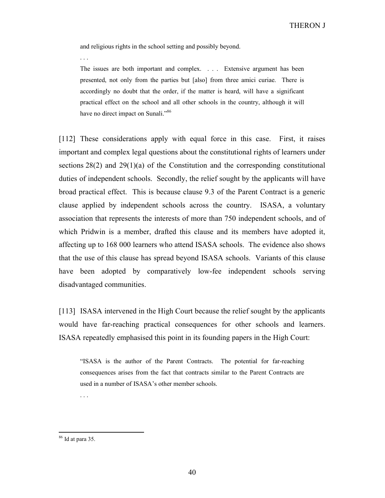and religious rights in the school setting and possibly beyond.

. . .

The issues are both important and complex. . . . Extensive argument has been presented, not only from the parties but [also] from three amici curiae. There is accordingly no doubt that the order, if the matter is heard, will have a significant practical effect on the school and all other schools in the country, although it will have no direct impact on Sunali."<sup>86</sup>

[112] These considerations apply with equal force in this case. First, it raises important and complex legal questions about the constitutional rights of learners under sections 28(2) and 29(1)(a) of the Constitution and the corresponding constitutional duties of independent schools. Secondly, the relief sought by the applicants will have broad practical effect. This is because clause 9.3 of the Parent Contract is a generic clause applied by independent schools across the country. ISASA, a voluntary association that represents the interests of more than 750 independent schools, and of which Pridwin is a member, drafted this clause and its members have adopted it, affecting up to 168 000 learners who attend ISASA schools. The evidence also shows that the use of this clause has spread beyond ISASA schools. Variants of this clause have been adopted by comparatively low-fee independent schools serving disadvantaged communities.

[113] ISASA intervened in the High Court because the relief sought by the applicants would have far-reaching practical consequences for other schools and learners. ISASA repeatedly emphasised this point in its founding papers in the High Court:

"ISASA is the author of the Parent Contracts. The potential for far-reaching consequences arises from the fact that contracts similar to the Parent Contracts are used in a number of ISASA's other member schools.

. . .

<sup>86</sup> Id at para 35.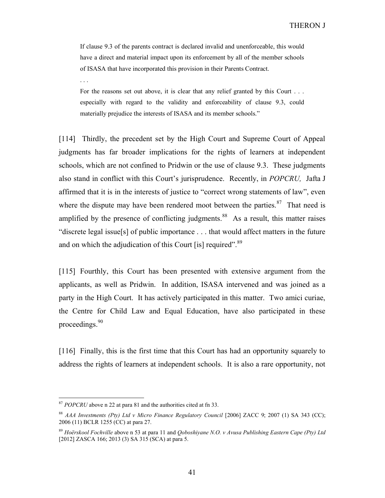If clause 9.3 of the parents contract is declared invalid and unenforceable, this would have a direct and material impact upon its enforcement by all of the member schools of ISASA that have incorporated this provision in their Parents Contract.

. . .

For the reasons set out above, it is clear that any relief granted by this Court . . . especially with regard to the validity and enforceability of clause 9.3, could materially prejudice the interests of ISASA and its member schools."

[114] Thirdly, the precedent set by the High Court and Supreme Court of Appeal judgments has far broader implications for the rights of learners at independent schools, which are not confined to Pridwin or the use of clause 9.3. These judgments also stand in conflict with this Court's jurisprudence. Recently, in POPCRU, Jafta J affirmed that it is in the interests of justice to "correct wrong statements of law", even where the dispute may have been rendered moot between the parties.<sup>87</sup> That need is amplified by the presence of conflicting judgments.<sup>88</sup> As a result, this matter raises "discrete legal issue[s] of public importance . . . that would affect matters in the future and on which the adjudication of this Court [is] required".  $89$ 

[115] Fourthly, this Court has been presented with extensive argument from the applicants, as well as Pridwin. In addition, ISASA intervened and was joined as a party in the High Court. It has actively participated in this matter. Two amici curiae, the Centre for Child Law and Equal Education, have also participated in these proceedings.<sup>90</sup>

[116] Finally, this is the first time that this Court has had an opportunity squarely to address the rights of learners at independent schools. It is also a rare opportunity, not

 $87$  POPCRU above n 22 at para 81 and the authorities cited at fn 33.

 $88$  AAA Investments (Pty) Ltd v Micro Finance Regulatory Council [2006] ZACC 9; 2007 (1) SA 343 (CC); 2006 (11) BCLR 1255 (CC) at para 27.

 $89$  Hoërskool Fochville above n 53 at para 11 and Qoboshiyane N.O. v Avusa Publishing Eastern Cape (Pty) Ltd [2012] ZASCA 166; 2013 (3) SA 315 (SCA) at para 5.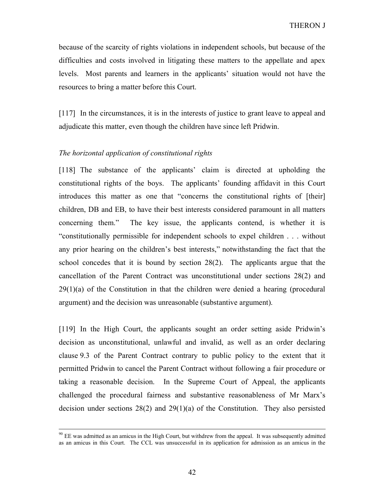because of the scarcity of rights violations in independent schools, but because of the difficulties and costs involved in litigating these matters to the appellate and apex levels. Most parents and learners in the applicants' situation would not have the resources to bring a matter before this Court.

[117] In the circumstances, it is in the interests of justice to grant leave to appeal and adjudicate this matter, even though the children have since left Pridwin.

# The horizontal application of constitutional rights

 $\overline{a}$ 

[118] The substance of the applicants' claim is directed at upholding the constitutional rights of the boys. The applicants' founding affidavit in this Court introduces this matter as one that "concerns the constitutional rights of [their] children, DB and EB, to have their best interests considered paramount in all matters concerning them." The key issue, the applicants contend, is whether it is "constitutionally permissible for independent schools to expel children . . . without any prior hearing on the children's best interests," notwithstanding the fact that the school concedes that it is bound by section 28(2). The applicants argue that the cancellation of the Parent Contract was unconstitutional under sections 28(2) and 29(1)(a) of the Constitution in that the children were denied a hearing (procedural argument) and the decision was unreasonable (substantive argument).

[119] In the High Court, the applicants sought an order setting aside Pridwin's decision as unconstitutional, unlawful and invalid, as well as an order declaring clause 9.3 of the Parent Contract contrary to public policy to the extent that it permitted Pridwin to cancel the Parent Contract without following a fair procedure or taking a reasonable decision. In the Supreme Court of Appeal, the applicants challenged the procedural fairness and substantive reasonableness of Mr Marx's decision under sections  $28(2)$  and  $29(1)(a)$  of the Constitution. They also persisted

 $90$  EE was admitted as an amicus in the High Court, but withdrew from the appeal. It was subsequently admitted as an amicus in this Court. The CCL was unsuccessful in its application for admission as an amicus in the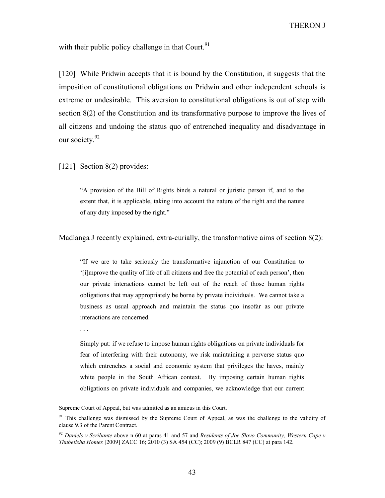with their public policy challenge in that Court.  $91$ 

[120] While Pridwin accepts that it is bound by the Constitution, it suggests that the imposition of constitutional obligations on Pridwin and other independent schools is extreme or undesirable. This aversion to constitutional obligations is out of step with section 8(2) of the Constitution and its transformative purpose to improve the lives of all citizens and undoing the status quo of entrenched inequality and disadvantage in our society.<sup>92</sup>

[121] Section 8(2) provides:

"A provision of the Bill of Rights binds a natural or juristic person if, and to the extent that, it is applicable, taking into account the nature of the right and the nature of any duty imposed by the right."

Madlanga J recently explained, extra-curially, the transformative aims of section 8(2):

"If we are to take seriously the transformative injunction of our Constitution to '[i]mprove the quality of life of all citizens and free the potential of each person', then our private interactions cannot be left out of the reach of those human rights obligations that may appropriately be borne by private individuals. We cannot take a business as usual approach and maintain the status quo insofar as our private interactions are concerned.

. . .

 $\overline{a}$ 

Simply put: if we refuse to impose human rights obligations on private individuals for fear of interfering with their autonomy, we risk maintaining a perverse status quo which entrenches a social and economic system that privileges the haves, mainly white people in the South African context. By imposing certain human rights obligations on private individuals and companies, we acknowledge that our current

Supreme Court of Appeal, but was admitted as an amicus in this Court.

<sup>&</sup>lt;sup>91</sup> This challenge was dismissed by the Supreme Court of Appeal, as was the challenge to the validity of clause 9.3 of the Parent Contract.

 $92$  Daniels v Scribante above n 60 at paras 41 and 57 and Residents of Joe Slovo Community, Western Cape v Thubelisha Homes [2009] ZACC 16; 2010 (3) SA 454 (CC); 2009 (9) BCLR 847 (CC) at para 142.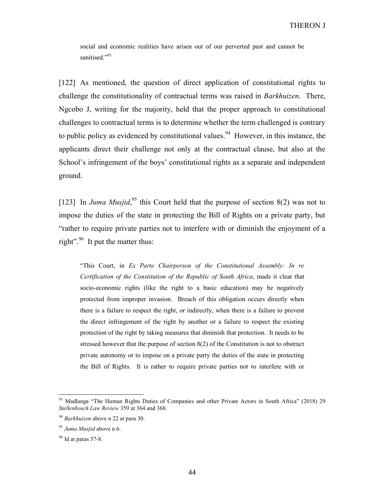social and economic realities have arisen out of our perverted past and cannot be sanitised."93

[122] As mentioned, the question of direct application of constitutional rights to challenge the constitutionality of contractual terms was raised in *Barkhuizen*. There, Ngcobo J, writing for the majority, held that the proper approach to constitutional challenges to contractual terms is to determine whether the term challenged is contrary to public policy as evidenced by constitutional values.<sup>94</sup> However, in this instance, the applicants direct their challenge not only at the contractual clause, but also at the School's infringement of the boys' constitutional rights as a separate and independent ground.

[123] In Juma Musjid,<sup>95</sup> this Court held that the purpose of section 8(2) was not to impose the duties of the state in protecting the Bill of Rights on a private party, but "rather to require private parties not to interfere with or diminish the enjoyment of a right". <sup>96</sup> It put the matter thus:

"This Court, in Ex Parte Chairperson of the Constitutional Assembly: In re Certification of the Constitution of the Republic of South Africa, made it clear that socio-economic rights (like the right to a basic education) may be negatively protected from improper invasion. Breach of this obligation occurs directly when there is a failure to respect the right, or indirectly, when there is a failure to prevent the direct infringement of the right by another or a failure to respect the existing protection of the right by taking measures that diminish that protection. It needs to be stressed however that the purpose of section 8(2) of the Constitution is not to obstruct private autonomy or to impose on a private party the duties of the state in protecting the Bill of Rights. It is rather to require private parties not to interfere with or

<sup>&</sup>lt;sup>93</sup> Madlanga "The Human Rights Duties of Companies and other Private Actors in South Africa" (2018) 29 Stellenbosch Law Review 359 at 364 and 368.

<sup>&</sup>lt;sup>94</sup> Barkhuizen above n 22 at para 30.

<sup>&</sup>lt;sup>95</sup> Juma Musjid above n 6.

 $96$  Id at paras 57-8.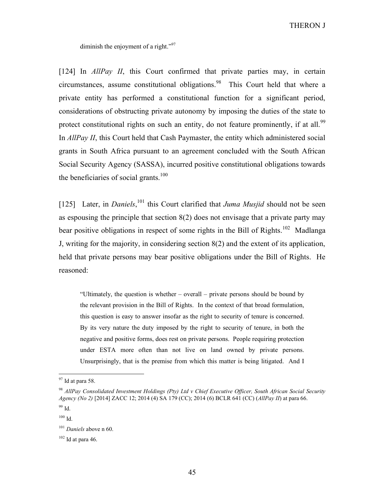diminish the enjoyment of a right."<sup>97</sup>

[124] In *AllPay II*, this Court confirmed that private parties may, in certain circumstances, assume constitutional obligations.<sup>98</sup> This Court held that where a private entity has performed a constitutional function for a significant period, considerations of obstructing private autonomy by imposing the duties of the state to protect constitutional rights on such an entity, do not feature prominently, if at all.<sup>99</sup> In *AllPay II*, this Court held that Cash Paymaster, the entity which administered social grants in South Africa pursuant to an agreement concluded with the South African Social Security Agency (SASSA), incurred positive constitutional obligations towards the beneficiaries of social grants.<sup>100</sup>

[125] Later, in *Daniels*, <sup>101</sup> this Court clarified that *Juma Musjid* should not be seen as espousing the principle that section  $8(2)$  does not envisage that a private party may bear positive obligations in respect of some rights in the Bill of Rights.<sup>102</sup> Madlanga J, writing for the majority, in considering section 8(2) and the extent of its application, held that private persons may bear positive obligations under the Bill of Rights. He reasoned:

"Ultimately, the question is whether – overall – private persons should be bound by the relevant provision in the Bill of Rights. In the context of that broad formulation, this question is easy to answer insofar as the right to security of tenure is concerned. By its very nature the duty imposed by the right to security of tenure, in both the negative and positive forms, does rest on private persons. People requiring protection under ESTA more often than not live on land owned by private persons. Unsurprisingly, that is the premise from which this matter is being litigated. And I

 $97$  Id at para 58.

 $98$  AllPay Consolidated Investment Holdings (Pty) Ltd v Chief Executive Officer, South African Social Security Agency (No 2) [2014] ZACC 12; 2014 (4) SA 179 (CC); 2014 (6) BCLR 641 (CC) (AllPay II) at para 66. <sup>99</sup> Id.

 $100$  Id.

 $101$  Daniels above n 60.

 $102$  Id at para 46.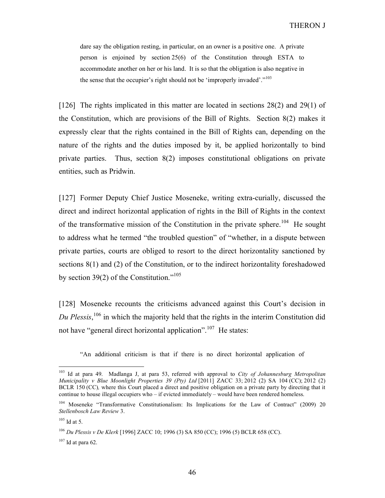dare say the obligation resting, in particular, on an owner is a positive one. A private person is enjoined by section 25(6) of the Constitution through ESTA to accommodate another on her or his land. It is so that the obligation is also negative in the sense that the occupier's right should not be 'improperly invaded'."<sup>103</sup>

[126] The rights implicated in this matter are located in sections 28(2) and 29(1) of the Constitution, which are provisions of the Bill of Rights. Section 8(2) makes it expressly clear that the rights contained in the Bill of Rights can, depending on the nature of the rights and the duties imposed by it, be applied horizontally to bind private parties. Thus, section 8(2) imposes constitutional obligations on private entities, such as Pridwin.

[127] Former Deputy Chief Justice Moseneke, writing extra-curially, discussed the direct and indirect horizontal application of rights in the Bill of Rights in the context of the transformative mission of the Constitution in the private sphere.<sup>104</sup> He sought to address what he termed "the troubled question" of "whether, in a dispute between private parties, courts are obliged to resort to the direct horizontality sanctioned by sections 8(1) and (2) of the Constitution, or to the indirect horizontality foreshadowed by section 39(2) of the Constitution."<sup>105</sup>

[128] Moseneke recounts the criticisms advanced against this Court's decision in Du Plessis,<sup>106</sup> in which the majority held that the rights in the interim Constitution did not have "general direct horizontal application".<sup>107</sup> He states:

"An additional criticism is that if there is no direct horizontal application of

<sup>&</sup>lt;sup>103</sup> Id at para 49. Madlanga J, at para 53, referred with approval to City of Johannesburg Metropolitan Municipality v Blue Moonlight Properties 39 (Pty) Ltd  $[2011]$  ZACC 33; 2012 (2) SA 104 (CC); 2012 (2) BCLR 150 (CC), where this Court placed a direct and positive obligation on a private party by directing that it continue to house illegal occupiers who – if evicted immediately – would have been rendered homeless.

<sup>&</sup>lt;sup>104</sup> Moseneke "Transformative Constitutionalism: Its Implications for the Law of Contract" (2009) 20 Stellenbosch Law Review 3.

 $105$  Id at 5.

<sup>106</sup> Du Plessis v De Klerk [1996] ZACC 10; 1996 (3) SA 850 (CC); 1996 (5) BCLR 658 (CC).

 $107$  Id at para 62.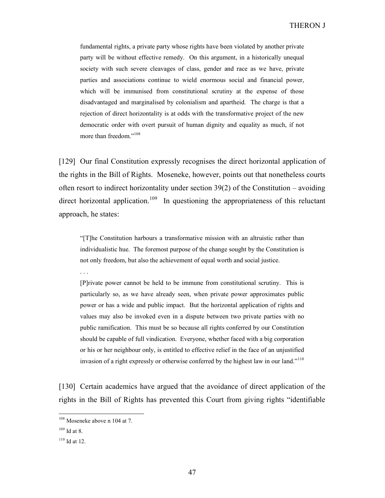fundamental rights, a private party whose rights have been violated by another private party will be without effective remedy. On this argument, in a historically unequal society with such severe cleavages of class, gender and race as we have, private parties and associations continue to wield enormous social and financial power, which will be immunised from constitutional scrutiny at the expense of those disadvantaged and marginalised by colonialism and apartheid. The charge is that a rejection of direct horizontality is at odds with the transformative project of the new democratic order with overt pursuit of human dignity and equality as much, if not more than freedom."<sup>108</sup>

[129] Our final Constitution expressly recognises the direct horizontal application of the rights in the Bill of Rights. Moseneke, however, points out that nonetheless courts often resort to indirect horizontality under section  $39(2)$  of the Constitution – avoiding direct horizontal application.<sup>109</sup> In questioning the appropriateness of this reluctant approach, he states:

"[T]he Constitution harbours a transformative mission with an altruistic rather than individualistic hue. The foremost purpose of the change sought by the Constitution is not only freedom, but also the achievement of equal worth and social justice.

. . .

[P]rivate power cannot be held to be immune from constitutional scrutiny. This is particularly so, as we have already seen, when private power approximates public power or has a wide and public impact. But the horizontal application of rights and values may also be invoked even in a dispute between two private parties with no public ramification. This must be so because all rights conferred by our Constitution should be capable of full vindication. Everyone, whether faced with a big corporation or his or her neighbour only, is entitled to effective relief in the face of an unjustified invasion of a right expressly or otherwise conferred by the highest law in our land."<sup>110</sup>

[130] Certain academics have argued that the avoidance of direct application of the rights in the Bill of Rights has prevented this Court from giving rights "identifiable

<sup>&</sup>lt;sup>108</sup> Moseneke above n 104 at 7.

 $109$  Id at 8.

 $110$  Id at 12.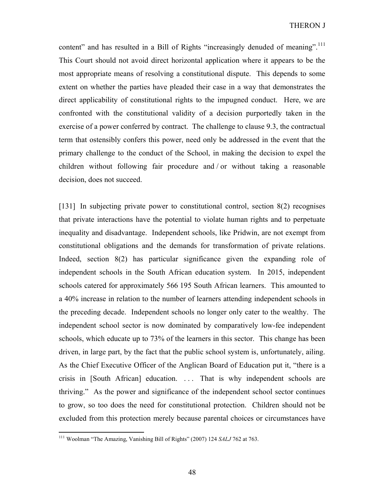content" and has resulted in a Bill of Rights "increasingly denuded of meaning".<sup>111</sup> This Court should not avoid direct horizontal application where it appears to be the most appropriate means of resolving a constitutional dispute. This depends to some extent on whether the parties have pleaded their case in a way that demonstrates the direct applicability of constitutional rights to the impugned conduct. Here, we are confronted with the constitutional validity of a decision purportedly taken in the exercise of a power conferred by contract. The challenge to clause 9.3, the contractual term that ostensibly confers this power, need only be addressed in the event that the primary challenge to the conduct of the School, in making the decision to expel the children without following fair procedure and / or without taking a reasonable decision, does not succeed.

[131] In subjecting private power to constitutional control, section 8(2) recognises that private interactions have the potential to violate human rights and to perpetuate inequality and disadvantage. Independent schools, like Pridwin, are not exempt from constitutional obligations and the demands for transformation of private relations. Indeed, section 8(2) has particular significance given the expanding role of independent schools in the South African education system. In 2015, independent schools catered for approximately 566 195 South African learners. This amounted to a 40% increase in relation to the number of learners attending independent schools in the preceding decade. Independent schools no longer only cater to the wealthy. The independent school sector is now dominated by comparatively low-fee independent schools, which educate up to 73% of the learners in this sector. This change has been driven, in large part, by the fact that the public school system is, unfortunately, ailing. As the Chief Executive Officer of the Anglican Board of Education put it, "there is a crisis in [South African] education. . . . That is why independent schools are thriving." As the power and significance of the independent school sector continues to grow, so too does the need for constitutional protection. Children should not be excluded from this protection merely because parental choices or circumstances have

<sup>&</sup>lt;sup>111</sup> Woolman "The Amazing, Vanishing Bill of Rights" (2007) 124 SALJ 762 at 763.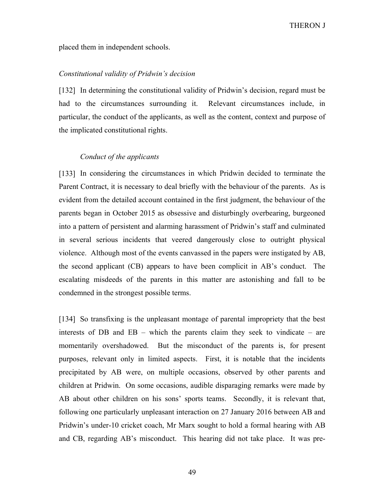placed them in independent schools.

# Constitutional validity of Pridwin's decision

[132] In determining the constitutional validity of Pridwin's decision, regard must be had to the circumstances surrounding it. Relevant circumstances include, in particular, the conduct of the applicants, as well as the content, context and purpose of the implicated constitutional rights.

### Conduct of the applicants

[133] In considering the circumstances in which Pridwin decided to terminate the Parent Contract, it is necessary to deal briefly with the behaviour of the parents. As is evident from the detailed account contained in the first judgment, the behaviour of the parents began in October 2015 as obsessive and disturbingly overbearing, burgeoned into a pattern of persistent and alarming harassment of Pridwin's staff and culminated in several serious incidents that veered dangerously close to outright physical violence. Although most of the events canvassed in the papers were instigated by AB, the second applicant (CB) appears to have been complicit in AB's conduct. The escalating misdeeds of the parents in this matter are astonishing and fall to be condemned in the strongest possible terms.

[134] So transfixing is the unpleasant montage of parental impropriety that the best interests of DB and EB – which the parents claim they seek to vindicate – are momentarily overshadowed. But the misconduct of the parents is, for present purposes, relevant only in limited aspects. First, it is notable that the incidents precipitated by AB were, on multiple occasions, observed by other parents and children at Pridwin. On some occasions, audible disparaging remarks were made by AB about other children on his sons' sports teams. Secondly, it is relevant that, following one particularly unpleasant interaction on 27 January 2016 between AB and Pridwin's under-10 cricket coach, Mr Marx sought to hold a formal hearing with AB and CB, regarding AB's misconduct. This hearing did not take place. It was pre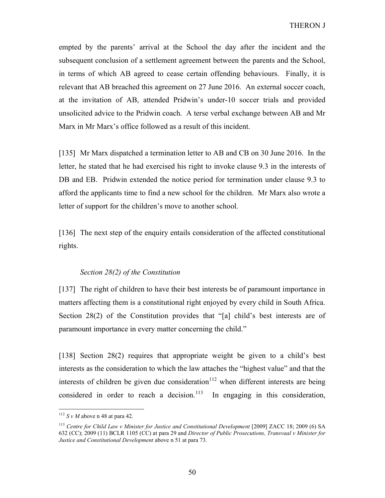empted by the parents' arrival at the School the day after the incident and the subsequent conclusion of a settlement agreement between the parents and the School, in terms of which AB agreed to cease certain offending behaviours. Finally, it is relevant that AB breached this agreement on 27 June 2016. An external soccer coach, at the invitation of AB, attended Pridwin's under-10 soccer trials and provided unsolicited advice to the Pridwin coach. A terse verbal exchange between AB and Mr Marx in Mr Marx's office followed as a result of this incident.

[135] Mr Marx dispatched a termination letter to AB and CB on 30 June 2016. In the letter, he stated that he had exercised his right to invoke clause 9.3 in the interests of DB and EB. Pridwin extended the notice period for termination under clause 9.3 to afford the applicants time to find a new school for the children. Mr Marx also wrote a letter of support for the children's move to another school.

[136] The next step of the enquiry entails consideration of the affected constitutional rights.

### Section 28(2) of the Constitution

[137] The right of children to have their best interests be of paramount importance in matters affecting them is a constitutional right enjoyed by every child in South Africa. Section 28(2) of the Constitution provides that "[a] child's best interests are of paramount importance in every matter concerning the child."

[138] Section 28(2) requires that appropriate weight be given to a child's best interests as the consideration to which the law attaches the "highest value" and that the interests of children be given due consideration<sup>112</sup> when different interests are being considered in order to reach a decision.<sup>113</sup> In engaging in this consideration,

 $112$  S v M above n 48 at para 42.

<sup>&</sup>lt;sup>113</sup> Centre for Child Law v Minister for Justice and Constitutional Development [2009] ZACC 18; 2009 (6) SA 632 (CC); 2009 (11) BCLR 1105 (CC) at para 29 and Director of Public Prosecutions, Transvaal v Minister for Justice and Constitutional Development above n 51 at para 73.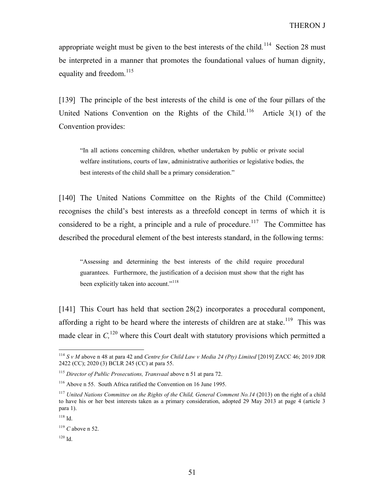appropriate weight must be given to the best interests of the child.<sup>114</sup> Section 28 must be interpreted in a manner that promotes the foundational values of human dignity, equality and freedom. $^{115}$ 

[139] The principle of the best interests of the child is one of the four pillars of the United Nations Convention on the Rights of the Child.<sup>116</sup> Article 3(1) of the Convention provides:

"In all actions concerning children, whether undertaken by public or private social welfare institutions, courts of law, administrative authorities or legislative bodies, the best interests of the child shall be a primary consideration."

[140] The United Nations Committee on the Rights of the Child (Committee) recognises the child's best interests as a threefold concept in terms of which it is considered to be a right, a principle and a rule of procedure.<sup>117</sup> The Committee has described the procedural element of the best interests standard, in the following terms:

"Assessing and determining the best interests of the child require procedural guarantees. Furthermore, the justification of a decision must show that the right has been explicitly taken into account."<sup>118</sup>

[141] This Court has held that section 28(2) incorporates a procedural component, affording a right to be heard where the interests of children are at stake.<sup>119</sup> This was made clear in  $C<sub>120</sub>$  where this Court dealt with statutory provisions which permitted a

 $114$  S v M above n 48 at para 42 and Centre for Child Law v Media 24 (Pty) Limited [2019] ZACC 46; 2019 JDR 2422 (CC); 2020 (3) BCLR 245 (CC) at para 55.

 $115$  Director of Public Prosecutions, Transvaal above n 51 at para 72.

<sup>116</sup> Above n 55. South Africa ratified the Convention on 16 June 1995.

<sup>&</sup>lt;sup>117</sup> United Nations Committee on the Rights of the Child, General Comment No.14 (2013) on the right of a child to have his or her best interests taken as a primary consideration, adopted 29 May 2013 at page 4 (article 3 para 1).

<sup>118</sup> Id.

 $119$  C above n 52.

<sup>120</sup> Id.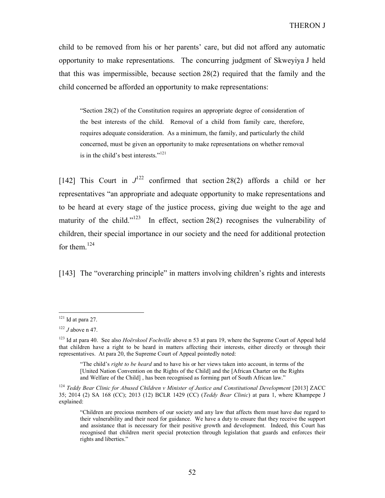child to be removed from his or her parents' care, but did not afford any automatic opportunity to make representations. The concurring judgment of Skweyiya J held that this was impermissible, because section 28(2) required that the family and the child concerned be afforded an opportunity to make representations:

"Section 28(2) of the Constitution requires an appropriate degree of consideration of the best interests of the child. Removal of a child from family care, therefore, requires adequate consideration. As a minimum, the family, and particularly the child concerned, must be given an opportunity to make representations on whether removal is in the child's best interests."<sup>121</sup>

[142] This Court in  $J^{122}$  confirmed that section 28(2) affords a child or her representatives "an appropriate and adequate opportunity to make representations and to be heard at every stage of the justice process, giving due weight to the age and maturity of the child."<sup>123</sup> In effect, section 28(2) recognises the vulnerability of children, their special importance in our society and the need for additional protection for them. $124$ 

[143] The "overarching principle" in matters involving children's rights and interests

 $121$  Id at para 27.

 $122$  J above n 47.

<sup>&</sup>lt;sup>123</sup> Id at para 40. See also *Hoërskool Fochville* above n 53 at para 19, where the Supreme Court of Appeal held that children have a right to be heard in matters affecting their interests, either directly or through their representatives. At para 20, the Supreme Court of Appeal pointedly noted:

<sup>&</sup>quot;The child's right to be heard and to have his or her views taken into account, in terms of the [United Nation Convention on the Rights of the Child] and the [African Charter on the Rights and Welfare of the Child] , has been recognised as forming part of South African law."

 $124$  Teddy Bear Clinic for Abused Children v Minister of Justice and Constitutional Development [2013] ZACC 35; 2014 (2) SA 168 (CC); 2013 (12) BCLR 1429 (CC) (Teddy Bear Clinic) at para 1, where Khampepe J explained:

<sup>&</sup>quot;Children are precious members of our society and any law that affects them must have due regard to their vulnerability and their need for guidance. We have a duty to ensure that they receive the support and assistance that is necessary for their positive growth and development. Indeed, this Court has recognised that children merit special protection through legislation that guards and enforces their rights and liberties."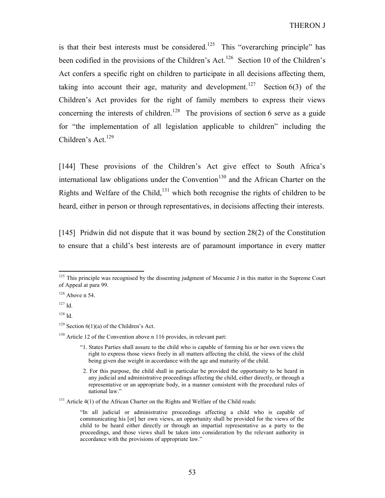is that their best interests must be considered.<sup>125</sup> This "overarching principle" has been codified in the provisions of the Children's Act.<sup>126</sup> Section 10 of the Children's Act confers a specific right on children to participate in all decisions affecting them, taking into account their age, maturity and development.<sup>127</sup> Section 6(3) of the Children's Act provides for the right of family members to express their views concerning the interests of children.<sup>128</sup> The provisions of section 6 serve as a guide for "the implementation of all legislation applicable to children" including the Children's Act.<sup>129</sup>

[144] These provisions of the Children's Act give effect to South Africa's international law obligations under the Convention<sup>130</sup> and the African Charter on the Rights and Welfare of the Child,  $^{131}$  which both recognise the rights of children to be heard, either in person or through representatives, in decisions affecting their interests.

[145] Pridwin did not dispute that it was bound by section 28(2) of the Constitution to ensure that a child's best interests are of paramount importance in every matter

-

<sup>131</sup> Article 4(1) of the African Charter on the Rights and Welfare of the Child reads:

 $125$  This principle was recognised by the dissenting judgment of Mocumie J in this matter in the Supreme Court of Appeal at para 99.

 $126$  Above n 54.

 $127$  Id.

 $128$  Id.

<sup>&</sup>lt;sup>129</sup> Section  $6(1)(a)$  of the Children's Act.

 $130$  Article 12 of the Convention above n 116 provides, in relevant part:

<sup>&</sup>quot;1. States Parties shall assure to the child who is capable of forming his or her own views the right to express those views freely in all matters affecting the child, the views of the child being given due weight in accordance with the age and maturity of the child.

 <sup>2.</sup> For this purpose, the child shall in particular be provided the opportunity to be heard in any judicial and administrative proceedings affecting the child, either directly, or through a representative or an appropriate body, in a manner consistent with the procedural rules of national law."

<sup>&</sup>quot;In all judicial or administrative proceedings affecting a child who is capable of communicating his [or] her own views, an opportunity shall be provided for the views of the child to be heard either directly or through an impartial representative as a party to the proceedings, and those views shall be taken into consideration by the relevant authority in accordance with the provisions of appropriate law."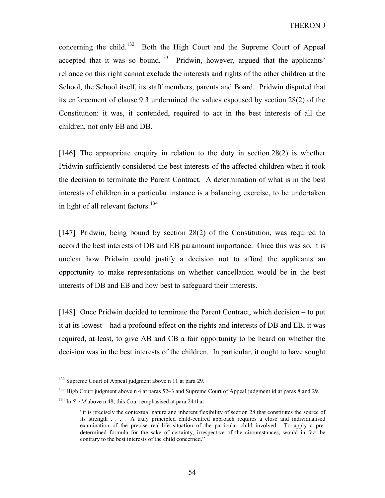concerning the child.<sup>132</sup> Both the High Court and the Supreme Court of Appeal accepted that it was so bound.<sup>133</sup> Pridwin, however, argued that the applicants' reliance on this right cannot exclude the interests and rights of the other children at the School, the School itself, its staff members, parents and Board. Pridwin disputed that its enforcement of clause 9.3 undermined the values espoused by section 28(2) of the Constitution: it was, it contended, required to act in the best interests of all the children, not only EB and DB.

[146] The appropriate enquiry in relation to the duty in section 28(2) is whether Pridwin sufficiently considered the best interests of the affected children when it took the decision to terminate the Parent Contract. A determination of what is in the best interests of children in a particular instance is a balancing exercise, to be undertaken in light of all relevant factors.  $134$ 

[147] Pridwin, being bound by section 28(2) of the Constitution, was required to accord the best interests of DB and EB paramount importance. Once this was so, it is unclear how Pridwin could justify a decision not to afford the applicants an opportunity to make representations on whether cancellation would be in the best interests of DB and EB and how best to safeguard their interests.

[148] Once Pridwin decided to terminate the Parent Contract, which decision – to put it at its lowest – had a profound effect on the rights and interests of DB and EB, it was required, at least, to give AB and CB a fair opportunity to be heard on whether the decision was in the best interests of the children. In particular, it ought to have sought

<sup>&</sup>lt;sup>132</sup> Supreme Court of Appeal judgment above n 11 at para 29.

<sup>&</sup>lt;sup>133</sup> High Court judgment above n 4 at paras 52–3 and Supreme Court of Appeal judgment id at paras 8 and 29.

<sup>&</sup>lt;sup>134</sup> In S v M above n 48, this Court emphasised at para 24 that—

<sup>&</sup>quot;it is precisely the contextual nature and inherent flexibility of section 28 that constitutes the source of its strength . . . . A truly principled child-centred approach requires a close and individualised examination of the precise real-life situation of the particular child involved. To apply a predetermined formula for the sake of certainty, irrespective of the circumstances, would in fact be contrary to the best interests of the child concerned."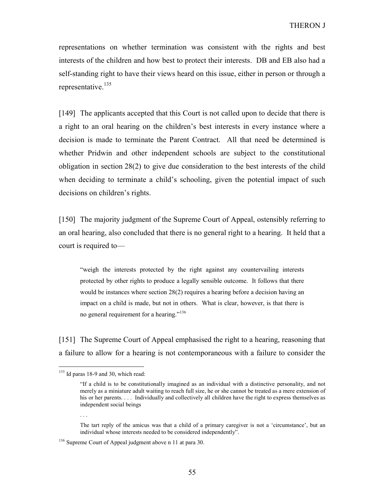representations on whether termination was consistent with the rights and best interests of the children and how best to protect their interests. DB and EB also had a self-standing right to have their views heard on this issue, either in person or through a representative.<sup>135</sup>

[149] The applicants accepted that this Court is not called upon to decide that there is a right to an oral hearing on the children's best interests in every instance where a decision is made to terminate the Parent Contract. All that need be determined is whether Pridwin and other independent schools are subject to the constitutional obligation in section 28(2) to give due consideration to the best interests of the child when deciding to terminate a child's schooling, given the potential impact of such decisions on children's rights.

[150] The majority judgment of the Supreme Court of Appeal, ostensibly referring to an oral hearing, also concluded that there is no general right to a hearing. It held that a court is required to—

"weigh the interests protected by the right against any countervailing interests protected by other rights to produce a legally sensible outcome. It follows that there would be instances where section 28(2) requires a hearing before a decision having an impact on a child is made, but not in others. What is clear, however, is that there is no general requirement for a hearing."<sup>136</sup>

[151] The Supreme Court of Appeal emphasised the right to a hearing, reasoning that a failure to allow for a hearing is not contemporaneous with a failure to consider the

. . .

 $135$  Id paras 18-9 and 30, which read:

<sup>&</sup>quot;If a child is to be constitutionally imagined as an individual with a distinctive personality, and not merely as a miniature adult waiting to reach full size, he or she cannot be treated as a mere extension of his or her parents. . . . Individually and collectively all children have the right to express themselves as independent social beings

The tart reply of the amicus was that a child of a primary caregiver is not a 'circumstance', but an individual whose interests needed to be considered independently".

<sup>&</sup>lt;sup>136</sup> Supreme Court of Appeal judgment above n 11 at para 30.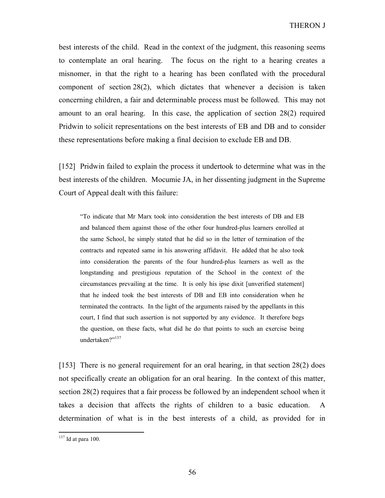best interests of the child. Read in the context of the judgment, this reasoning seems to contemplate an oral hearing. The focus on the right to a hearing creates a misnomer, in that the right to a hearing has been conflated with the procedural component of section 28(2), which dictates that whenever a decision is taken concerning children, a fair and determinable process must be followed. This may not amount to an oral hearing. In this case, the application of section 28(2) required Pridwin to solicit representations on the best interests of EB and DB and to consider these representations before making a final decision to exclude EB and DB.

[152] Pridwin failed to explain the process it undertook to determine what was in the best interests of the children. Mocumie JA, in her dissenting judgment in the Supreme Court of Appeal dealt with this failure:

"To indicate that Mr Marx took into consideration the best interests of DB and EB and balanced them against those of the other four hundred-plus learners enrolled at the same School, he simply stated that he did so in the letter of termination of the contracts and repeated same in his answering affidavit. He added that he also took into consideration the parents of the four hundred-plus learners as well as the longstanding and prestigious reputation of the School in the context of the circumstances prevailing at the time. It is only his ipse dixit [unverified statement] that he indeed took the best interests of DB and EB into consideration when he terminated the contracts. In the light of the arguments raised by the appellants in this court, I find that such assertion is not supported by any evidence. It therefore begs the question, on these facts, what did he do that points to such an exercise being undertaken?"<sup>137</sup>

[153] There is no general requirement for an oral hearing, in that section 28(2) does not specifically create an obligation for an oral hearing. In the context of this matter, section 28(2) requires that a fair process be followed by an independent school when it takes a decision that affects the rights of children to a basic education. A determination of what is in the best interests of a child, as provided for in

 $137$  Id at para 100.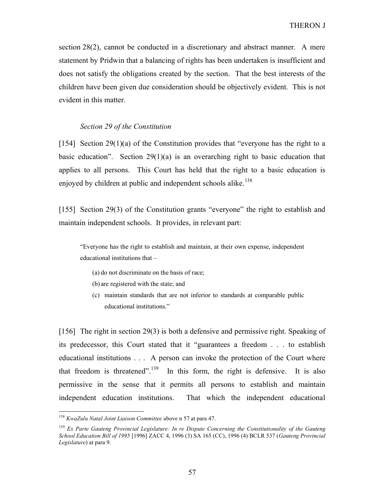section 28(2), cannot be conducted in a discretionary and abstract manner. A mere statement by Pridwin that a balancing of rights has been undertaken is insufficient and does not satisfy the obligations created by the section. That the best interests of the children have been given due consideration should be objectively evident. This is not evident in this matter.

### Section 29 of the Constitution

[154] Section 29(1)(a) of the Constitution provides that "everyone has the right to a basic education". Section 29(1)(a) is an overarching right to basic education that applies to all persons. This Court has held that the right to a basic education is enjoyed by children at public and independent schools alike.<sup>138</sup>

[155] Section 29(3) of the Constitution grants "everyone" the right to establish and maintain independent schools. It provides, in relevant part:

"Everyone has the right to establish and maintain, at their own expense, independent educational institutions that –

- (a) do not discriminate on the basis of race;
- (b) are registered with the state; and
- (c) maintain standards that are not inferior to standards at comparable public educational institutions."

[156] The right in section 29(3) is both a defensive and permissive right. Speaking of its predecessor, this Court stated that it "guarantees a freedom . . . to establish educational institutions . . . A person can invoke the protection of the Court where that freedom is threatened".<sup>139</sup> In this form, the right is defensive. It is also permissive in the sense that it permits all persons to establish and maintain independent education institutions. That which the independent educational

 $138$  KwaZulu Natal Joint Liaison Committee above n 57 at para 47.

 $139$  Ex Parte Gauteng Provincial Legislature: In re Dispute Concerning the Constitutionality of the Gauteng School Education Bill of 1995 [1996] ZACC 4, 1996 (3) SA 165 (CC), 1996 (4) BCLR 537 (Gauteng Provincial Legislature) at para 9.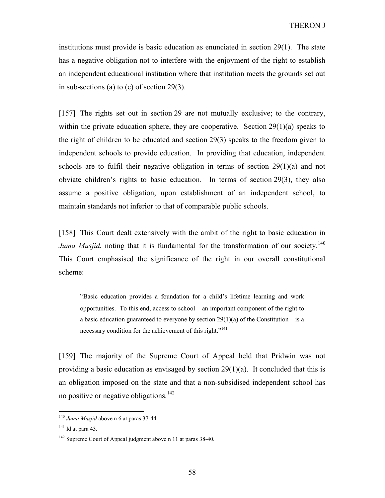institutions must provide is basic education as enunciated in section 29(1). The state has a negative obligation not to interfere with the enjoyment of the right to establish an independent educational institution where that institution meets the grounds set out in sub-sections (a) to (c) of section 29(3).

[157] The rights set out in section 29 are not mutually exclusive; to the contrary, within the private education sphere, they are cooperative. Section 29(1)(a) speaks to the right of children to be educated and section 29(3) speaks to the freedom given to independent schools to provide education. In providing that education, independent schools are to fulfil their negative obligation in terms of section 29(1)(a) and not obviate children's rights to basic education. In terms of section 29(3), they also assume a positive obligation, upon establishment of an independent school, to maintain standards not inferior to that of comparable public schools.

[158] This Court dealt extensively with the ambit of the right to basic education in Juma Musjid, noting that it is fundamental for the transformation of our society.<sup>140</sup> This Court emphasised the significance of the right in our overall constitutional scheme:

"Basic education provides a foundation for a child's lifetime learning and work opportunities. To this end, access to school – an important component of the right to a basic education guaranteed to everyone by section  $29(1)(a)$  of the Constitution – is a necessary condition for the achievement of this right."<sup>141</sup>

[159] The majority of the Supreme Court of Appeal held that Pridwin was not providing a basic education as envisaged by section  $29(1)(a)$ . It concluded that this is an obligation imposed on the state and that a non-subsidised independent school has no positive or negative obligations.<sup>142</sup>

 $140$  Juma Musjid above n 6 at paras 37-44.

 $141$  Id at para 43.

<sup>&</sup>lt;sup>142</sup> Supreme Court of Appeal judgment above n 11 at paras 38-40.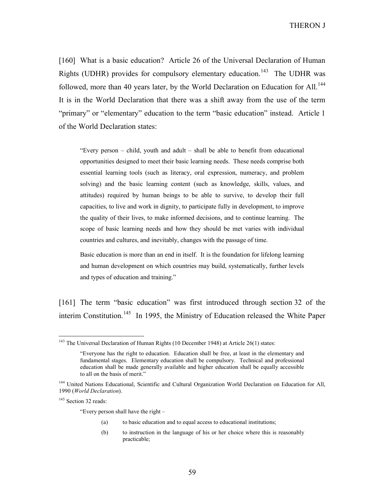[160] What is a basic education? Article 26 of the Universal Declaration of Human Rights (UDHR) provides for compulsory elementary education.<sup>143</sup> The UDHR was followed, more than 40 years later, by the World Declaration on Education for All.<sup>144</sup> It is in the World Declaration that there was a shift away from the use of the term "primary" or "elementary" education to the term "basic education" instead. Article 1 of the World Declaration states:

"Every person – child, youth and adult – shall be able to benefit from educational opportunities designed to meet their basic learning needs. These needs comprise both essential learning tools (such as literacy, oral expression, numeracy, and problem solving) and the basic learning content (such as knowledge, skills, values, and attitudes) required by human beings to be able to survive, to develop their full capacities, to live and work in dignity, to participate fully in development, to improve the quality of their lives, to make informed decisions, and to continue learning. The scope of basic learning needs and how they should be met varies with individual countries and cultures, and inevitably, changes with the passage of time.

Basic education is more than an end in itself. It is the foundation for lifelong learning and human development on which countries may build, systematically, further levels and types of education and training."

[161] The term "basic education" was first introduced through section 32 of the interim Constitution.<sup>145</sup> In 1995, the Ministry of Education released the White Paper

<sup>145</sup> Section 32 reads:

-

"Every person shall have the right –

- (a) to basic education and to equal access to educational institutions;
- (b) to instruction in the language of his or her choice where this is reasonably practicable;

<sup>&</sup>lt;sup>143</sup> The Universal Declaration of Human Rights (10 December 1948) at Article  $26(1)$  states:

<sup>&</sup>quot;Everyone has the right to education. Education shall be free, at least in the elementary and fundamental stages. Elementary education shall be compulsory. Technical and professional education shall be made generally available and higher education shall be equally accessible to all on the basis of merit."

<sup>&</sup>lt;sup>144</sup> United Nations Educational, Scientific and Cultural Organization World Declaration on Education for All, 1990 (World Declaration).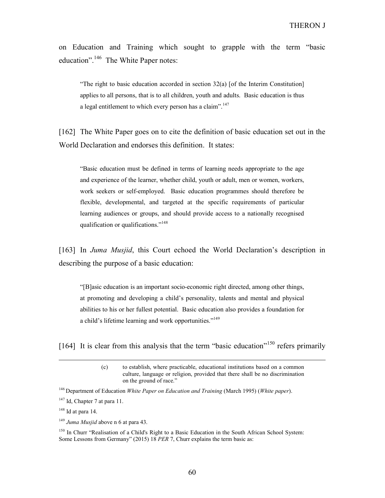on Education and Training which sought to grapple with the term "basic education".<sup>146</sup> The White Paper notes:

"The right to basic education accorded in section 32(a) [of the Interim Constitution] applies to all persons, that is to all children, youth and adults. Basic education is thus a legal entitlement to which every person has a claim".<sup>147</sup>

[162] The White Paper goes on to cite the definition of basic education set out in the World Declaration and endorses this definition. It states:

"Basic education must be defined in terms of learning needs appropriate to the age and experience of the learner, whether child, youth or adult, men or women, workers, work seekers or self-employed. Basic education programmes should therefore be flexible, developmental, and targeted at the specific requirements of particular learning audiences or groups, and should provide access to a nationally recognised qualification or qualifications."<sup>148</sup>

[163] In Juma Musjid, this Court echoed the World Declaration's description in describing the purpose of a basic education:

"[B]asic education is an important socio-economic right directed, among other things, at promoting and developing a child's personality, talents and mental and physical abilities to his or her fullest potential. Basic education also provides a foundation for a child's lifetime learning and work opportunities."<sup>149</sup>

[164] It is clear from this analysis that the term "basic education"<sup>150</sup> refers primarily

 $\overline{a}$ 

<sup>150</sup> In Churr "Realisation of a Child's Right to a Basic Education in the South African School System: Some Lessons from Germany" (2015) 18 PER 7, Churr explains the term basic as:

<sup>(</sup>c) to establish, where practicable, educational institutions based on a common culture, language or religion, provided that there shall be no discrimination on the ground of race."

<sup>&</sup>lt;sup>146</sup> Department of Education *White Paper on Education and Training* (March 1995) (*White paper*).

 $147$  Id, Chapter 7 at para 11.

 $148$  Id at para 14.

 $149$  Juma Musjid above n 6 at para 43.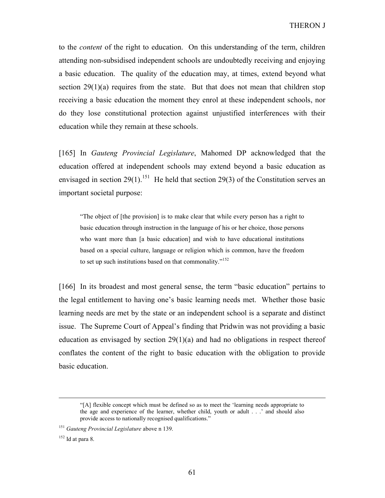to the *content* of the right to education. On this understanding of the term, children attending non-subsidised independent schools are undoubtedly receiving and enjoying a basic education. The quality of the education may, at times, extend beyond what section  $29(1)(a)$  requires from the state. But that does not mean that children stop receiving a basic education the moment they enrol at these independent schools, nor do they lose constitutional protection against unjustified interferences with their education while they remain at these schools.

[165] In Gauteng Provincial Legislature, Mahomed DP acknowledged that the education offered at independent schools may extend beyond a basic education as envisaged in section 29(1).<sup>151</sup> He held that section 29(3) of the Constitution serves an important societal purpose:

"The object of [the provision] is to make clear that while every person has a right to basic education through instruction in the language of his or her choice, those persons who want more than [a basic education] and wish to have educational institutions based on a special culture, language or religion which is common, have the freedom to set up such institutions based on that commonality."<sup>152</sup>

[166] In its broadest and most general sense, the term "basic education" pertains to the legal entitlement to having one's basic learning needs met. Whether those basic learning needs are met by the state or an independent school is a separate and distinct issue. The Supreme Court of Appeal's finding that Pridwin was not providing a basic education as envisaged by section  $29(1)(a)$  and had no obligations in respect thereof conflates the content of the right to basic education with the obligation to provide basic education.

 $\overline{a}$ 

<sup>&</sup>quot;[A] flexible concept which must be defined so as to meet the 'learning needs appropriate to the age and experience of the learner, whether child, youth or adult . . .' and should also provide access to nationally recognised qualifications."

 $151$  Gauteng Provincial Legislature above n 139.

 $152$  Id at para 8.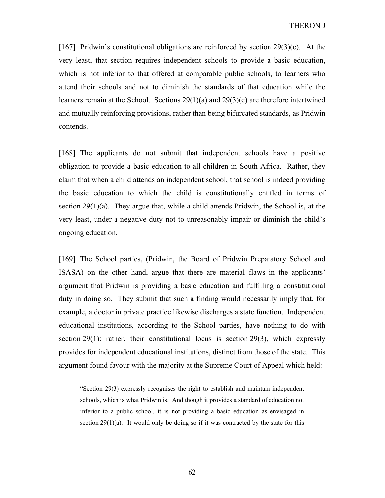[167] Pridwin's constitutional obligations are reinforced by section  $29(3)(c)$ . At the very least, that section requires independent schools to provide a basic education, which is not inferior to that offered at comparable public schools, to learners who attend their schools and not to diminish the standards of that education while the learners remain at the School. Sections 29(1)(a) and 29(3)(c) are therefore intertwined and mutually reinforcing provisions, rather than being bifurcated standards, as Pridwin contends.

[168] The applicants do not submit that independent schools have a positive obligation to provide a basic education to all children in South Africa. Rather, they claim that when a child attends an independent school, that school is indeed providing the basic education to which the child is constitutionally entitled in terms of section  $29(1)(a)$ . They argue that, while a child attends Pridwin, the School is, at the very least, under a negative duty not to unreasonably impair or diminish the child's ongoing education.

[169] The School parties, (Pridwin, the Board of Pridwin Preparatory School and ISASA) on the other hand, argue that there are material flaws in the applicants' argument that Pridwin is providing a basic education and fulfilling a constitutional duty in doing so. They submit that such a finding would necessarily imply that, for example, a doctor in private practice likewise discharges a state function. Independent educational institutions, according to the School parties, have nothing to do with section 29(1): rather, their constitutional locus is section 29(3), which expressly provides for independent educational institutions, distinct from those of the state. This argument found favour with the majority at the Supreme Court of Appeal which held:

"Section 29(3) expressly recognises the right to establish and maintain independent schools, which is what Pridwin is. And though it provides a standard of education not inferior to a public school, it is not providing a basic education as envisaged in section  $29(1)(a)$ . It would only be doing so if it was contracted by the state for this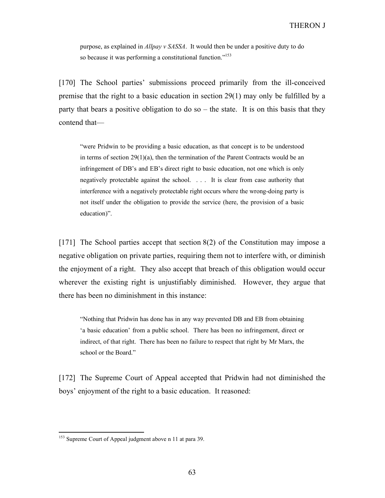purpose, as explained in Allpay v SASSA. It would then be under a positive duty to do so because it was performing a constitutional function."<sup>153</sup>

[170] The School parties' submissions proceed primarily from the ill-conceived premise that the right to a basic education in section 29(1) may only be fulfilled by a party that bears a positive obligation to do so – the state. It is on this basis that they contend that—

"were Pridwin to be providing a basic education, as that concept is to be understood in terms of section  $29(1)(a)$ , then the termination of the Parent Contracts would be an infringement of DB's and EB's direct right to basic education, not one which is only negatively protectable against the school. . . . It is clear from case authority that interference with a negatively protectable right occurs where the wrong-doing party is not itself under the obligation to provide the service (here, the provision of a basic education)".

[171] The School parties accept that section 8(2) of the Constitution may impose a negative obligation on private parties, requiring them not to interfere with, or diminish the enjoyment of a right. They also accept that breach of this obligation would occur wherever the existing right is unjustifiably diminished. However, they argue that there has been no diminishment in this instance:

"Nothing that Pridwin has done has in any way prevented DB and EB from obtaining 'a basic education' from a public school. There has been no infringement, direct or indirect, of that right. There has been no failure to respect that right by Mr Marx, the school or the Board."

[172] The Supreme Court of Appeal accepted that Pridwin had not diminished the boys' enjoyment of the right to a basic education. It reasoned:

<sup>&</sup>lt;sup>153</sup> Supreme Court of Appeal judgment above n 11 at para 39.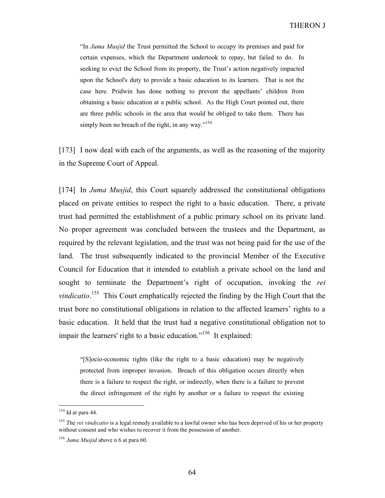"In Juma Musjid the Trust permitted the School to occupy its premises and paid for certain expenses, which the Department undertook to repay, but failed to do. In seeking to evict the School from its property, the Trust's action negatively impacted upon the School's duty to provide a basic education to its learners. That is not the case here. Pridwin has done nothing to prevent the appellants' children from obtaining a basic education at a public school. As the High Court pointed out, there are three public schools in the area that would be obliged to take them. There has simply been no breach of the right, in any way."<sup>154</sup>

[173] I now deal with each of the arguments, as well as the reasoning of the majority in the Supreme Court of Appeal.

[174] In Juma Musjid, this Court squarely addressed the constitutional obligations placed on private entities to respect the right to a basic education. There, a private trust had permitted the establishment of a public primary school on its private land. No proper agreement was concluded between the trustees and the Department, as required by the relevant legislation, and the trust was not being paid for the use of the land. The trust subsequently indicated to the provincial Member of the Executive Council for Education that it intended to establish a private school on the land and sought to terminate the Department's right of occupation, invoking the rei vindicatio.<sup>155</sup> This Court emphatically rejected the finding by the High Court that the trust bore no constitutional obligations in relation to the affected learners' rights to a basic education. It held that the trust had a negative constitutional obligation not to impair the learners' right to a basic education."<sup>156</sup> It explained:

"[S]ocio-economic rights (like the right to a basic education) may be negatively protected from improper invasion. Breach of this obligation occurs directly when there is a failure to respect the right, or indirectly, when there is a failure to prevent the direct infringement of the right by another or a failure to respect the existing

 $154$  Id at para 44.

<sup>&</sup>lt;sup>155</sup> The *rei vindicatio* is a legal remedy available to a lawful owner who has been deprived of his or her property without consent and who wishes to recover it from the possession of another.

 $156$  Juma Musjid above n 6 at para 60.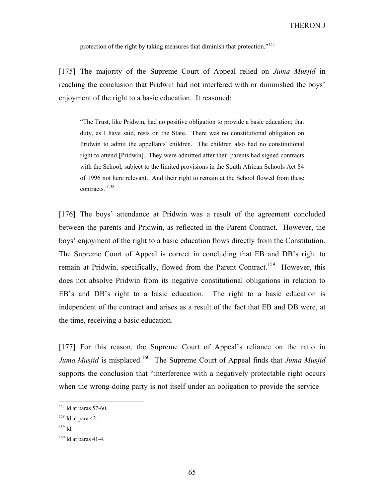protection of the right by taking measures that diminish that protection."<sup>157</sup>

[175] The majority of the Supreme Court of Appeal relied on Juma Musjid in reaching the conclusion that Pridwin had not interfered with or diminished the boys' enjoyment of the right to a basic education. It reasoned:

"The Trust, like Pridwin, had no positive obligation to provide a basic education; that duty, as I have said, rests on the State. There was no constitutional obligation on Pridwin to admit the appellants' children. The children also had no constitutional right to attend [Pridwin]. They were admitted after their parents had signed contracts with the School, subject to the limited provisions in the South African Schools Act 84 of 1996 not here relevant. And their right to remain at the School flowed from these contracts<sup>",158</sup>

[176] The boys' attendance at Pridwin was a result of the agreement concluded between the parents and Pridwin, as reflected in the Parent Contract. However, the boys' enjoyment of the right to a basic education flows directly from the Constitution. The Supreme Court of Appeal is correct in concluding that EB and DB's right to remain at Pridwin, specifically, flowed from the Parent Contract.<sup>159</sup> However, this does not absolve Pridwin from its negative constitutional obligations in relation to EB's and DB's right to a basic education. The right to a basic education is independent of the contract and arises as a result of the fact that EB and DB were, at the time, receiving a basic education.

[177] For this reason, the Supreme Court of Appeal's reliance on the ratio in Juma Musjid is misplaced.<sup>160</sup> The Supreme Court of Appeal finds that Juma Musjid supports the conclusion that "interference with a negatively protectable right occurs when the wrong-doing party is not itself under an obligation to provide the service –

 $157$  Id at paras 57-60.

 $158$  Id at para 42.

<sup>159</sup> Id.

 $160$  Id at paras 41-4.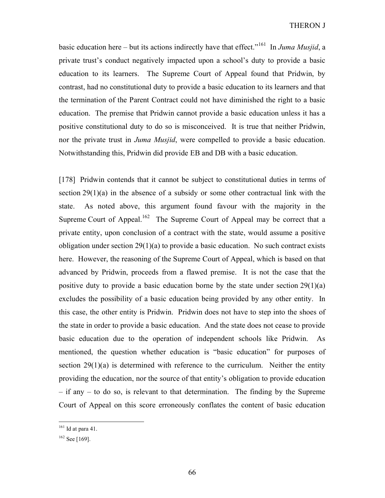basic education here – but its actions indirectly have that effect."<sup>161</sup> In Juma Musjid, a private trust's conduct negatively impacted upon a school's duty to provide a basic education to its learners. The Supreme Court of Appeal found that Pridwin, by contrast, had no constitutional duty to provide a basic education to its learners and that the termination of the Parent Contract could not have diminished the right to a basic education. The premise that Pridwin cannot provide a basic education unless it has a positive constitutional duty to do so is misconceived. It is true that neither Pridwin, nor the private trust in *Juma Musjid*, were compelled to provide a basic education. Notwithstanding this, Pridwin did provide EB and DB with a basic education.

[178] Pridwin contends that it cannot be subject to constitutional duties in terms of section 29(1)(a) in the absence of a subsidy or some other contractual link with the state. As noted above, this argument found favour with the majority in the Supreme Court of Appeal.<sup>162</sup> The Supreme Court of Appeal may be correct that a private entity, upon conclusion of a contract with the state, would assume a positive obligation under section  $29(1)(a)$  to provide a basic education. No such contract exists here. However, the reasoning of the Supreme Court of Appeal, which is based on that advanced by Pridwin, proceeds from a flawed premise. It is not the case that the positive duty to provide a basic education borne by the state under section  $29(1)(a)$ excludes the possibility of a basic education being provided by any other entity. In this case, the other entity is Pridwin. Pridwin does not have to step into the shoes of the state in order to provide a basic education. And the state does not cease to provide basic education due to the operation of independent schools like Pridwin. As mentioned, the question whether education is "basic education" for purposes of section  $29(1)(a)$  is determined with reference to the curriculum. Neither the entity providing the education, nor the source of that entity's obligation to provide education – if any – to do so, is relevant to that determination. The finding by the Supreme Court of Appeal on this score erroneously conflates the content of basic education

 $161$  Id at para 41.

 $162$  See [169].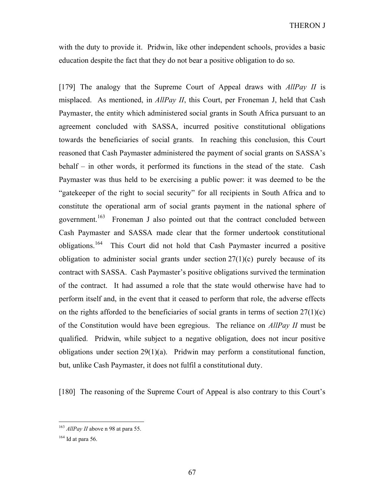with the duty to provide it. Pridwin, like other independent schools, provides a basic education despite the fact that they do not bear a positive obligation to do so.

[179] The analogy that the Supreme Court of Appeal draws with  $AllPav II$  is misplaced. As mentioned, in *AllPay II*, this Court, per Froneman J, held that Cash Paymaster, the entity which administered social grants in South Africa pursuant to an agreement concluded with SASSA, incurred positive constitutional obligations towards the beneficiaries of social grants. In reaching this conclusion, this Court reasoned that Cash Paymaster administered the payment of social grants on SASSA's behalf – in other words, it performed its functions in the stead of the state. Cash Paymaster was thus held to be exercising a public power: it was deemed to be the "gatekeeper of the right to social security" for all recipients in South Africa and to constitute the operational arm of social grants payment in the national sphere of government.<sup>163</sup> Froneman J also pointed out that the contract concluded between Cash Paymaster and SASSA made clear that the former undertook constitutional obligations.<sup>164</sup> This Court did not hold that Cash Paymaster incurred a positive obligation to administer social grants under section  $27(1)(c)$  purely because of its contract with SASSA. Cash Paymaster's positive obligations survived the termination of the contract. It had assumed a role that the state would otherwise have had to perform itself and, in the event that it ceased to perform that role, the adverse effects on the rights afforded to the beneficiaries of social grants in terms of section  $27(1)(c)$ of the Constitution would have been egregious. The reliance on AllPay II must be qualified. Pridwin, while subject to a negative obligation, does not incur positive obligations under section  $29(1)(a)$ . Pridwin may perform a constitutional function, but, unlike Cash Paymaster, it does not fulfil a constitutional duty.

[180] The reasoning of the Supreme Court of Appeal is also contrary to this Court's

 $163$  *AllPay II* above n 98 at para 55.

 $164$  Id at para 56.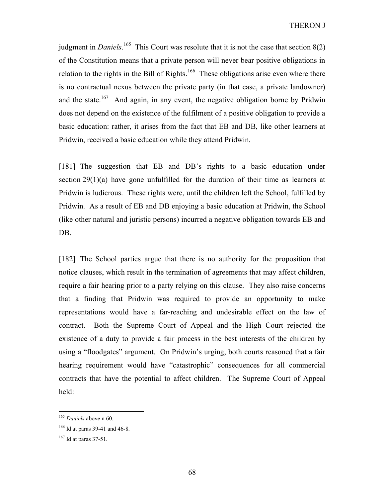judgment in *Daniels*.<sup>165</sup> This Court was resolute that it is not the case that section  $8(2)$ of the Constitution means that a private person will never bear positive obligations in relation to the rights in the Bill of Rights.<sup>166</sup> These obligations arise even where there is no contractual nexus between the private party (in that case, a private landowner) and the state.<sup>167</sup> And again, in any event, the negative obligation borne by Pridwin does not depend on the existence of the fulfilment of a positive obligation to provide a basic education: rather, it arises from the fact that EB and DB, like other learners at Pridwin, received a basic education while they attend Pridwin.

[181] The suggestion that EB and DB's rights to a basic education under section  $29(1)(a)$  have gone unfulfilled for the duration of their time as learners at Pridwin is ludicrous. These rights were, until the children left the School, fulfilled by Pridwin. As a result of EB and DB enjoying a basic education at Pridwin, the School (like other natural and juristic persons) incurred a negative obligation towards EB and DB.

[182] The School parties argue that there is no authority for the proposition that notice clauses, which result in the termination of agreements that may affect children, require a fair hearing prior to a party relying on this clause. They also raise concerns that a finding that Pridwin was required to provide an opportunity to make representations would have a far-reaching and undesirable effect on the law of contract. Both the Supreme Court of Appeal and the High Court rejected the existence of a duty to provide a fair process in the best interests of the children by using a "floodgates" argument. On Pridwin's urging, both courts reasoned that a fair hearing requirement would have "catastrophic" consequences for all commercial contracts that have the potential to affect children. The Supreme Court of Appeal held:

<sup>&</sup>lt;sup>165</sup> Daniels above n 60.

<sup>&</sup>lt;sup>166</sup> Id at paras 39-41 and 46-8.

<sup>167</sup> Id at paras 37-51.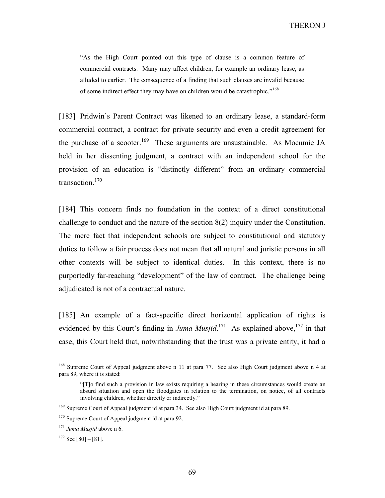"As the High Court pointed out this type of clause is a common feature of commercial contracts. Many may affect children, for example an ordinary lease, as alluded to earlier. The consequence of a finding that such clauses are invalid because of some indirect effect they may have on children would be catastrophic."<sup>168</sup>

[183] Pridwin's Parent Contract was likened to an ordinary lease, a standard-form commercial contract, a contract for private security and even a credit agreement for the purchase of a scooter.<sup>169</sup> These arguments are unsustainable. As Mocumie JA held in her dissenting judgment, a contract with an independent school for the provision of an education is "distinctly different" from an ordinary commercial transaction.<sup>170</sup>

[184] This concern finds no foundation in the context of a direct constitutional challenge to conduct and the nature of the section 8(2) inquiry under the Constitution. The mere fact that independent schools are subject to constitutional and statutory duties to follow a fair process does not mean that all natural and juristic persons in all other contexts will be subject to identical duties. In this context, there is no purportedly far-reaching "development" of the law of contract. The challenge being adjudicated is not of a contractual nature.

[185] An example of a fact-specific direct horizontal application of rights is evidenced by this Court's finding in *Juma Musjid*.<sup>171</sup> As explained above, <sup>172</sup> in that case, this Court held that, notwithstanding that the trust was a private entity, it had a

<sup>&</sup>lt;sup>168</sup> Supreme Court of Appeal judgment above n 11 at para 77. See also High Court judgment above n 4 at para 89, where it is stated:

<sup>&</sup>quot;[T]o find such a provision in law exists requiring a hearing in these circumstances would create an absurd situation and open the floodgates in relation to the termination, on notice, of all contracts involving children, whether directly or indirectly."

<sup>&</sup>lt;sup>169</sup> Supreme Court of Appeal judgment id at para 34. See also High Court judgment id at para 89.

<sup>&</sup>lt;sup>170</sup> Supreme Court of Appeal judgment id at para 92.

 $171$  Juma Musjid above n 6.

 $172$  See [80] - [81].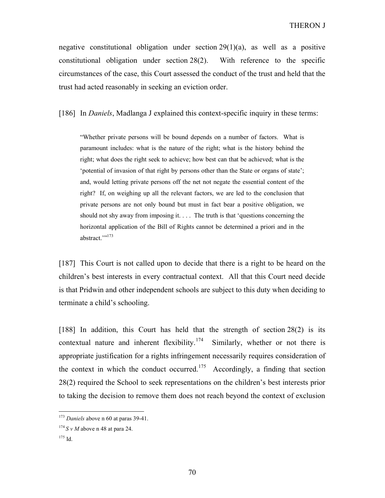negative constitutional obligation under section  $29(1)(a)$ , as well as a positive constitutional obligation under section 28(2). With reference to the specific circumstances of the case, this Court assessed the conduct of the trust and held that the trust had acted reasonably in seeking an eviction order.

[186] In *Daniels*, Madlanga J explained this context-specific inquiry in these terms:

"Whether private persons will be bound depends on a number of factors. What is paramount includes: what is the nature of the right; what is the history behind the right; what does the right seek to achieve; how best can that be achieved; what is the 'potential of invasion of that right by persons other than the State or organs of state'; and, would letting private persons off the net not negate the essential content of the right? If, on weighing up all the relevant factors, we are led to the conclusion that private persons are not only bound but must in fact bear a positive obligation, we should not shy away from imposing it. . . . The truth is that 'questions concerning the horizontal application of the Bill of Rights cannot be determined a priori and in the abstract.""<sup>173</sup>

[187] This Court is not called upon to decide that there is a right to be heard on the children's best interests in every contractual context. All that this Court need decide is that Pridwin and other independent schools are subject to this duty when deciding to terminate a child's schooling.

[188] In addition, this Court has held that the strength of section  $28(2)$  is its contextual nature and inherent flexibility.<sup>174</sup> Similarly, whether or not there is appropriate justification for a rights infringement necessarily requires consideration of the context in which the conduct occurred.<sup>175</sup> Accordingly, a finding that section 28(2) required the School to seek representations on the children's best interests prior to taking the decision to remove them does not reach beyond the context of exclusion

 $173$  Daniels above n 60 at paras 39-41.

 $174$  S v M above n 48 at para 24.

<sup>175</sup> Id.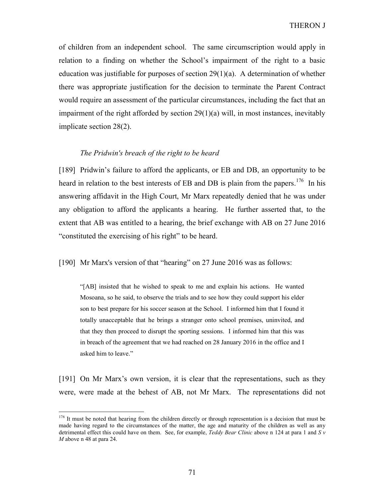of children from an independent school. The same circumscription would apply in relation to a finding on whether the School's impairment of the right to a basic education was justifiable for purposes of section  $29(1)(a)$ . A determination of whether there was appropriate justification for the decision to terminate the Parent Contract would require an assessment of the particular circumstances, including the fact that an impairment of the right afforded by section 29(1)(a) will, in most instances, inevitably implicate section 28(2).

# The Pridwin's breach of the right to be heard

[189] Pridwin's failure to afford the applicants, or EB and DB, an opportunity to be heard in relation to the best interests of EB and DB is plain from the papers.<sup>176</sup> In his answering affidavit in the High Court, Mr Marx repeatedly denied that he was under any obligation to afford the applicants a hearing. He further asserted that, to the extent that AB was entitled to a hearing, the brief exchange with AB on 27 June 2016 "constituted the exercising of his right" to be heard.

[190] Mr Marx's version of that "hearing" on 27 June 2016 was as follows:

"[AB] insisted that he wished to speak to me and explain his actions. He wanted Mosoana, so he said, to observe the trials and to see how they could support his elder son to best prepare for his soccer season at the School. I informed him that I found it totally unacceptable that he brings a stranger onto school premises, uninvited, and that they then proceed to disrupt the sporting sessions. I informed him that this was in breach of the agreement that we had reached on 28 January 2016 in the office and I asked him to leave."

[191] On Mr Marx's own version, it is clear that the representations, such as they were, were made at the behest of AB, not Mr Marx. The representations did not

<sup>&</sup>lt;sup>176</sup> It must be noted that hearing from the children directly or through representation is a decision that must be made having regard to the circumstances of the matter, the age and maturity of the children as well as any detrimental effect this could have on them. See, for example, Teddy Bear Clinic above n 124 at para 1 and S  $v$ M above n 48 at para 24.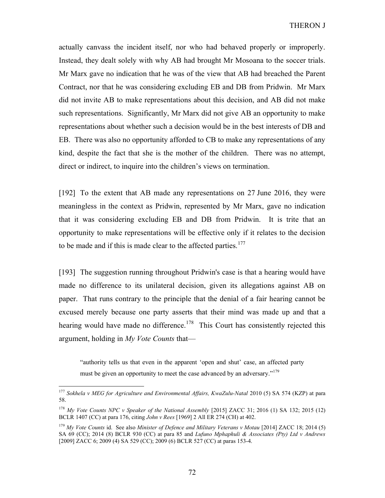actually canvass the incident itself, nor who had behaved properly or improperly. Instead, they dealt solely with why AB had brought Mr Mosoana to the soccer trials. Mr Marx gave no indication that he was of the view that AB had breached the Parent Contract, nor that he was considering excluding EB and DB from Pridwin. Mr Marx did not invite AB to make representations about this decision, and AB did not make such representations. Significantly, Mr Marx did not give AB an opportunity to make representations about whether such a decision would be in the best interests of DB and EB. There was also no opportunity afforded to CB to make any representations of any kind, despite the fact that she is the mother of the children. There was no attempt, direct or indirect, to inquire into the children's views on termination.

[192] To the extent that AB made any representations on 27 June 2016, they were meaningless in the context as Pridwin, represented by Mr Marx, gave no indication that it was considering excluding EB and DB from Pridwin. It is trite that an opportunity to make representations will be effective only if it relates to the decision to be made and if this is made clear to the affected parties. $177$ 

[193] The suggestion running throughout Pridwin's case is that a hearing would have made no difference to its unilateral decision, given its allegations against AB on paper. That runs contrary to the principle that the denial of a fair hearing cannot be excused merely because one party asserts that their mind was made up and that a hearing would have made no difference.<sup>178</sup> This Court has consistently rejected this argument, holding in My Vote Counts that—

"authority tells us that even in the apparent 'open and shut' case, an affected party must be given an opportunity to meet the case advanced by an adversary."<sup>179</sup>

<sup>&</sup>lt;sup>177</sup> Sokhela v MEG for Agriculture and Environmental Affairs, KwaZulu-Natal 2010 (5) SA 574 (KZP) at para 58.

<sup>&</sup>lt;sup>178</sup> My Vote Counts NPC v Speaker of the National Assembly [2015] ZACC 31; 2016 (1) SA 132; 2015 (12) BCLR 1407 (CC) at para 176, citing John v Rees [1969] 2 All ER 274 (CH) at 402.

<sup>&</sup>lt;sup>179</sup> My Vote Counts id. See also Minister of Defence and Military Veterans v Motau [2014] ZACC 18; 2014 (5) SA 69 (CC); 2014 (8) BCLR 930 (CC) at para 85 and Lufuno Mphaphuli & Associates (Pty) Ltd v Andrews [2009] ZACC 6; 2009 (4) SA 529 (CC); 2009 (6) BCLR 527 (CC) at paras 153-4.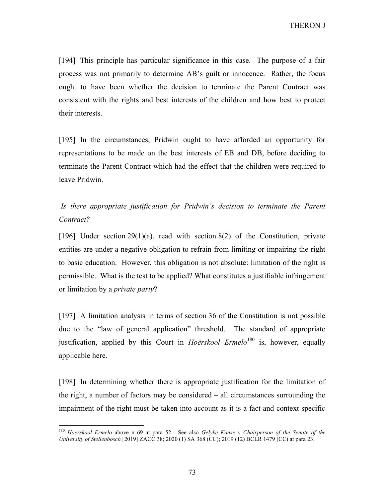THERON J

[194] This principle has particular significance in this case. The purpose of a fair process was not primarily to determine AB's guilt or innocence. Rather, the focus ought to have been whether the decision to terminate the Parent Contract was consistent with the rights and best interests of the children and how best to protect their interests.

[195] In the circumstances, Pridwin ought to have afforded an opportunity for representations to be made on the best interests of EB and DB, before deciding to terminate the Parent Contract which had the effect that the children were required to leave Pridwin.

 Is there appropriate justification for Pridwin's decision to terminate the Parent Contract?

[196] Under section  $29(1)(a)$ , read with section  $8(2)$  of the Constitution, private entities are under a negative obligation to refrain from limiting or impairing the right to basic education. However, this obligation is not absolute: limitation of the right is permissible. What is the test to be applied? What constitutes a justifiable infringement or limitation by a *private party*?

[197] A limitation analysis in terms of section 36 of the Constitution is not possible due to the "law of general application" threshold. The standard of appropriate justification, applied by this Court in Hoërskool Ermelo<sup>180</sup> is, however, equally applicable here.

[198] In determining whether there is appropriate justification for the limitation of the right, a number of factors may be considered – all circumstances surrounding the impairment of the right must be taken into account as it is a fact and context specific

 $180$  Hoërskool Ermelo above n 69 at para 52. See also Gelyke Kanse v Chairperson of the Senate of the University of Stellenbosch [2019] ZACC 38; 2020 (1) SA 368 (CC); 2019 (12) BCLR 1479 (CC) at para 23.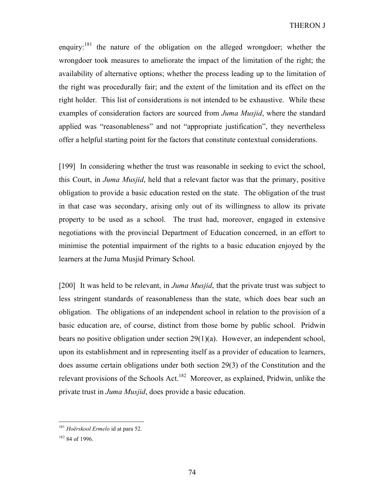enquiry:  $181$  the nature of the obligation on the alleged wrongdoer; whether the wrongdoer took measures to ameliorate the impact of the limitation of the right; the availability of alternative options; whether the process leading up to the limitation of the right was procedurally fair; and the extent of the limitation and its effect on the right holder. This list of considerations is not intended to be exhaustive. While these examples of consideration factors are sourced from Juma Musjid, where the standard applied was "reasonableness" and not "appropriate justification", they nevertheless offer a helpful starting point for the factors that constitute contextual considerations.

[199] In considering whether the trust was reasonable in seeking to evict the school, this Court, in *Juma Musjid*, held that a relevant factor was that the primary, positive obligation to provide a basic education rested on the state. The obligation of the trust in that case was secondary, arising only out of its willingness to allow its private property to be used as a school. The trust had, moreover, engaged in extensive negotiations with the provincial Department of Education concerned, in an effort to minimise the potential impairment of the rights to a basic education enjoyed by the learners at the Juma Musjid Primary School.

[200] It was held to be relevant, in *Juma Musjid*, that the private trust was subject to less stringent standards of reasonableness than the state, which does bear such an obligation. The obligations of an independent school in relation to the provision of a basic education are, of course, distinct from those borne by public school. Pridwin bears no positive obligation under section 29(1)(a). However, an independent school, upon its establishment and in representing itself as a provider of education to learners, does assume certain obligations under both section 29(3) of the Constitution and the relevant provisions of the Schools Act.<sup>182</sup> Moreover, as explained, Pridwin, unlike the private trust in *Juma Musjid*, does provide a basic education.

<sup>&</sup>lt;sup>181</sup> Hoërskool Ermelo id at para 52.

<sup>182</sup> 84 of 1996.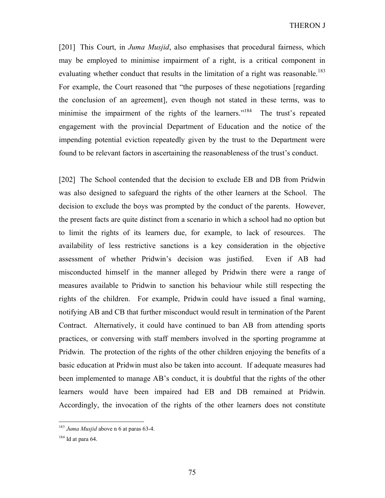THERON J

[201] This Court, in *Juma Musjid*, also emphasises that procedural fairness, which may be employed to minimise impairment of a right, is a critical component in evaluating whether conduct that results in the limitation of a right was reasonable.<sup>183</sup> For example, the Court reasoned that "the purposes of these negotiations [regarding the conclusion of an agreement], even though not stated in these terms, was to minimise the impairment of the rights of the learners."<sup>184</sup> The trust's repeated engagement with the provincial Department of Education and the notice of the impending potential eviction repeatedly given by the trust to the Department were found to be relevant factors in ascertaining the reasonableness of the trust's conduct.

[202] The School contended that the decision to exclude EB and DB from Pridwin was also designed to safeguard the rights of the other learners at the School. The decision to exclude the boys was prompted by the conduct of the parents. However, the present facts are quite distinct from a scenario in which a school had no option but to limit the rights of its learners due, for example, to lack of resources. The availability of less restrictive sanctions is a key consideration in the objective assessment of whether Pridwin's decision was justified. Even if AB had misconducted himself in the manner alleged by Pridwin there were a range of measures available to Pridwin to sanction his behaviour while still respecting the rights of the children. For example, Pridwin could have issued a final warning, notifying AB and CB that further misconduct would result in termination of the Parent Contract. Alternatively, it could have continued to ban AB from attending sports practices, or conversing with staff members involved in the sporting programme at Pridwin. The protection of the rights of the other children enjoying the benefits of a basic education at Pridwin must also be taken into account. If adequate measures had been implemented to manage AB's conduct, it is doubtful that the rights of the other learners would have been impaired had EB and DB remained at Pridwin. Accordingly, the invocation of the rights of the other learners does not constitute

 $183$  Juma Musjid above n 6 at paras 63-4.

 $184$  Id at para 64.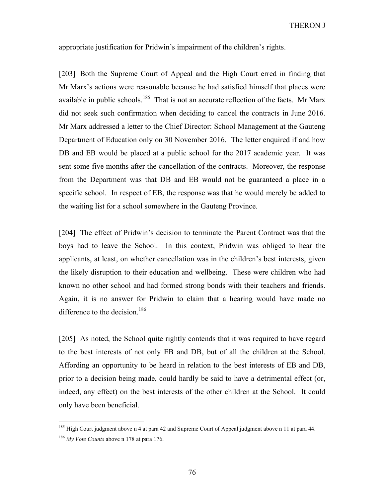appropriate justification for Pridwin's impairment of the children's rights.

[203] Both the Supreme Court of Appeal and the High Court erred in finding that Mr Marx's actions were reasonable because he had satisfied himself that places were available in public schools.<sup>185</sup> That is not an accurate reflection of the facts. Mr Marx did not seek such confirmation when deciding to cancel the contracts in June 2016. Mr Marx addressed a letter to the Chief Director: School Management at the Gauteng Department of Education only on 30 November 2016. The letter enquired if and how DB and EB would be placed at a public school for the 2017 academic year. It was sent some five months after the cancellation of the contracts. Moreover, the response from the Department was that DB and EB would not be guaranteed a place in a specific school. In respect of EB, the response was that he would merely be added to the waiting list for a school somewhere in the Gauteng Province.

[204] The effect of Pridwin's decision to terminate the Parent Contract was that the boys had to leave the School. In this context, Pridwin was obliged to hear the applicants, at least, on whether cancellation was in the children's best interests, given the likely disruption to their education and wellbeing. These were children who had known no other school and had formed strong bonds with their teachers and friends. Again, it is no answer for Pridwin to claim that a hearing would have made no difference to the decision.<sup>186</sup>

[205] As noted, the School quite rightly contends that it was required to have regard to the best interests of not only EB and DB, but of all the children at the School. Affording an opportunity to be heard in relation to the best interests of EB and DB, prior to a decision being made, could hardly be said to have a detrimental effect (or, indeed, any effect) on the best interests of the other children at the School. It could only have been beneficial.

<sup>&</sup>lt;sup>185</sup> High Court judgment above n 4 at para 42 and Supreme Court of Appeal judgment above n 11 at para 44.  $186$  My Vote Counts above n 178 at para 176.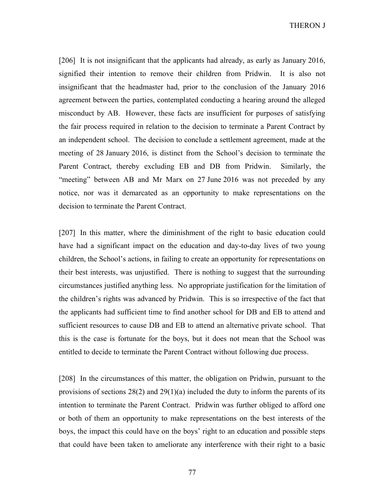THERON J

[206] It is not insignificant that the applicants had already, as early as January 2016, signified their intention to remove their children from Pridwin. It is also not insignificant that the headmaster had, prior to the conclusion of the January 2016 agreement between the parties, contemplated conducting a hearing around the alleged misconduct by AB. However, these facts are insufficient for purposes of satisfying the fair process required in relation to the decision to terminate a Parent Contract by an independent school. The decision to conclude a settlement agreement, made at the meeting of 28 January 2016, is distinct from the School's decision to terminate the Parent Contract, thereby excluding EB and DB from Pridwin. Similarly, the "meeting" between AB and Mr Marx on 27 June 2016 was not preceded by any notice, nor was it demarcated as an opportunity to make representations on the decision to terminate the Parent Contract.

[207] In this matter, where the diminishment of the right to basic education could have had a significant impact on the education and day-to-day lives of two young children, the School's actions, in failing to create an opportunity for representations on their best interests, was unjustified. There is nothing to suggest that the surrounding circumstances justified anything less. No appropriate justification for the limitation of the children's rights was advanced by Pridwin. This is so irrespective of the fact that the applicants had sufficient time to find another school for DB and EB to attend and sufficient resources to cause DB and EB to attend an alternative private school. That this is the case is fortunate for the boys, but it does not mean that the School was entitled to decide to terminate the Parent Contract without following due process.

[208] In the circumstances of this matter, the obligation on Pridwin, pursuant to the provisions of sections  $28(2)$  and  $29(1)(a)$  included the duty to inform the parents of its intention to terminate the Parent Contract. Pridwin was further obliged to afford one or both of them an opportunity to make representations on the best interests of the boys, the impact this could have on the boys' right to an education and possible steps that could have been taken to ameliorate any interference with their right to a basic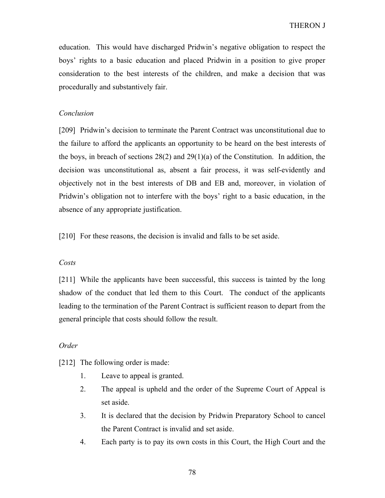education. This would have discharged Pridwin's negative obligation to respect the boys' rights to a basic education and placed Pridwin in a position to give proper consideration to the best interests of the children, and make a decision that was procedurally and substantively fair.

## Conclusion

[209] Pridwin's decision to terminate the Parent Contract was unconstitutional due to the failure to afford the applicants an opportunity to be heard on the best interests of the boys, in breach of sections 28(2) and 29(1)(a) of the Constitution. In addition, the decision was unconstitutional as, absent a fair process, it was self-evidently and objectively not in the best interests of DB and EB and, moreover, in violation of Pridwin's obligation not to interfere with the boys' right to a basic education, in the absence of any appropriate justification.

[210] For these reasons, the decision is invalid and falls to be set aside.

# Costs

[211] While the applicants have been successful, this success is tainted by the long shadow of the conduct that led them to this Court. The conduct of the applicants leading to the termination of the Parent Contract is sufficient reason to depart from the general principle that costs should follow the result.

## Order

[212] The following order is made:

- 1. Leave to appeal is granted.
- 2. The appeal is upheld and the order of the Supreme Court of Appeal is set aside.
- 3. It is declared that the decision by Pridwin Preparatory School to cancel the Parent Contract is invalid and set aside.
- 4. Each party is to pay its own costs in this Court, the High Court and the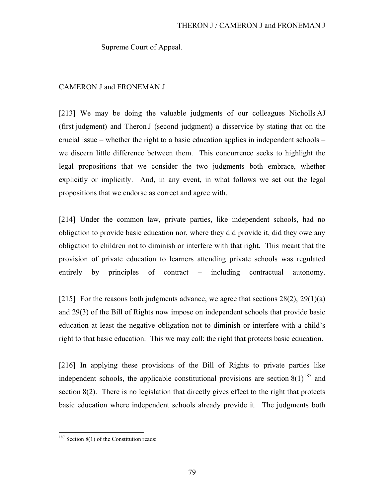Supreme Court of Appeal.

# CAMERON J and FRONEMAN J

[213] We may be doing the valuable judgments of our colleagues Nicholls AJ (first judgment) and Theron J (second judgment) a disservice by stating that on the crucial issue – whether the right to a basic education applies in independent schools – we discern little difference between them. This concurrence seeks to highlight the legal propositions that we consider the two judgments both embrace, whether explicitly or implicitly. And, in any event, in what follows we set out the legal propositions that we endorse as correct and agree with.

[214] Under the common law, private parties, like independent schools, had no obligation to provide basic education nor, where they did provide it, did they owe any obligation to children not to diminish or interfere with that right. This meant that the provision of private education to learners attending private schools was regulated entirely by principles of contract – including contractual autonomy.

[215] For the reasons both judgments advance, we agree that sections  $28(2)$ ,  $29(1)(a)$ and 29(3) of the Bill of Rights now impose on independent schools that provide basic education at least the negative obligation not to diminish or interfere with a child's right to that basic education. This we may call: the right that protects basic education.

[216] In applying these provisions of the Bill of Rights to private parties like independent schools, the applicable constitutional provisions are section  $8(1)^{187}$  and section  $8(2)$ . There is no legislation that directly gives effect to the right that protects basic education where independent schools already provide it. The judgments both

 $187$  Section 8(1) of the Constitution reads: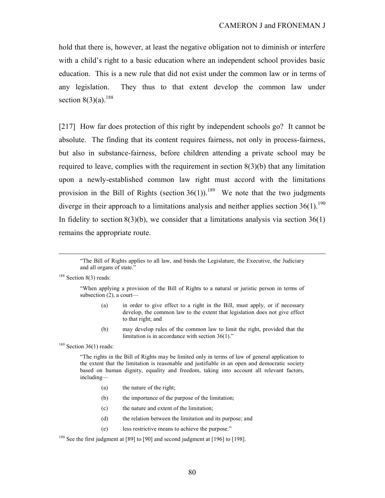hold that there is, however, at least the negative obligation not to diminish or interfere with a child's right to a basic education where an independent school provides basic education. This is a new rule that did not exist under the common law or in terms of any legislation. They thus to that extent develop the common law under section  $8(3)(a)$ .<sup>188</sup>

[217] How far does protection of this right by independent schools go? It cannot be absolute. The finding that its content requires fairness, not only in process-fairness, but also in substance-fairness, before children attending a private school may be required to leave, complies with the requirement in section 8(3)(b) that any limitation upon a newly-established common law right must accord with the limitations provision in the Bill of Rights (section  $36(1)$ ).<sup>189</sup> We note that the two judgments diverge in their approach to a limitations analysis and neither applies section  $36(1)$ .<sup>190</sup> In fidelity to section  $8(3)(b)$ , we consider that a limitations analysis via section  $36(1)$ remains the appropriate route.

<sup>188</sup> Section 8(3) reads:

 $\overline{a}$ 

- (a) in order to give effect to a right in the Bill, must apply, or if necessary develop, the common law to the extent that legislation does not give effect to that right; and
- (b) may develop rules of the common law to limit the right, provided that the limitation is in accordance with section 36(1)."

 $189$  Section 36(1) reads:

"The rights in the Bill of Rights may be limited only in terms of law of general application to the extent that the limitation is reasonable and justifiable in an open and democratic society based on human dignity, equality and freedom, taking into account all relevant factors, including—

- (a) the nature of the right;
- (b) the importance of the purpose of the limitation;
- (c) the nature and extent of the limitation;
- (d) the relation between the limitation and its purpose; and
- (e) less restrictive means to achieve the purpose."

<sup>190</sup> See the first judgment at [89] to [90] and second judgment at [196] to [198].

<sup>&</sup>quot;The Bill of Rights applies to all law, and binds the Legislature, the Executive, the Judiciary and all organs of state."

<sup>&</sup>quot;When applying a provision of the Bill of Rights to a natural or juristic person in terms of subsection (2), a court—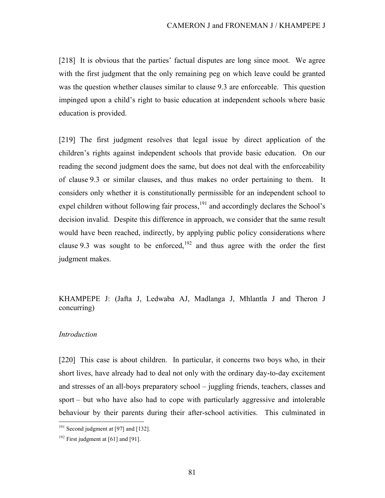[218] It is obvious that the parties' factual disputes are long since moot. We agree with the first judgment that the only remaining peg on which leave could be granted was the question whether clauses similar to clause 9.3 are enforceable. This question impinged upon a child's right to basic education at independent schools where basic education is provided.

[219] The first judgment resolves that legal issue by direct application of the children's rights against independent schools that provide basic education. On our reading the second judgment does the same, but does not deal with the enforceability of clause 9.3 or similar clauses, and thus makes no order pertaining to them. It considers only whether it is constitutionally permissible for an independent school to expel children without following fair process, $^{191}$  and accordingly declares the School's decision invalid. Despite this difference in approach, we consider that the same result would have been reached, indirectly, by applying public policy considerations where clause 9.3 was sought to be enforced,<sup>192</sup> and thus agree with the order the first judgment makes.

KHAMPEPE J: (Jafta J, Ledwaba AJ, Madlanga J, Mhlantla J and Theron J concurring)

# Introduction

-

[220] This case is about children. In particular, it concerns two boys who, in their short lives, have already had to deal not only with the ordinary day-to-day excitement and stresses of an all-boys preparatory school – juggling friends, teachers, classes and sport – but who have also had to cope with particularly aggressive and intolerable behaviour by their parents during their after-school activities. This culminated in

 $191$  Second judgment at [97] and [132].

 $192$  First judgment at [61] and [91].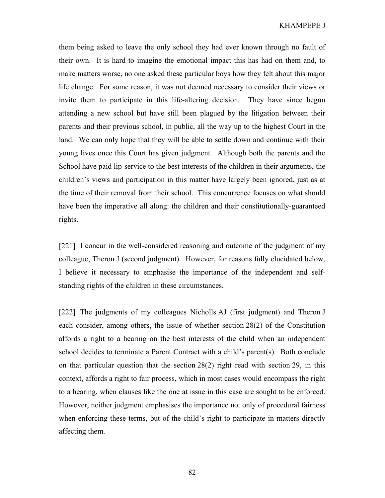them being asked to leave the only school they had ever known through no fault of their own. It is hard to imagine the emotional impact this has had on them and, to make matters worse, no one asked these particular boys how they felt about this major life change. For some reason, it was not deemed necessary to consider their views or invite them to participate in this life-altering decision. They have since begun attending a new school but have still been plagued by the litigation between their parents and their previous school, in public, all the way up to the highest Court in the land. We can only hope that they will be able to settle down and continue with their young lives once this Court has given judgment. Although both the parents and the School have paid lip-service to the best interests of the children in their arguments, the children's views and participation in this matter have largely been ignored, just as at the time of their removal from their school. This concurrence focuses on what should have been the imperative all along: the children and their constitutionally-guaranteed rights.

[221] I concur in the well-considered reasoning and outcome of the judgment of my colleague, Theron J (second judgment). However, for reasons fully elucidated below, I believe it necessary to emphasise the importance of the independent and selfstanding rights of the children in these circumstances.

[222] The judgments of my colleagues Nicholls AJ (first judgment) and Theron J each consider, among others, the issue of whether section 28(2) of the Constitution affords a right to a hearing on the best interests of the child when an independent school decides to terminate a Parent Contract with a child's parent(s). Both conclude on that particular question that the section 28(2) right read with section 29, in this context, affords a right to fair process, which in most cases would encompass the right to a hearing, when clauses like the one at issue in this case are sought to be enforced. However, neither judgment emphasises the importance not only of procedural fairness when enforcing these terms, but of the child's right to participate in matters directly affecting them.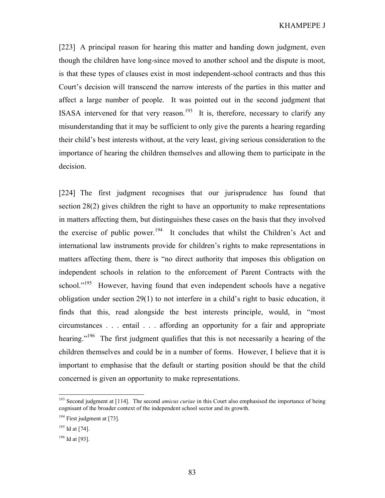[223] A principal reason for hearing this matter and handing down judgment, even though the children have long-since moved to another school and the dispute is moot, is that these types of clauses exist in most independent-school contracts and thus this Court's decision will transcend the narrow interests of the parties in this matter and affect a large number of people. It was pointed out in the second judgment that ISASA intervened for that very reason.<sup>193</sup> It is, therefore, necessary to clarify any misunderstanding that it may be sufficient to only give the parents a hearing regarding their child's best interests without, at the very least, giving serious consideration to the importance of hearing the children themselves and allowing them to participate in the decision.

[224] The first judgment recognises that our jurisprudence has found that section 28(2) gives children the right to have an opportunity to make representations in matters affecting them, but distinguishes these cases on the basis that they involved the exercise of public power.<sup>194</sup> It concludes that whilst the Children's Act and international law instruments provide for children's rights to make representations in matters affecting them, there is "no direct authority that imposes this obligation on independent schools in relation to the enforcement of Parent Contracts with the school."<sup>195</sup> However, having found that even independent schools have a negative obligation under section 29(1) to not interfere in a child's right to basic education, it finds that this, read alongside the best interests principle, would, in "most circumstances . . . entail . . . affording an opportunity for a fair and appropriate hearing."<sup>196</sup> The first judgment qualifies that this is not necessarily a hearing of the children themselves and could be in a number of forms. However, I believe that it is important to emphasise that the default or starting position should be that the child concerned is given an opportunity to make representations.

<sup>&</sup>lt;sup>193</sup> Second judgment at [114]. The second *amicus curiae* in this Court also emphasised the importance of being cognisant of the broader context of the independent school sector and its growth.

<sup>&</sup>lt;sup>194</sup> First judgment at [73].

 $195$  Id at [74].

<sup>&</sup>lt;sup>196</sup> Id at [93].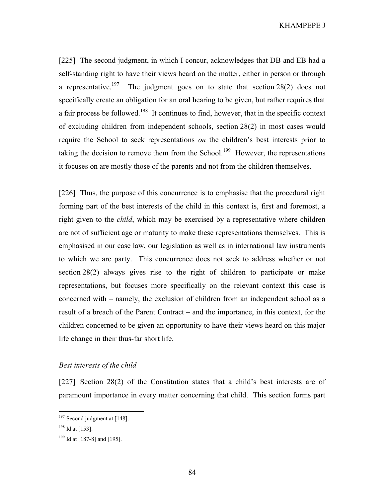[225] The second judgment, in which I concur, acknowledges that DB and EB had a self-standing right to have their views heard on the matter, either in person or through a representative.<sup>197</sup> The judgment goes on to state that section 28(2) does not specifically create an obligation for an oral hearing to be given, but rather requires that a fair process be followed.<sup>198</sup> It continues to find, however, that in the specific context of excluding children from independent schools, section 28(2) in most cases would require the School to seek representations *on* the children's best interests prior to taking the decision to remove them from the School.<sup>199</sup> However, the representations it focuses on are mostly those of the parents and not from the children themselves.

[226] Thus, the purpose of this concurrence is to emphasise that the procedural right forming part of the best interests of the child in this context is, first and foremost, a right given to the *child*, which may be exercised by a representative where children are not of sufficient age or maturity to make these representations themselves. This is emphasised in our case law, our legislation as well as in international law instruments to which we are party. This concurrence does not seek to address whether or not section 28(2) always gives rise to the right of children to participate or make representations, but focuses more specifically on the relevant context this case is concerned with – namely, the exclusion of children from an independent school as a result of a breach of the Parent Contract – and the importance, in this context, for the children concerned to be given an opportunity to have their views heard on this major life change in their thus-far short life.

# Best interests of the child

[227] Section 28(2) of the Constitution states that a child's best interests are of paramount importance in every matter concerning that child. This section forms part

 $197$  Second judgment at [148].

 $198$  Id at [153].

<sup>&</sup>lt;sup>199</sup> Id at [187-8] and [195].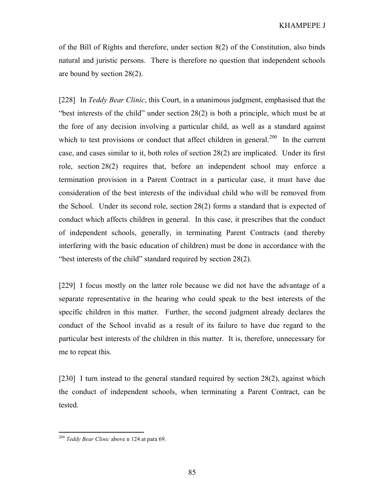of the Bill of Rights and therefore, under section 8(2) of the Constitution, also binds natural and juristic persons. There is therefore no question that independent schools are bound by section 28(2).

[228] In Teddy Bear Clinic, this Court, in a unanimous judgment, emphasised that the "best interests of the child" under section 28(2) is both a principle, which must be at the fore of any decision involving a particular child, as well as a standard against which to test provisions or conduct that affect children in general.<sup>200</sup> In the current case, and cases similar to it, both roles of section 28(2) are implicated. Under its first role, section 28(2) requires that, before an independent school may enforce a termination provision in a Parent Contract in a particular case, it must have due consideration of the best interests of the individual child who will be removed from the School. Under its second role, section 28(2) forms a standard that is expected of conduct which affects children in general. In this case, it prescribes that the conduct of independent schools, generally, in terminating Parent Contracts (and thereby interfering with the basic education of children) must be done in accordance with the "best interests of the child" standard required by section 28(2).

[229] I focus mostly on the latter role because we did not have the advantage of a separate representative in the hearing who could speak to the best interests of the specific children in this matter. Further, the second judgment already declares the conduct of the School invalid as a result of its failure to have due regard to the particular best interests of the children in this matter. It is, therefore, unnecessary for me to repeat this.

[230] I turn instead to the general standard required by section 28(2), against which the conduct of independent schools, when terminating a Parent Contract, can be tested.

<sup>&</sup>lt;sup>200</sup> Teddy Bear Clinic above n 124 at para 69.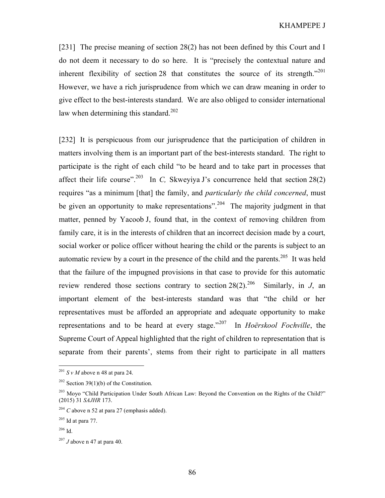[231] The precise meaning of section 28(2) has not been defined by this Court and I do not deem it necessary to do so here. It is "precisely the contextual nature and inherent flexibility of section 28 that constitutes the source of its strength."<sup>201</sup> However, we have a rich jurisprudence from which we can draw meaning in order to give effect to the best-interests standard. We are also obliged to consider international law when determining this standard.<sup>202</sup>

[232] It is perspicuous from our jurisprudence that the participation of children in matters involving them is an important part of the best-interests standard. The right to participate is the right of each child "to be heard and to take part in processes that affect their life course".<sup>203</sup> In C, Skweyiya J's concurrence held that section 28(2) requires "as a minimum [that] the family, and *particularly the child concerned*, must be given an opportunity to make representations".<sup>204</sup> The majority judgment in that matter, penned by Yacoob J, found that, in the context of removing children from family care, it is in the interests of children that an incorrect decision made by a court, social worker or police officer without hearing the child or the parents is subject to an automatic review by a court in the presence of the child and the parents.<sup>205</sup> It was held that the failure of the impugned provisions in that case to provide for this automatic review rendered those sections contrary to section  $28(2).^{206}$  Similarly, in J, an important element of the best-interests standard was that "the child or her representatives must be afforded an appropriate and adequate opportunity to make representations and to be heard at every stage."<sup>207</sup> In *Hoërskool Fochville*, the Supreme Court of Appeal highlighted that the right of children to representation that is separate from their parents', stems from their right to participate in all matters

 $^{201}$  S v M above n 48 at para 24.

<sup>&</sup>lt;sup>202</sup> Section 39(1)(b) of the Constitution.

<sup>&</sup>lt;sup>203</sup> Moyo "Child Participation Under South African Law: Beyond the Convention on the Rights of the Child?" (2015) 31 SAJHR 173.

<sup>&</sup>lt;sup>204</sup> C above n 52 at para 27 (emphasis added).

 $205$  Id at para 77.

<sup>206</sup> Id.

 $207$  J above n 47 at para 40.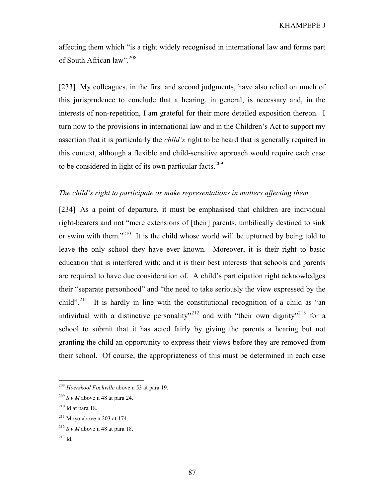affecting them which "is a right widely recognised in international law and forms part of South African law".<sup>208</sup>

[233] My colleagues, in the first and second judgments, have also relied on much of this jurisprudence to conclude that a hearing, in general, is necessary and, in the interests of non-repetition, I am grateful for their more detailed exposition thereon. I turn now to the provisions in international law and in the Children's Act to support my assertion that it is particularly the *child's* right to be heard that is generally required in this context, although a flexible and child-sensitive approach would require each case to be considered in light of its own particular facts.<sup>209</sup>

# The child's right to participate or make representations in matters affecting them

[234] As a point of departure, it must be emphasised that children are individual right-bearers and not "mere extensions of [their] parents, umbilically destined to sink or swim with them."<sup>210</sup> It is the child whose world will be upturned by being told to leave the only school they have ever known. Moreover, it is their right to basic education that is interfered with; and it is their best interests that schools and parents are required to have due consideration of. A child's participation right acknowledges their "separate personhood" and "the need to take seriously the view expressed by the child".<sup>211</sup> It is hardly in line with the constitutional recognition of a child as "an individual with a distinctive personality"<sup>212</sup> and with "their own dignity"<sup>213</sup> for a school to submit that it has acted fairly by giving the parents a hearing but not granting the child an opportunity to express their views before they are removed from their school. Of course, the appropriateness of this must be determined in each case

<sup>&</sup>lt;sup>208</sup> Hoërskool Fochville above n 53 at para 19.

 $^{209}$  S v M above n 48 at para 24.

 $210$  Id at para 18.

 $211$  Moyo above n 203 at 174.

 $^{212}$  S v M above n 48 at para 18.

<sup>213</sup> Id.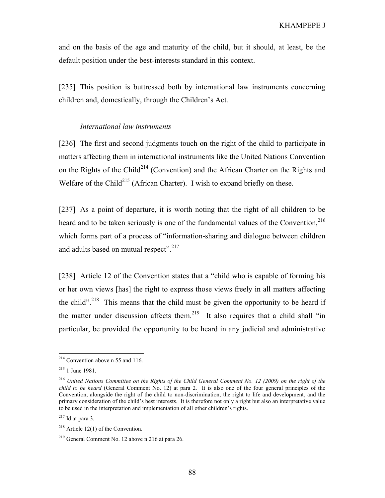and on the basis of the age and maturity of the child, but it should, at least, be the default position under the best-interests standard in this context.

[235] This position is buttressed both by international law instruments concerning children and, domestically, through the Children's Act.

### International law instruments

[236] The first and second judgments touch on the right of the child to participate in matters affecting them in international instruments like the United Nations Convention on the Rights of the Child<sup>214</sup> (Convention) and the African Charter on the Rights and Welfare of the Child<sup>215</sup> (African Charter). I wish to expand briefly on these.

[237] As a point of departure, it is worth noting that the right of all children to be heard and to be taken seriously is one of the fundamental values of the Convention. $216$ which forms part of a process of "information-sharing and dialogue between children and adults based on mutual respect".<sup>217</sup>

[238] Article 12 of the Convention states that a "child who is capable of forming his or her own views [has] the right to express those views freely in all matters affecting the child".<sup>218</sup> This means that the child must be given the opportunity to be heard if the matter under discussion affects them.<sup>219</sup> It also requires that a child shall "in particular, be provided the opportunity to be heard in any judicial and administrative

 $2^{14}$  Convention above n 55 and 116.

<sup>215</sup> 1 June 1981.

<sup>&</sup>lt;sup>216</sup> United Nations Committee on the Rights of the Child General Comment No. 12 (2009) on the right of the child to be heard (General Comment No. 12) at para 2. It is also one of the four general principles of the Convention, alongside the right of the child to non-discrimination, the right to life and development, and the primary consideration of the child's best interests. It is therefore not only a right but also an interpretative value to be used in the interpretation and implementation of all other children's rights.

 $217$  Id at para 3.

 $218$  Article 12(1) of the Convention.

<sup>219</sup> General Comment No. 12 above n 216 at para 26.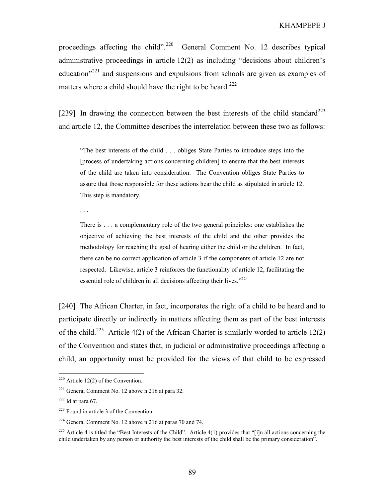proceedings affecting the child".<sup>220</sup> General Comment No. 12 describes typical administrative proceedings in article 12(2) as including "decisions about children's education $v^{221}$  and suspensions and expulsions from schools are given as examples of matters where a child should have the right to be heard.<sup>222</sup>

[239] In drawing the connection between the best interests of the child standard<sup>223</sup> and article 12, the Committee describes the interrelation between these two as follows:

"The best interests of the child . . . obliges State Parties to introduce steps into the [process of undertaking actions concerning children] to ensure that the best interests of the child are taken into consideration. The Convention obliges State Parties to assure that those responsible for these actions hear the child as stipulated in article 12. This step is mandatory.

. . .

There is . . . a complementary role of the two general principles: one establishes the objective of achieving the best interests of the child and the other provides the methodology for reaching the goal of hearing either the child or the children. In fact, there can be no correct application of article 3 if the components of article 12 are not respected. Likewise, article 3 reinforces the functionality of article 12, facilitating the essential role of children in all decisions affecting their lives." $2^{24}$ 

[240] The African Charter, in fact, incorporates the right of a child to be heard and to participate directly or indirectly in matters affecting them as part of the best interests of the child.<sup>225</sup> Article 4(2) of the African Charter is similarly worded to article 12(2) of the Convention and states that, in judicial or administrative proceedings affecting a child, an opportunity must be provided for the views of that child to be expressed

 $220$  Article 12(2) of the Convention.

 $221$  General Comment No. 12 above n 216 at para 32.

 $222$  Id at para 67.

<sup>223</sup> Found in article 3 of the Convention.

<sup>224</sup> General Comment No. 12 above n 216 at paras 70 and 74.

<sup>&</sup>lt;sup>225</sup> Article 4 is titled the "Best Interests of the Child". Article 4(1) provides that "[i]n all actions concerning the child undertaken by any person or authority the best interests of the child shall be the primary consideration".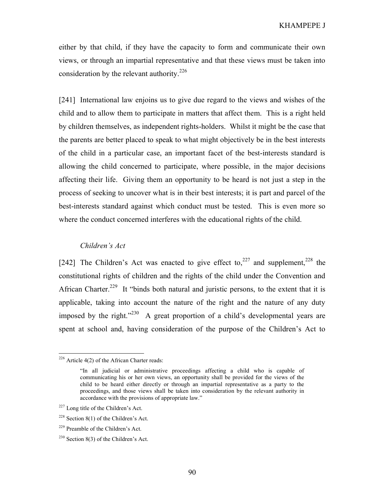either by that child, if they have the capacity to form and communicate their own views, or through an impartial representative and that these views must be taken into consideration by the relevant authority.<sup>226</sup>

[241] International law enjoins us to give due regard to the views and wishes of the child and to allow them to participate in matters that affect them. This is a right held by children themselves, as independent rights-holders. Whilst it might be the case that the parents are better placed to speak to what might objectively be in the best interests of the child in a particular case, an important facet of the best-interests standard is allowing the child concerned to participate, where possible, in the major decisions affecting their life. Giving them an opportunity to be heard is not just a step in the process of seeking to uncover what is in their best interests; it is part and parcel of the best-interests standard against which conduct must be tested. This is even more so where the conduct concerned interferes with the educational rights of the child.

### Children's Act

[242] The Children's Act was enacted to give effect to,<sup>227</sup> and supplement,<sup>228</sup> the constitutional rights of children and the rights of the child under the Convention and African Charter.<sup>229</sup> It "binds both natural and juristic persons, to the extent that it is applicable, taking into account the nature of the right and the nature of any duty imposed by the right."<sup>230</sup> A great proportion of a child's developmental years are spent at school and, having consideration of the purpose of the Children's Act to

 $226$  Article 4(2) of the African Charter reads:

<sup>&</sup>quot;In all judicial or administrative proceedings affecting a child who is capable of communicating his or her own views, an opportunity shall be provided for the views of the child to be heard either directly or through an impartial representative as a party to the proceedings, and those views shall be taken into consideration by the relevant authority in accordance with the provisions of appropriate law."

<sup>227</sup> Long title of the Children's Act.

 $228$  Section 8(1) of the Children's Act.

<sup>229</sup> Preamble of the Children's Act.

 $230$  Section 8(3) of the Children's Act.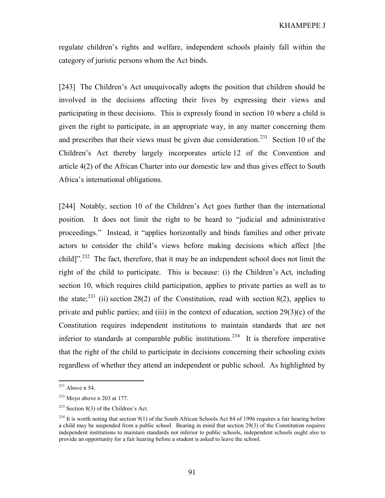regulate children's rights and welfare, independent schools plainly fall within the category of juristic persons whom the Act binds.

[243] The Children's Act unequivocally adopts the position that children should be involved in the decisions affecting their lives by expressing their views and participating in these decisions. This is expressly found in section 10 where a child is given the right to participate, in an appropriate way, in any matter concerning them and prescribes that their views must be given due consideration.<sup>231</sup> Section 10 of the Children's Act thereby largely incorporates article 12 of the Convention and article 4(2) of the African Charter into our domestic law and thus gives effect to South Africa's international obligations.

[244] Notably, section 10 of the Children's Act goes further than the international position. It does not limit the right to be heard to "judicial and administrative proceedings." Instead, it "applies horizontally and binds families and other private actors to consider the child's views before making decisions which affect [the child]".<sup>232</sup> The fact, therefore, that it may be an independent school does not limit the right of the child to participate. This is because: (i) the Children's Act, including section 10, which requires child participation, applies to private parties as well as to the state;<sup>233</sup> (ii) section 28(2) of the Constitution, read with section 8(2), applies to private and public parties; and (iii) in the context of education, section  $29(3)(c)$  of the Constitution requires independent institutions to maintain standards that are not inferior to standards at comparable public institutions.<sup>234</sup> It is therefore imperative that the right of the child to participate in decisions concerning their schooling exists regardless of whether they attend an independent or public school. As highlighted by

 $231$  Above n 54.

 $232$  Moyo above n 203 at 177.

 $233$  Section 8(3) of the Children's Act.

 $^{234}$  It is worth noting that section 9(1) of the South African Schools Act 84 of 1996 requires a fair hearing before a child may be suspended from a public school. Bearing in mind that section 29(3) of the Constitution requires independent institutions to maintain standards not inferior to public schools, independent schools ought also to provide an opportunity for a fair hearing before a student is asked to leave the school.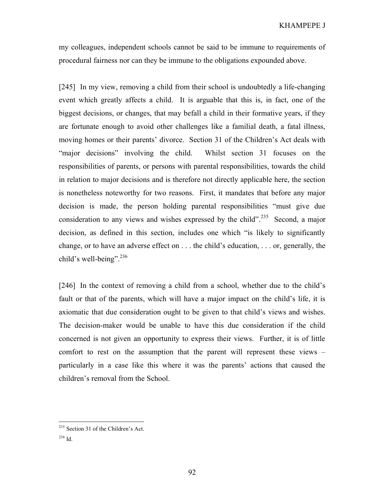my colleagues, independent schools cannot be said to be immune to requirements of procedural fairness nor can they be immune to the obligations expounded above.

[245] In my view, removing a child from their school is undoubtedly a life-changing event which greatly affects a child. It is arguable that this is, in fact, one of the biggest decisions, or changes, that may befall a child in their formative years, if they are fortunate enough to avoid other challenges like a familial death, a fatal illness, moving homes or their parents' divorce. Section 31 of the Children's Act deals with "major decisions" involving the child. Whilst section 31 focuses on the responsibilities of parents, or persons with parental responsibilities, towards the child in relation to major decisions and is therefore not directly applicable here, the section is nonetheless noteworthy for two reasons. First, it mandates that before any major decision is made, the person holding parental responsibilities "must give due consideration to any views and wishes expressed by the child".<sup>235</sup> Second, a major decision, as defined in this section, includes one which "is likely to significantly change, or to have an adverse effect on . . . the child's education, . . . or, generally, the child's well-being". $236$ 

[246] In the context of removing a child from a school, whether due to the child's fault or that of the parents, which will have a major impact on the child's life, it is axiomatic that due consideration ought to be given to that child's views and wishes. The decision-maker would be unable to have this due consideration if the child concerned is not given an opportunity to express their views. Further, it is of little comfort to rest on the assumption that the parent will represent these views – particularly in a case like this where it was the parents' actions that caused the children's removal from the School.

<sup>235</sup> Section 31 of the Children's Act.

<sup>236</sup> Id.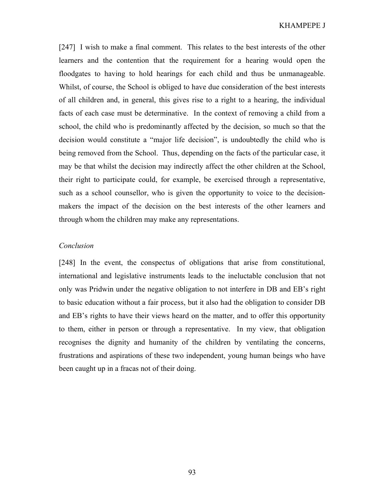[247] I wish to make a final comment. This relates to the best interests of the other learners and the contention that the requirement for a hearing would open the floodgates to having to hold hearings for each child and thus be unmanageable. Whilst, of course, the School is obliged to have due consideration of the best interests of all children and, in general, this gives rise to a right to a hearing, the individual facts of each case must be determinative. In the context of removing a child from a school, the child who is predominantly affected by the decision, so much so that the decision would constitute a "major life decision", is undoubtedly the child who is being removed from the School. Thus, depending on the facts of the particular case, it may be that whilst the decision may indirectly affect the other children at the School, their right to participate could, for example, be exercised through a representative, such as a school counsellor, who is given the opportunity to voice to the decisionmakers the impact of the decision on the best interests of the other learners and through whom the children may make any representations.

# Conclusion

[248] In the event, the conspectus of obligations that arise from constitutional, international and legislative instruments leads to the ineluctable conclusion that not only was Pridwin under the negative obligation to not interfere in DB and EB's right to basic education without a fair process, but it also had the obligation to consider DB and EB's rights to have their views heard on the matter, and to offer this opportunity to them, either in person or through a representative. In my view, that obligation recognises the dignity and humanity of the children by ventilating the concerns, frustrations and aspirations of these two independent, young human beings who have been caught up in a fracas not of their doing.